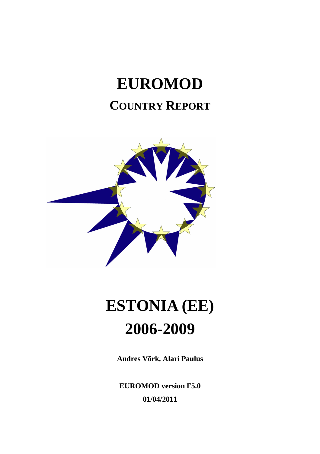# **EUROMOD COUNTRY REPORT**



# **ESTONIA (EE) 2006-2009**

**Andres Võrk, Alari Paulus** 

**EUROMOD version F5.0 01/04/2011**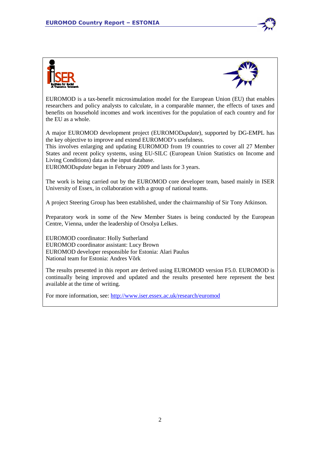





EUROMOD is a tax-benefit microsimulation model for the European Union (EU) that enables researchers and policy analysts to calculate, in a comparable manner, the effects of taxes and benefits on household incomes and work incentives for the population of each country and for the EU as a whole.

A major EUROMOD development project (EUROMOD*update*), supported by DG-EMPL has the key objective to improve and extend EUROMOD's usefulness.

This involves enlarging and updating EUROMOD from 19 countries to cover all 27 Member States and recent policy systems, using EU-SILC (European Union Statistics on Income and Living Conditions) data as the input database.

EUROMOD*update* began in February 2009 and lasts for 3 years.

The work is being carried out by the EUROMOD core developer team, based mainly in ISER University of Essex, in collaboration with a group of national teams.

A project Steering Group has been established, under the chairmanship of Sir Tony Atkinson.

Preparatory work in some of the New Member States is being conducted by the European Centre, Vienna, under the leadership of Orsolya Lelkes.

EUROMOD coordinator: Holly Sutherland EUROMOD coordinator assistant: Lucy Brown EUROMOD developer responsible for Estonia: Alari Paulus National team for Estonia: Andres Võrk

The results presented in this report are derived using EUROMOD version F5.0. EUROMOD is continually being improved and updated and the results presented here represent the best available at the time of writing.

For more information, see: http://www.iser.essex.ac.uk/research/euromod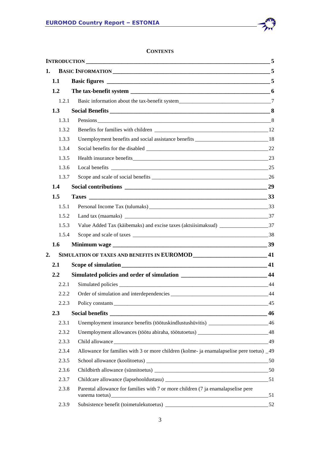# **CONTENTS**

|                  |                                                                                           | 5                                                                                                                                                                                                                                                                                           |
|------------------|-------------------------------------------------------------------------------------------|---------------------------------------------------------------------------------------------------------------------------------------------------------------------------------------------------------------------------------------------------------------------------------------------|
|                  |                                                                                           |                                                                                                                                                                                                                                                                                             |
| 1.1              |                                                                                           |                                                                                                                                                                                                                                                                                             |
| 1.2              |                                                                                           |                                                                                                                                                                                                                                                                                             |
| 1.2.1            |                                                                                           |                                                                                                                                                                                                                                                                                             |
| 1.3              |                                                                                           |                                                                                                                                                                                                                                                                                             |
| 1.3.1            |                                                                                           |                                                                                                                                                                                                                                                                                             |
| 1.3.2            |                                                                                           |                                                                                                                                                                                                                                                                                             |
| 1.3.3            |                                                                                           |                                                                                                                                                                                                                                                                                             |
| 1.3.4            |                                                                                           |                                                                                                                                                                                                                                                                                             |
| 1.3.5            |                                                                                           |                                                                                                                                                                                                                                                                                             |
| 1.3.6            |                                                                                           |                                                                                                                                                                                                                                                                                             |
| 1.3.7            |                                                                                           |                                                                                                                                                                                                                                                                                             |
| 1.4              | Social contributions 29                                                                   |                                                                                                                                                                                                                                                                                             |
| 1.5              | <b>Taxes</b>                                                                              |                                                                                                                                                                                                                                                                                             |
| 1.5.1            |                                                                                           |                                                                                                                                                                                                                                                                                             |
| 1.5.2            |                                                                                           |                                                                                                                                                                                                                                                                                             |
| 1.5.3            |                                                                                           |                                                                                                                                                                                                                                                                                             |
| 1.5.4            |                                                                                           |                                                                                                                                                                                                                                                                                             |
| 1.6              |                                                                                           |                                                                                                                                                                                                                                                                                             |
|                  |                                                                                           |                                                                                                                                                                                                                                                                                             |
|                  |                                                                                           |                                                                                                                                                                                                                                                                                             |
| $2.2\phantom{0}$ |                                                                                           |                                                                                                                                                                                                                                                                                             |
| 2.2.1            |                                                                                           |                                                                                                                                                                                                                                                                                             |
| 2.2.2            |                                                                                           |                                                                                                                                                                                                                                                                                             |
|                  |                                                                                           | 45                                                                                                                                                                                                                                                                                          |
| 2.3              |                                                                                           | 46                                                                                                                                                                                                                                                                                          |
| 2.3.1            |                                                                                           |                                                                                                                                                                                                                                                                                             |
| 2.3.2            |                                                                                           |                                                                                                                                                                                                                                                                                             |
| 2.3.3            |                                                                                           |                                                                                                                                                                                                                                                                                             |
| 2.3.4            | Allowance for families with 3 or more children (kolme- ja enamalapselise pere toetus) _49 |                                                                                                                                                                                                                                                                                             |
| 2.3.5            |                                                                                           |                                                                                                                                                                                                                                                                                             |
| 2.3.6            |                                                                                           |                                                                                                                                                                                                                                                                                             |
| 2.3.7            |                                                                                           |                                                                                                                                                                                                                                                                                             |
| 2.3.8            | Parental allowance for families with 7 or more children (7 ja enamalapselise pere         |                                                                                                                                                                                                                                                                                             |
| 2.3.9            |                                                                                           | 52                                                                                                                                                                                                                                                                                          |
|                  | 2.1<br>2.2.3                                                                              | Value Added Tax (käibemaks) and excise taxes (aktsiisimaksud) ____________________37<br>Simulated policies 44<br>Unemployment insurance benefits (töötuskindlustushüvitis) _______________________46<br>Unemployment allowances (töötu abiraha, töötutoetus) ____________________________48 |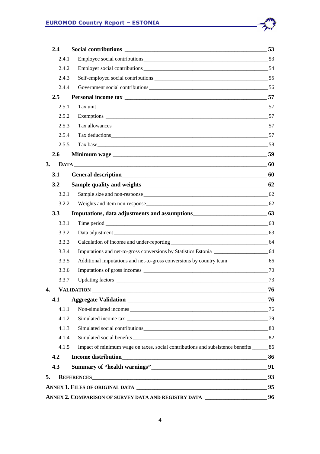|    | 2.4     |                                                                                   | 53 |
|----|---------|-----------------------------------------------------------------------------------|----|
|    | 2.4.1   |                                                                                   |    |
|    | 2.4.2   |                                                                                   |    |
|    | 2.4.3   |                                                                                   |    |
|    | 2.4.4   |                                                                                   |    |
|    | $2.5\,$ |                                                                                   |    |
|    | 2.5.1   |                                                                                   |    |
|    | 2.5.2   |                                                                                   |    |
|    | 2.5.3   |                                                                                   |    |
|    | 2.5.4   |                                                                                   |    |
|    | 2.5.5   |                                                                                   |    |
|    | 2.6     |                                                                                   |    |
| 3. |         |                                                                                   |    |
|    | 3.1     |                                                                                   |    |
|    | 3.2     |                                                                                   |    |
|    | 3.2.1   |                                                                                   |    |
|    | 3.2.2   |                                                                                   |    |
|    | 3.3     |                                                                                   |    |
|    | 3.3.1   |                                                                                   |    |
|    | 3.3.2   |                                                                                   |    |
|    | 3.3.3   |                                                                                   |    |
|    | 3.3.4   |                                                                                   |    |
|    | 3.3.5   | Additional imputations and net-to-gross conversions by country team               |    |
|    | 3.3.6   |                                                                                   |    |
|    | 3.3.7   |                                                                                   |    |
| 4. |         |                                                                                   | 76 |
|    | 4.1     |                                                                                   |    |
|    | 4.1.1   |                                                                                   |    |
|    | 4.1.2   |                                                                                   |    |
|    | 4.1.3   |                                                                                   |    |
|    | 4.1.4   |                                                                                   |    |
|    | 4.1.5   |                                                                                   |    |
|    | 4.2     |                                                                                   |    |
|    | 4.3     |                                                                                   |    |
| 5. |         | REFERENCES 93                                                                     |    |
|    |         |                                                                                   |    |
|    |         | ANNEX 2. COMPARISON OF SURVEY DATA AND REGISTRY DATA __________________________96 |    |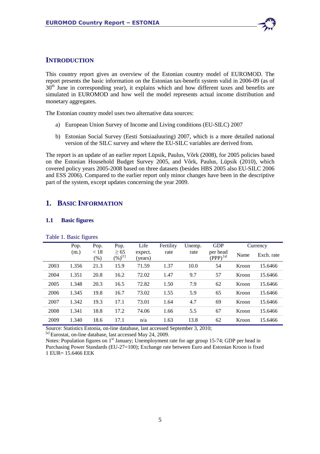

# **INTRODUCTION**

This country report gives an overview of the Estonian country model of EUROMOD. The report presents the basic information on the Estonian tax-benefit system valid in 2006-09 (as of  $30<sup>th</sup>$  June in corresponding year), it explains which and how different taxes and benefits are simulated in EUROMOD and how well the model represents actual income distribution and monetary aggregates.

The Estonian country model uses two alternative data sources:

- a) European Union Survey of Income and Living conditions (EU-SILC) 2007
- b) Estonian Social Survey (Eesti Sotsiaaluuring) 2007, which is a more detailed national version of the SILC survey and where the EU-SILC variables are derived from.

The report is an update of an earlier report Lüpsik, Paulus, Võrk (2008), for 2005 policies based on the Estonian Household Budget Survey 2005, and Võrk, Paulus, Lüpsik (2010), which covered policy years 2005-2008 based on three datasets (besides HBS 2005 also EU-SILC 2006 and ESS 2006). Compared to the earlier report only minor changes have been in the descriptive part of the system, except updates concerning the year 2009.

# **1. BASIC INFORMATION**

#### **1.1 Basic figures**

|      | Pop.  | Pop.           | Pop.                      | Life               | Fertility | Unemp. | <b>GDP</b>                |       | Currency   |
|------|-------|----------------|---------------------------|--------------------|-----------|--------|---------------------------|-------|------------|
|      | (m.)  | < 18<br>$(\%)$ | $\geq 65$<br>$(\%)^{[1]}$ | expect.<br>(years) | rate      | rate   | per head<br>$(PPP)^{[a]}$ | Name  | Exch. rate |
| 2003 | 1.356 | 21.3           | 15.9                      | 71.59              | 1.37      | 10.0   | 54                        | Kroon | 15.6466    |
| 2004 | 1.351 | 20.8           | 16.2                      | 72.02              | 1.47      | 9.7    | 57                        | Kroon | 15.6466    |
| 2005 | 1.348 | 20.3           | 16.5                      | 72.82              | 1.50      | 7.9    | 62                        | Kroon | 15.6466    |
| 2006 | 1.345 | 19.8           | 16.7                      | 73.02              | 1.55      | 5.9    | 65                        | Kroon | 15.6466    |
| 2007 | 1.342 | 19.3           | 17.1                      | 73.01              | 1.64      | 4.7    | 69                        | Kroon | 15.6466    |
| 2008 | 1.341 | 18.8           | 17.2                      | 74.06              | 1.66      | 5.5    | 67                        | Kroon | 15.6466    |
| 2009 | 1.340 | 18.6           | 17.1                      | n/a                | 1.63      | 13.8   | 62                        | Kroon | 15.6466    |

Table 1. Basic figures

Source: Statistics Estonia, on-line database, last accessed September 3, 2010;

[a] Eurostat, on-line database, last accessed May 24, 2009.

Notes: Population figures on  $1<sup>st</sup>$  January; Unemployment rate for age group 15-74; GDP per head in Purchasing Power Standards (EU-27=100); Exchange rate between Euro and Estonian Kroon is fixed 1 EUR= 15.6466 EEK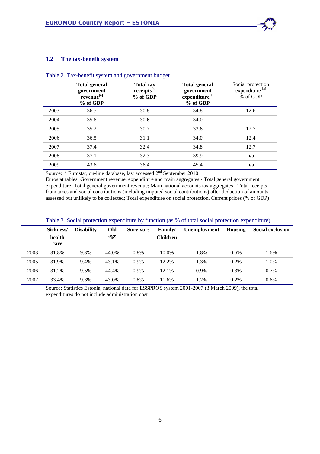

### **1.2 The tax-benefit system**

|                          | <b>Total general</b><br>government<br>revenue <sup>[a]</sup><br>% of GDP | <b>Total tax</b><br>receipts <sup>[a]</sup><br>% of GDP | <b>Total general</b><br>government<br>expenditure[a]<br>% of GDP | Social protection<br>expenditure [a]<br>% of GDP |
|--------------------------|--------------------------------------------------------------------------|---------------------------------------------------------|------------------------------------------------------------------|--------------------------------------------------|
| 2003                     | 36.5                                                                     | 30.8                                                    | 34.8                                                             | 12.6                                             |
| 2004                     | 35.6                                                                     | 30.6                                                    | 34.0                                                             |                                                  |
| 2005                     | 35.2                                                                     | 30.7                                                    | 33.6                                                             | 12.7                                             |
| 2006                     | 36.5                                                                     | 31.1                                                    | 34.0                                                             | 12.4                                             |
| 2007                     | 37.4                                                                     | 32.4                                                    | 34.8                                                             | 12.7                                             |
| 2008                     | 37.1                                                                     | 32.3                                                    | 39.9                                                             | n/a                                              |
| 2009                     | 43.6                                                                     | 36.4                                                    | 45.4                                                             | n/a                                              |
| $\overline{\phantom{a}}$ |                                                                          | $-nd$ $-$                                               |                                                                  |                                                  |

### Table 2. Tax-benefit system and government budget

Source:  $^{[a]}$  Eurostat, on-line database, last accessed  $2^{nd}$  September 2010.

Eurostat tables: Government revenue, expenditure and main aggregates - Total general government expenditure, Total general government revenue; Main national accounts tax aggregates - Total receipts from taxes and social contributions (including imputed social contributions) after deduction of amounts assessed but unlikely to be collected; Total expenditure on social protection, Current prices (% of GDP)

|      | Tubic 3. Bochin protection expenditure by function (us 70 of total social protection expenditure) |                   |            |                  |                            |                     |         |                         |  |  |  |
|------|---------------------------------------------------------------------------------------------------|-------------------|------------|------------------|----------------------------|---------------------|---------|-------------------------|--|--|--|
|      | Sickness/<br>health<br>care                                                                       | <b>Disability</b> | Old<br>age | <b>Survivors</b> | Family/<br><b>Children</b> | <b>Unemployment</b> | Housing | <b>Social exclusion</b> |  |  |  |
| 2003 | 31.8%                                                                                             | 9.3%              | 44.0%      | $0.8\%$          | 10.0%                      | 1.8%                | $0.6\%$ | 1.6%                    |  |  |  |
| 2005 | 31.9%                                                                                             | 9.4%              | 43.1%      | $0.9\%$          | 12.2%                      | 1.3%                | $0.2\%$ | 1.0%                    |  |  |  |
| 2006 | 31.2%                                                                                             | 9.5%              | 44.4%      | $0.9\%$          | 12.1%                      | $0.9\%$             | 0.3%    | 0.7%                    |  |  |  |
|      |                                                                                                   |                   |            |                  |                            |                     |         |                         |  |  |  |

#### Table 3. Social protection expenditure by function (as % of total social protection expenditure)

Source: Statistics Estonia, national data for ESSPROS system 2001-2007 (3 March 2009), the total expenditures do not include administration cost

2007 33.4% 9.3% 43.0% 0.8% 11.6% 1.2% 0.2% 0.6%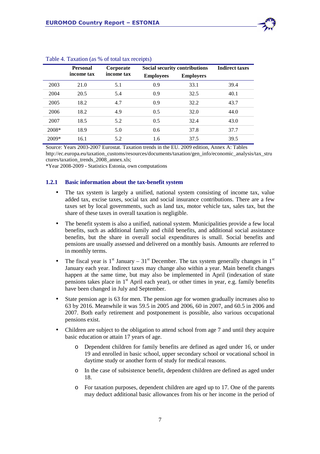|         | <b>Personal</b> | Corporate  |                  | <b>Social security contributions</b> | <b>Indirect taxes</b> |
|---------|-----------------|------------|------------------|--------------------------------------|-----------------------|
|         | income tax      | income tax | <b>Employees</b> | <b>Employers</b>                     |                       |
| 2003    | 21.0            | 5.1        | 0.9              | 33.1                                 | 39.4                  |
| 2004    | 20.5            | 5.4        | 0.9              | 32.5                                 | 40.1                  |
| 2005    | 18.2            | 4.7        | 0.9              | 32.2                                 | 43.7                  |
| 2006    | 18.2            | 4.9        | 0.5              | 32.0                                 | 44.0                  |
| 2007    | 18.5            | 5.2        | 0.5              | 32.4                                 | 43.0                  |
| 2008*   | 18.9            | 5.0        | 0.6              | 37.8                                 | 37.7                  |
| $2009*$ | 16.1            | 5.2        | 1.6              | 37.5                                 | 39.5                  |

#### Table 4. Taxation (as % of total tax receipts)

Source: Years 2003-2007 Eurostat. Taxation trends in the EU. 2009 edition, Annex A: Tables http://ec.europa.eu/taxation\_customs/resources/documents/taxation/gen\_info/economic\_analysis/tax\_stru ctures/taxation\_trends\_2008\_annex.xls;

\*Year 2008-2009 - Statistics Estonia, own computations

#### **1.2.1 Basic information about the tax-benefit system**

- The tax system is largely a unified, national system consisting of income tax, value added tax, excise taxes, social tax and social insurance contributions. There are a few taxes set by local governments, such as land tax*,* motor vehicle tax*,* sales tax, but the share of these taxes in overall taxation is negligible.
- The benefit system is also a unified, national system. Municipalities provide a few local benefits, such as additional family and child benefits, and additional social assistance benefits*,* but the share in overall social expenditures is small. Social benefits and pensions are usually assessed and delivered on a monthly basis. Amounts are referred to in monthly terms.
- The fiscal year is 1<sup>st</sup> January 31<sup>st</sup> December. The tax system generally changes in 1<sup>st</sup> January each year. Indirect taxes may change also within a year. Main benefit changes happen at the same time, but may also be implemented in April (indexation of state pensions takes place in 1st April each year), or other times in year, e.g. family benefits have been changed in July and September.
- State pension age is 63 for men. The pension age for women gradually increases also to 63 by 2016. Meanwhile it was 59.5 in 2005 and 2006, 60 in 2007, and 60.5 in 2006 and 2007. Both early retirement and postponement is possible, also various occupational pensions exist.
- Children are subject to the obligation to attend school from age 7 and until they acquire basic education or attain 17 years of age.
	- o Dependent children for family benefits are defined as aged under 16, or under 19 and enrolled in basic school, upper secondary school or vocational school in daytime study or another form of study for medical reasons.
	- o In the case of subsistence benefit, dependent children are defined as aged under 18.
	- o For taxation purposes, dependent children are aged up to 17. One of the parents may deduct additional basic allowances from his or her income in the period of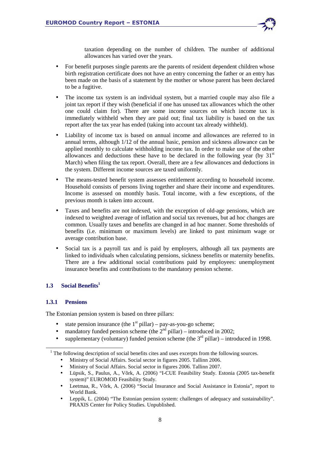

taxation depending on the number of children. The number of additional allowances has varied over the years.

- For benefit purposes single parents are the parents of resident dependent children whose birth registration certificate does not have an entry concerning the father or an entry has been made on the basis of a statement by the mother or whose parent has been declared to be a fugitive.
- The income tax system is an individual system, but a married couple may also file a joint tax report if they wish (beneficial if one has unused tax allowances which the other one could claim for). There are some income sources on which income tax is immediately withheld when they are paid out; final tax liability is based on the tax report after the tax year has ended (taking into account tax already withheld).
- Liability of income tax is based on annual income and allowances are referred to in annual terms, although 1/12 of the annual basic, pension and sickness allowance can be applied monthly to calculate withholding income tax. In order to make use of the other allowances and deductions these have to be declared in the following year (by  $31<sup>st</sup>$ March) when filing the tax report. Overall, there are a few allowances and deductions in the system. Different income sources are taxed uniformly.
- The means-tested benefit system assesses entitlement according to household income. Household consists of persons living together and share their income and expenditures. Income is assessed on monthly basis. Total income, with a few exceptions, of the previous month is taken into account.
- Taxes and benefits are not indexed, with the exception of old-age pensions, which are indexed to weighted average of inflation and social tax revenues, but ad hoc changes are common. Usually taxes and benefits are changed in ad hoc manner. Some thresholds of benefits (i.e. minimum or maximum levels) are linked to past minimum wage or average contribution base.
- Social tax is a payroll tax and is paid by employers, although all tax payments are linked to individuals when calculating pensions, sickness benefits or maternity benefits. There are a few additional social contributions paid by employees: unemployment insurance benefits and contributions to the mandatory pension scheme.

# **1.3 Social Benefits<sup>1</sup>**

# **1.3.1 Pensions**

l

The Estonian pension system is based on three pillars:

- state pension insurance (the  $1<sup>st</sup>$  pillar) pay-as-you-go scheme;
- mandatory funded pension scheme (the  $2<sup>nd</sup>$  pillar) introduced in 2002;
- supplementary (voluntary) funded pension scheme (the  $3<sup>rd</sup>$  pillar) introduced in 1998.

- Ministry of Social Affairs. Social sector in figures 2005. Tallinn 2006.
- Ministry of Social Affairs. Social sector in figures 2006. Tallinn 2007.
- Lüpsik, S., Paulus, A., Võrk, A. (2006) "I-CUE Feasibility Study. Estonia (2005 tax-benefit system)" EUROMOD Feasibility Study.
- Leetmaa, R., Võrk, A. (2006) "Social Insurance and Social Assistance in Estonia", report to World Bank.
- Leppik, L. (2004) "The Estonian pension system: challenges of adequacy and sustainability". PRAXIS Center for Policy Studies. Unpublished.

<sup>&</sup>lt;sup>1</sup> The following description of social benefits cites and uses excerpts from the following sources.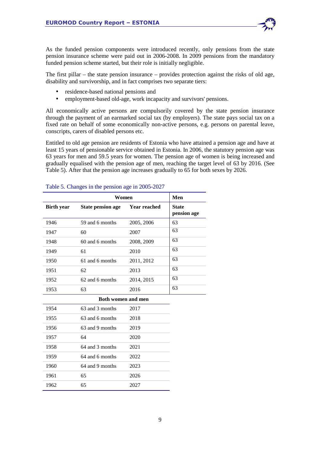As the funded pension components were introduced recently, only pensions from the state pension insurance scheme were paid out in 2006-2008. In 2009 pensions from the mandatory funded pension scheme started, but their role is initially negligible.

The first pillar – the state pension insurance – provides protection against the risks of old age, disability and survivorship, and in fact comprises two separate tiers:

- residence-based national pensions and
- employment-based old-age, work incapacity and survivors' pensions.

All economically active persons are compulsorily covered by the state pension insurance through the payment of an earmarked social tax (by employers). The state pays social tax on a fixed rate on behalf of some economically non-active persons, e.g. persons on parental leave, conscripts, carers of disabled persons etc.

Entitled to old age pension are residents of Estonia who have attained a pension age and have at least 15 years of pensionable service obtained in Estonia. In 2006, the statutory pension age was 63 years for men and 59.5 years for women. The pension age of women is being increased and gradually equalised with the pension age of men, reaching the target level of 63 by 2016. (See Table 5). After that the pension age increases gradually to 65 for both sexes by 2026.

|                   | Men                       |                     |                             |
|-------------------|---------------------------|---------------------|-----------------------------|
| <b>Birth year</b> | <b>State pension age</b>  | <b>Year reached</b> | <b>State</b><br>pension age |
| 1946              | 59 and 6 months           | 2005, 2006          | 63                          |
| 1947              | 60                        | 2007                | 63                          |
| 1948              | 60 and 6 months           | 2008, 2009          | 63                          |
| 1949              | 61                        | 2010                | 63                          |
| 1950              | 61 and 6 months           | 2011, 2012          | 63                          |
| 1951              | 62                        | 2013                | 63                          |
| 1952              | 62 and 6 months           | 2014, 2015          | 63                          |
| 1953              | 63                        | 2016                | 63                          |
|                   | <b>Both women and men</b> |                     |                             |
| 1954              | 63 and 3 months           | 2017                |                             |
| 1955              | 63 and 6 months           | 2018                |                             |
| 1956              | 63 and 9 months           | 2019                |                             |
| 1957              | 64                        | 2020                |                             |
| 1958              | 64 and 3 months           | 2021                |                             |
| 1959              | 64 and 6 months           | 2022                |                             |
| 1960              | 64 and 9 months           | 2023                |                             |
| 1961              | 65                        | 2026                |                             |
| 1962              | 65                        | 2027                |                             |

Table 5. Changes in the pension age in 2005-2027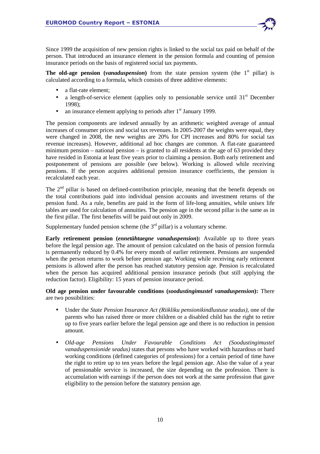Since 1999 the acquisition of new pension rights is linked to the social tax paid on behalf of the person. That introduced an insurance element in the pension formula and counting of pension insurance periods on the basis of registered social tax payments.

**The old-age pension** (*vanaduspension*) from the state pension system (the  $1<sup>st</sup>$  pillar) is calculated according to a formula, which consists of three additive elements:

- a flat-rate element;
- a length-of-service element (applies only to pensionable service until  $31<sup>st</sup>$  December 1998);
- an insurance element applying to periods after  $1<sup>st</sup>$  January 1999.

The pension components are indexed annually by an arithmetic weighted average of annual increases of consumer prices and social tax revenues. In 2005-2007 the weights were equal, they were changed in 2008, the new weights are 20% for CPI increases and 80% for social tax revenue increases). However, additional ad hoc changes are common. A flat-rate guaranteed minimum pension – national pension – is granted to all residents at the age of 63 provided they have resided in Estonia at least five years prior to claiming a pension. Both early retirement and postponement of pensions are possible (see below). Working is allowed while receiving pensions. If the person acquires additional pension insurance coefficients, the pension is recalculated each year.

The  $2<sup>nd</sup>$  pillar is based on defined-contribution principle, meaning that the benefit depends on the total contributions paid into individual pension accounts and investment returns of the pension fund. As a rule, benefits are paid in the form of life-long annuities, while unisex life tables are used for calculation of annuities. The pension age in the second pillar is the same as in the first pillar. The first benefits will be paid out only in 2009.

Supplementary funded pension scheme (the  $3<sup>rd</sup>$  pillar) is a voluntary scheme.

**Early retirement pension (***ennetähtaegne vanaduspension***):** Available up to three years before the legal pension age. The amount of pension calculated on the basis of pension formula is permanently reduced by 0.4% for every month of earlier retirement. Pensions are suspended when the person returns to work before pension age. Working while receiving early retirement pensions is allowed after the person has reached statutory pension age. Pension is recalculated when the person has acquired additional pension insurance periods (but still applying the reduction factor). Eligibility: 15 years of pension insurance period.

**Old age pension under favourable conditions (***soodustingimustel vanaduspension***):** There are two possibilities:

- Under the *State Pension Insurance Act (Riikliku pensionikindlustuse seadus)*, one of the parents who has raised three or more children or a disabled child has the right to retire up to five years earlier before the legal pension age and there is no reduction in pension amount.
- *Old-age Pensions Under Favourable Conditions Act (Soodustingimustel vanaduspensionide seadus)* states that persons who have worked with hazardous or hard working conditions (defined categories of professions) for a certain period of time have the right to retire up to ten years before the legal pension age. Also the value of a year of pensionable service is increased, the size depending on the profession. There is accumulation with earnings if the person does not work at the same profession that gave eligibility to the pension before the statutory pension age.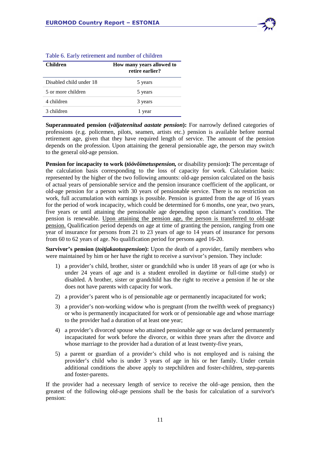| Tuene of Burry retrietment and hannoer or emitted |                                              |  |  |  |  |  |
|---------------------------------------------------|----------------------------------------------|--|--|--|--|--|
| <b>Children</b>                                   | How many years allowed to<br>retire earlier? |  |  |  |  |  |
| Disabled child under 18                           | 5 years                                      |  |  |  |  |  |
| 5 or more children                                | 5 years                                      |  |  |  |  |  |
| 4 children                                        | 3 years                                      |  |  |  |  |  |
| 3 children                                        | 1 year                                       |  |  |  |  |  |

**Superannuated pension (***väljateenitud aastate pension***):** For narrowly defined categories of professions (e.g. policemen, pilots, seamen, artists etc.) pension is available before normal retirement age, given that they have required length of service. The amount of the pension depends on the profession. Upon attaining the general pensionable age, the person may switch to the general old-age pension.

**Pension for incapacity to work (***töövõimetuspension,* or disability pension**):** The percentage of the calculation basis corresponding to the loss of capacity for work. Calculation basis: represented by the higher of the two following amounts: old-age pension calculated on the basis of actual years of pensionable service and the pension insurance coefficient of the applicant, or old-age pension for a person with 30 years of pensionable service. There is no restriction on work, full accumulation with earnings is possible. Pension is granted from the age of 16 years for the period of work incapacity, which could be determined for 6 months, one year, two years, five years or until attaining the pensionable age depending upon claimant's condition. The pension is renewable. Upon attaining the pension age, the person is transferred to old-age pension. Qualification period depends on age at time of granting the pension, ranging from one year of insurance for persons from 21 to 23 years of age to 14 years of insurance for persons from 60 to 62 years of age. No qualification period for persons aged 16-20.

**Survivor's pension (***toitjakaotuspension***):** Upon the death of a provider, family members who were maintained by him or her have the right to receive a survivor's pension. They include:

- 1) a provider's child, brother, sister or grandchild who is under 18 years of age (or who is under 24 years of age and is a student enrolled in daytime or full-time study) or disabled. A brother, sister or grandchild has the right to receive a pension if he or she does not have parents with capacity for work.
- 2) a provider's parent who is of pensionable age or permanently incapacitated for work;
- 3) a provider's non-working widow who is pregnant (from the twelfth week of pregnancy) or who is permanently incapacitated for work or of pensionable age and whose marriage to the provider had a duration of at least one year;
- 4) a provider's divorced spouse who attained pensionable age or was declared permanently incapacitated for work before the divorce, or within three years after the divorce and whose marriage to the provider had a duration of at least twenty-five years,
- 5) a parent or guardian of a provider's child who is not employed and is raising the provider's child who is under 3 years of age in his or her family. Under certain additional conditions the above apply to stepchildren and foster-children, step-parents and foster-parents.

If the provider had a necessary length of service to receive the old–age pension, then the greatest of the following old-age pensions shall be the basis for calculation of a survivor's pension: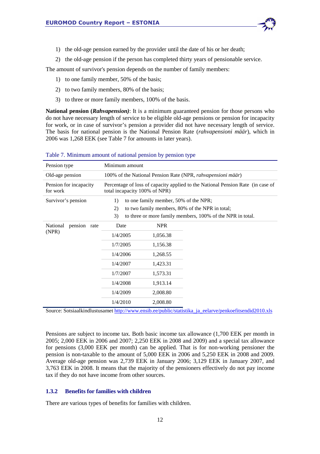

2) the old-age pension if the person has completed thirty years of pensionable service.

The amount of survivor's pension depends on the number of family members:

- 1) to one family member, 50% of the basis;
- 2) to two family members, 80% of the basis;
- 3) to three or more family members, 100% of the basis.

**National pension (***Rahvapension)*: It is a minimum guaranteed pension for those persons who do not have necessary length of service to be eligible old-age pensions or pension for incapacity for work, or in case of survivor's pension a provider did not have necessary length of service. The basis for national pension is the National Pension Rate (*rahvapensioni määr*), which in 2006 was 1,268 EEK (see Table 7 for amounts in later years).

| Pension type                       | Minimum amount                                                                                                   |                                                                                                                                                        |                                                             |  |  |  |
|------------------------------------|------------------------------------------------------------------------------------------------------------------|--------------------------------------------------------------------------------------------------------------------------------------------------------|-------------------------------------------------------------|--|--|--|
| Old-age pension                    |                                                                                                                  |                                                                                                                                                        | 100% of the National Pension Rate (NPR, rahvapensioni määr) |  |  |  |
| Pension for incapacity<br>for work | Percentage of loss of capacity applied to the National Pension Rate (in case of<br>total incapacity 100% of NPR) |                                                                                                                                                        |                                                             |  |  |  |
| Survivor's pension                 | 1)<br>2)<br>3)                                                                                                   | to one family member, 50% of the NPR;<br>to two family members, 80% of the NPR in total;<br>to three or more family members, 100% of the NPR in total. |                                                             |  |  |  |
| pension rate<br>National           | Date                                                                                                             | NPR.                                                                                                                                                   |                                                             |  |  |  |
| (NPR)                              | 1/4/2005                                                                                                         | 1,056.38                                                                                                                                               |                                                             |  |  |  |
|                                    | 1/7/2005                                                                                                         | 1,156.38                                                                                                                                               |                                                             |  |  |  |
|                                    | 1/4/2006                                                                                                         | 1,268.55                                                                                                                                               |                                                             |  |  |  |
|                                    | 1/4/2007                                                                                                         | 1,423.31                                                                                                                                               |                                                             |  |  |  |
|                                    | 1/7/2007                                                                                                         | 1,573.31                                                                                                                                               |                                                             |  |  |  |
|                                    | 1/4/2008                                                                                                         | 1,913.14                                                                                                                                               |                                                             |  |  |  |
|                                    | 1/4/2009                                                                                                         | 2,008.80                                                                                                                                               |                                                             |  |  |  |
|                                    | 1/4/2010                                                                                                         | 2,008.80                                                                                                                                               |                                                             |  |  |  |

#### Table 7. Minimum amount of national pension by pension type

Source: Sotsiaalkindlustusamet http://www.ensib.ee/public/statistika\_ja\_eelarve/penkoefitsendid2010.xls

Pensions are subject to income tax. Both basic income tax allowance (1,700 EEK per month in 2005; 2,000 EEK in 2006 and 2007; 2,250 EEK in 2008 and 2009) and a special tax allowance for pensions (3,000 EEK per month) can be applied. That is for non-working pensioner the pension is non-taxable to the amount of 5,000 EEK in 2006 and 5,250 EEK in 2008 and 2009. Average old-age pension was 2,739 EEK in January 2006; 3,129 EEK in January 2007, and 3,763 EEK in 2008. It means that the majority of the pensioners effectively do not pay income tax if they do not have income from other sources.

#### **1.3.2 Benefits for families with children**

There are various types of benefits for families with children.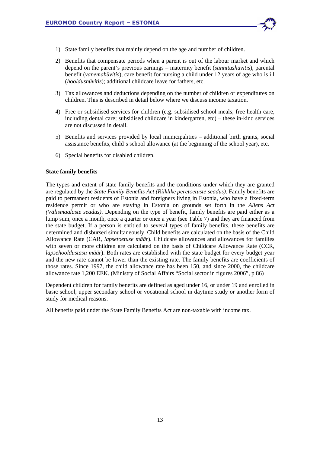

- 2) Benefits that compensate periods when a parent is out of the labour market and which depend on the parent's previous earnings – maternity benefit (*sünnitushüvitis*), parental benefit (*vanemahüvitis*), care benefit for nursing a child under 12 years of age who is ill (*hooldushüvitis*); additional childcare leave for fathers, etc.
- 3) Tax allowances and deductions depending on the number of children or expenditures on children. This is described in detail below where we discuss income taxation.
- 4) Free or subsidised services for children (e.g. subsidised school meals; free health care, including dental care; subsidised childcare in kindergarten, etc) – these in-kind services are not discussed in detail.
- 5) Benefits and services provided by local municipalities additional birth grants, social assistance benefits, child's school allowance (at the beginning of the school year), etc.
- 6) Special benefits for disabled children.

#### **State family benefits**

The types and extent of state family benefits and the conditions under which they are granted are regulated by the *State Family Benefits Act (Riiklike peretoetuste seadus)*. Family benefits are paid to permanent residents of Estonia and foreigners living in Estonia, who have a fixed-term residence permit or who are staying in Estonia on grounds set forth in the *Aliens Act (Välismaalaste seadus)*. Depending on the type of benefit, family benefits are paid either as a lump sum, once a month, once a quarter or once a year (see Table 7) and they are financed from the state budget. If a person is entitled to several types of family benefits, these benefits are determined and disbursed simultaneously. Child benefits are calculated on the basis of the Child Allowance Rate (CAR, *lapsetoetuse määr*). Childcare allowances and allowances for families with seven or more children are calculated on the basis of Childcare Allowance Rate (CCR, *lapsehooldustasu määr*). Both rates are established with the state budget for every budget year and the new rate cannot be lower than the existing rate. The family benefits are coefficients of those rates. Since 1997, the child allowance rate has been 150, and since 2000, the childcare allowance rate 1,200 EEK. (Ministry of Social Affairs "Social sector in figures 2006", p 86)

Dependent children for family benefits are defined as aged under 16, or under 19 and enrolled in basic school, upper secondary school or vocational school in daytime study or another form of study for medical reasons.

All benefits paid under the State Family Benefits Act are non-taxable with income tax.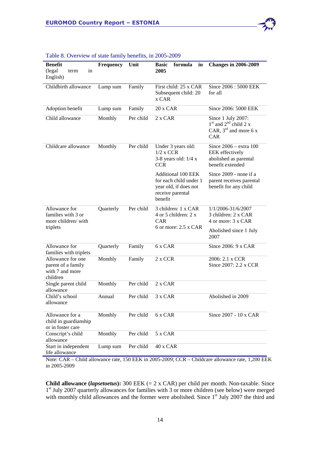| <b>Benefit</b><br>(legal<br>in<br>term<br>English)                     | <b>Frequency</b> | Unit      | <b>Basic</b><br>formula<br>in<br>2005                                                                       | <b>Changes in 2006-2009</b>                                                                             |
|------------------------------------------------------------------------|------------------|-----------|-------------------------------------------------------------------------------------------------------------|---------------------------------------------------------------------------------------------------------|
| Childbirth allowance                                                   | Lump sum         | Family    | First child: 25 x CAR<br>Subsequent child: 20<br>x CAR                                                      | Since 2006 : 5000 EEK<br>for all                                                                        |
| Adoption benefit                                                       | Lump sum         | Family    | 20 x CAR                                                                                                    | Since 2006: 5000 EEK                                                                                    |
| Child allowance                                                        | Monthly          | Per child | 2 x CAR                                                                                                     | Since 1 July 2007:<br>$1st$ and $2nd$ child 2 x<br>CAR, $3^{\text{rd}}$ and more 6 x<br>CAR             |
| Childcare allowance                                                    | Monthly          | Per child | Under 3 years old:<br>$1/2$ x CCR<br>3-8 years old: $1/4 x$<br><b>CCR</b>                                   | Since $2006 - \text{extra } 100$<br><b>EEK</b> effectively<br>abolished as parental<br>benefit extended |
|                                                                        |                  |           | <b>Additional 100 EEK</b><br>for each child under 1<br>year old, if does not<br>receive parental<br>benefit | Since 2009 - none if a<br>parent receives parental<br>benefit for any child                             |
| Allowance for<br>families with 3 or<br>more children/with              | Quarterly        | Per child | 3 children: 1 x CAR<br>4 or 5 children: 2 x<br><b>CAR</b>                                                   | 1/1/2006-31/6/2007<br>3 children: 2 x CAR<br>4 or more: 3 x CAR                                         |
| triplets                                                               |                  |           | 6 or more: $2.5 \times CAR$                                                                                 | Abolished since 1 July<br>2007                                                                          |
| Allowance for<br>families with triplets                                | Quarterly        | Family    | 6 x CAR                                                                                                     | Since $2006: 9x$ CAR                                                                                    |
| Allowance for one<br>parent of a family<br>with 7 and more<br>children | Monthly          | Family    | 2 x CCR                                                                                                     | 2006: 2.1 x CCR<br>Since 2007: 2.2 x CCR                                                                |
| Single parent child<br>allowance                                       | Monthly          | Per child | 2 x CAR                                                                                                     |                                                                                                         |
| Child's school<br>allowance                                            | Annual           | Per child | 3 x CAR                                                                                                     | Abolished in 2009                                                                                       |
| Allowance for a<br>child in guardianship<br>or in foster care          | Monthly          | Per child | 6 x CAR                                                                                                     | Since 2007 - 10 x CAR                                                                                   |
| Conscript's child<br>allowance                                         | Monthly          | Per child | 5 x CAR                                                                                                     |                                                                                                         |
| Start in independent<br>life allowance                                 | Lump sum         | Per child | 40 x CAR                                                                                                    |                                                                                                         |

#### Table 8. Overview of state family benefits, in 2005-2009

Note: CAR – Child allowance rate, 150 EEK in 2005-2009; CCR – Childcare allowance rate, 1,200 EEK in 2005-2009

**Child allowance (***lapsetoetus***):** 300 EEK (= 2 x CAR) per child per month. Non-taxable. Since 1<sup>st</sup> July 2007 quarterly allowances for families with 3 or more children (see below) were merged with monthly child allowances and the former were abolished. Since 1<sup>st</sup> July 2007 the third and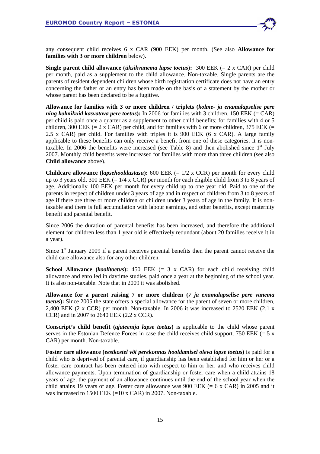

any consequent child receives 6 x CAR (900 EEK) per month. (See also **Allowance for families with 3 or more children** below).

**Single parent child allowance** *(üksikvanema lapse toetus)***:** 300 EEK  $(= 2 \times \text{CAR})$  per child per month, paid as a supplement to the child allowance. Non-taxable. Single parents are the parents of resident dependent children whose birth registration certificate does not have an entry concerning the father or an entry has been made on the basis of a statement by the mother or whose parent has been declared to be a fugitive.

**Allowance for families with 3 or more children / triplets (***kolme- ja enamalapselise pere ning kolmikuid kasvatava pere toetus***):** In 2006 for families with 3 children, 150 EEK (= CAR) per child is paid once a quarter as a supplement to other child benefits; for families with 4 or 5 children, 300 EEK (= 2 x CAR) per child, and for families with 6 or more children, 375 EEK (= 2.5 x CAR) per child. For families with triples it is 900 EEK (6 x CAR). A large family applicable to these benefits can only receive a benefit from one of these categories. It is nontaxable. In 2006 the benefits were increased (see Table 8) and then abolished since  $1<sup>st</sup>$  July 2007. Monthly child benefits were increased for families with more than three children (see also **Child allowance** above).

**Childcare allowance (***lapsehooldustasu***):** 600 EEK (= 1/2 x CCR) per month for every child up to 3 years old, 300 EEK  $(= 1/4 \times CCR)$  per month for each eligible child from 3 to 8 years of age. Additionally 100 EEK per month for every child up to one year old. Paid to one of the parents in respect of children under 3 years of age and in respect of children from 3 to 8 years of age if there are three or more children or children under 3 years of age in the family. It is nontaxable and there is full accumulation with labour earnings, and other benefits, except maternity benefit and parental benefit.

Since 2006 the duration of parental benefits has been increased, and therefore the additional element for children less than 1 year old is effectively redundant (about 20 families receive it in a year).

Since  $1<sup>st</sup>$  January 2009 if a parent receives parental benefits then the parent cannot receive the child care allowance also for any other children.

**School Allowance (***koolitoetus*): 450 EEK  $(= 3 \times \text{CAR})$  for each child receiving child allowance and enrolled in daytime studies, paid once a year at the beginning of the school year. It is also non-taxable. Note that in 2009 it was abolished.

**Allowance for a parent raising 7 or more children (***7 ja enamalapselise pere vanema toetus***):** Since 2005 the state offers a special allowance for the parent of seven or more children, 2,400 EEK (2 x CCR) per month. Non-taxable. In 2006 it was increased to 2520 EEK (2.1 x CCR) and in 2007 to 2640 EEK (2.2 x CCR).

**Conscript's child benefit (***ajateenija lapse toetus***)** is applicable to the child whose parent serves in the Estonian Defence Forces in case the child receives child support. 750 EEK  $(= 5 \times$ CAR) per month. Non-taxable.

**Foster care allowance (***eestkostel või perekonnas hooldamisel oleva lapse toetus***)** is paid for a child who is deprived of parental care, if guardianship has been established for him or her or a foster care contract has been entered into with respect to him or her, and who receives child allowance payments. Upon termination of guardianship or foster care when a child attains 18 years of age, the payment of an allowance continues until the end of the school year when the child attains 19 years of age. Foster care allowance was 900 EEK  $(= 6 \times \text{CAR})$  in 2005 and it was increased to 1500 EEK  $(=10 \times \text{CAR})$  in 2007. Non-taxable.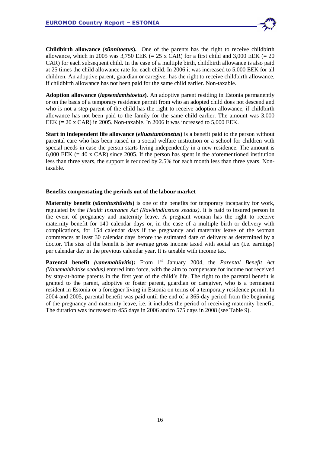

**Childbirth allowance** (*sünnitoetus***).** One of the parents has the right to receive childbirth allowance, which in 2005 was 3,750 EEK (= 25 x CAR) for a first child and 3,000 EEK (= 20 CAR) for each subsequent child. In the case of a multiple birth, childbirth allowance is also paid at 25 times the child allowance rate for each child. In 2006 it was increased to 5,000 EEK for all children. An adoptive parent, guardian or caregiver has the right to receive childbirth allowance, if childbirth allowance has not been paid for the same child earlier. Non-taxable.

**Adoption allowance (***lapsendamistoetus***)***.* An adoptive parent residing in Estonia permanently or on the basis of a temporary residence permit from who an adopted child does not descend and who is not a step-parent of the child has the right to receive adoption allowance, if childbirth allowance has not been paid to the family for the same child earlier. The amount was 3,000 EEK ( $= 20 \times \text{CAR}$ ) in 2005. Non-taxable. In 2006 it was increased to 5,000 EEK.

**Start in independent life allowance (***elluastumistoetus***)** is a benefit paid to the person without parental care who has been raised in a social welfare institution or a school for children with special needs in case the person starts living independently in a new residence. The amount is 6,000 EEK  $(= 40 \times \text{CAR})$  since 2005. If the person has spent in the aforementioned institution less than three years, the support is reduced by 2.5% for each month less than three years. Nontaxable.

# **Benefits compensating the periods out of the labour market**

**Maternity benefit (***sünnitushüvitis***)** is one of the benefits for temporary incapacity for work, regulated by the *Health Insurance Act (Ravikindlustuse seadus)*. It is paid to insured person in the event of pregnancy and maternity leave. A pregnant woman has the right to receive maternity benefit for 140 calendar days or, in the case of a multiple birth or delivery with complications, for 154 calendar days if the pregnancy and maternity leave of the woman commences at least 30 calendar days before the estimated date of delivery as determined by a doctor. The size of the benefit is her average gross income taxed with social tax (i.e. earnings) per calendar day in the previous calendar year. It is taxable with income tax.

**Parental benefit (vanemahüvitis):** From 1<sup>st</sup> January 2004, the *Parental Benefit Act (Vanemahüvitise seadus)* entered into force, with the aim to compensate for income not received by stay-at-home parents in the first year of the child's life. The right to the parental benefit is granted to the parent, adoptive or foster parent, guardian or caregiver, who is a permanent resident in Estonia or a foreigner living in Estonia on terms of a temporary residence permit. In 2004 and 2005, parental benefit was paid until the end of a 365-day period from the beginning of the pregnancy and maternity leave, i.e. it includes the period of receiving maternity benefit. The duration was increased to 455 days in 2006 and to 575 days in 2008 (see Table 9).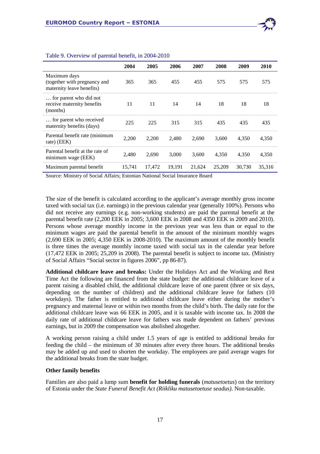|                                                                           | 2004   | 2005   | 2006   | 2007   | 2008   | 2009   | 2010   |
|---------------------------------------------------------------------------|--------|--------|--------|--------|--------|--------|--------|
| Maximum days<br>(together with pregnancy and<br>maternity leave benefits) | 365    | 365    | 455    | 455    | 575    | 575    | 575    |
| for parent who did not<br>receive maternity benefits<br>(months)          | 11     | 11     | 14     | 14     | 18     | 18     | 18     |
| for parent who received<br>maternity benefits (days)                      | 225    | 225    | 315    | 315    | 435    | 435    | 435    |
| Parental benefit rate (minimum<br>rate) (EEK)                             | 2,200  | 2,200  | 2,480  | 2,690  | 3,600  | 4,350  | 4,350  |
| Parental benefit at the rate of<br>minimum wage (EEK)                     | 2,480  | 2,690  | 3,000  | 3,600  | 4,350  | 4,350  | 4,350  |
| Maximum parental benefit                                                  | 15,741 | 17,472 | 19,191 | 21,624 | 25,209 | 30,730 | 35,316 |

#### Table 9. Overview of parental benefit, in 2004-2010

Source: Ministry of Social Affairs; Estonian National Social Insurance Board

The size of the benefit is calculated according to the applicant's average monthly gross income taxed with social tax (i.e. earnings) in the previous calendar year (generally 100%). Persons who did not receive any earnings (e.g. non-working students) are paid the parental benefit at the parental benefit rate (2,200 EEK in 2005; 3,600 EEK in 2008 and 4350 EEK in 2009 and 2010). Persons whose average monthly income in the previous year was less than or equal to the minimum wages are paid the parental benefit in the amount of the minimum monthly wages (2,690 EEK in 2005; 4,350 EEK in 2008-2010). The maximum amount of the monthly benefit is three times the average monthly income taxed with social tax in the calendar year before (17,472 EEK in 2005; 25,209 in 2008). The parental benefit is subject to income tax. (Ministry of Social Affairs "Social sector in figures 2006", pp 86-87).

**Additional childcare leave and breaks:** Under the Holidays Act and the Working and Rest Time Act the following are financed from the state budget: the additional childcare leave of a parent raising a disabled child, the additional childcare leave of one parent (three or six days, depending on the number of children) and the additional childcare leave for fathers (10 workdays). The father is entitled to additional childcare leave either during the mother's pregnancy and maternal leave or within two months from the child's birth. The daily rate for the additional childcare leave was 66 EEK in 2005, and it is taxable with income tax. In 2008 the daily rate of additional childcare leave for fathers was made dependent on fathers' previous earnings, but in 2009 the compensation was abolished altogether.

A working person raising a child under 1.5 years of age is entitled to additional breaks for feeding the child – the minimum of 30 minutes after every three hours. The additional breaks may be added up and used to shorten the workday. The employees are paid average wages for the additional breaks from the state budget.

#### **Other family benefits**

Families are also paid a lump sum **benefit for holding funerals** (*matusetoetus*) on the territory of Estonia under the *State Funeral Benefit Act (Riikliku matusetoetuse seadus)*. Non-taxable.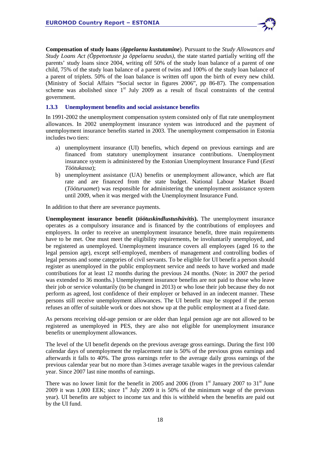**Compensation of study loans** (*õppelaenu kustutamine*). Pursuant to the *Study Allowances and Study Loans Act (Õppetoetuste ja õppelaenu seadus)*, the state started partially writing off the parents' study loans since 2004, writing off 50% of the study loan balance of a parent of one child, 75% of the study loan balance of a parent of twins and 100% of the study loan balance of a parent of triplets. 50% of the loan balance is written off upon the birth of every new child. (Ministry of Social Affairs "Social sector in figures 2006", pp 86-87). The compensation scheme was abolished since  $1<sup>st</sup>$  July 2009 as a result of fiscal constraints of the central government.

# **1.3.3 Unemployment benefits and social assistance benefits**

In 1991-2002 the unemployment compensation system consisted only of flat rate unemployment allowances. In 2002 unemployment insurance system was introduced and the payment of unemployment insurance benefits started in 2003. The unemployment compensation in Estonia includes two tiers:

- a) unemployment insurance (UI) benefits, which depend on previous earnings and are financed from statutory unemployment insurance contributions. Unemployment insurance system is administered by the Estonian Unemployment Insurance Fund (*Eesti Töötukassa*);
- b) unemployment assistance (UA) benefits or unemployment allowance, which are flat rate and are financed from the state budget. National Labour Market Board (*Tööturuamet*) was responsible for administering the unemployment assistance system until 2009, when it was merged with the Unemployment Insurance Fund.

In addition to that there are severance payments.

**Unemployment insurance benefit (***töötuskindlustushüvitis***).** The unemployment insurance operates as a compulsory insurance and is financed by the contributions of employees and employers. In order to receive an unemployment insurance benefit, three main requirements have to be met. One must meet the eligibility requirements, be involuntarily unemployed, and be registered as unemployed. Unemployment insurance covers all employees (aged 16 to the legal pension age), except self-employed, members of management and controlling bodies of legal persons and some categories of civil servants. To be eligible for UI benefit a person should register as unemployed in the public employment service and needs to have worked and made contributions for at least 12 months during the previous 24 months. (Note: in 2007 the period was extended to 36 months.) Unemployment insurance benefits are not paid to those who leave their job or service voluntarily (to be changed in 2013) or who lose their job because they do not perform as agreed, lost confidence of their employer or behaved in an indecent manner. These persons still receive unemployment allowances. The UI benefit may be stopped if the person refuses an offer of suitable work or does not show up at the public employment at a fixed date.

As persons receiving old-age pension or are older than legal pension age are not allowed to be registered as unemployed in PES, they are also not eligible for unemployment insurance benefits or unemployment allowances.

The level of the UI benefit depends on the previous average gross earnings. During the first 100 calendar days of unemployment the replacement rate is 50% of the previous gross earnings and afterwards it falls to 40%. The gross earnings refer to the average daily gross earnings of the previous calendar year but no more than 3-times average taxable wages in the previous calendar year. Since 2007 last nine months of earnings.

There was no lower limit for the benefit in 2005 and 2006 (from  $1<sup>st</sup>$  January 2007 to 31 $<sup>st</sup>$  June</sup> 2009 it was 1,000 EEK; since  $1<sup>st</sup>$  July 2009 it is 50% of the minimum wage of the previous year). UI benefits are subject to income tax and this is withheld when the benefits are paid out by the UI fund.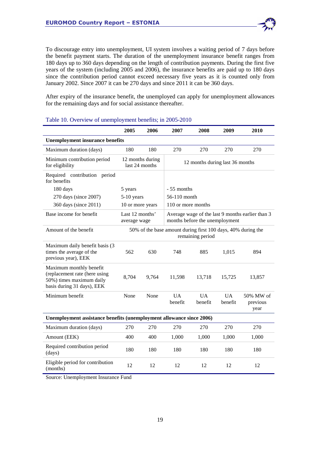To discourage entry into unemployment, UI system involves a waiting period of 7 days before the benefit payment starts. The duration of the unemployment insurance benefit ranges from 180 days up to 360 days depending on the length of contribution payments. During the first five years of the system (including 2005 and 2006), the insurance benefits are paid up to 180 days since the contribution period cannot exceed necessary five years as it is counted only from January 2002. Since 2007 it can be 270 days and since 2011 it can be 360 days.

After expiry of the insurance benefit, the unemployed can apply for unemployment allowances for the remaining days and for social assistance thereafter.

|                                                                                                                    | 2005                                                                             | 2006                                                                                                                  | 2007                            | 2008                 | 2009                 | 2010                          |
|--------------------------------------------------------------------------------------------------------------------|----------------------------------------------------------------------------------|-----------------------------------------------------------------------------------------------------------------------|---------------------------------|----------------------|----------------------|-------------------------------|
| <b>Unemployment insurance benefits</b>                                                                             |                                                                                  |                                                                                                                       |                                 |                      |                      |                               |
| Maximum duration (days)                                                                                            | 180                                                                              | 180                                                                                                                   | 270                             | 270                  | 270                  | 270                           |
| Minimum contribution period<br>for eligibility                                                                     |                                                                                  | 12 months during<br>last 24 months                                                                                    | 12 months during last 36 months |                      |                      |                               |
| Required contribution period<br>for benefits                                                                       |                                                                                  |                                                                                                                       |                                 |                      |                      |                               |
| 180 days                                                                                                           | 5 years                                                                          |                                                                                                                       | - 55 months                     |                      |                      |                               |
| 270 days (since 2007)                                                                                              | 5-10 years                                                                       |                                                                                                                       | 56-110 month                    |                      |                      |                               |
| 360 days (since 2011)                                                                                              | 10 or more years                                                                 |                                                                                                                       | 110 or more months              |                      |                      |                               |
| Base income for benefit                                                                                            |                                                                                  | Last 12 months'<br>Average wage of the last 9 months earlier than 3<br>months before the unemployment<br>average wage |                                 |                      |                      |                               |
| Amount of the benefit                                                                                              | 50% of the base amount during first 100 days, 40% during the<br>remaining period |                                                                                                                       |                                 |                      |                      |                               |
| Maximum daily benefit basis (3<br>times the average of the<br>previous year), EEK                                  | 562                                                                              | 630                                                                                                                   | 748                             | 885                  | 1,015                | 894                           |
| Maximum monthly benefit<br>(replacement rate (here using<br>50%) times maximum daily<br>basis during 31 days), EEK | 8,704                                                                            | 9,764                                                                                                                 | 11,598                          | 13,718               | 15,725               | 13,857                        |
| Minimum benefit                                                                                                    | None                                                                             | None                                                                                                                  | <b>UA</b><br>benefit            | <b>UA</b><br>benefit | <b>UA</b><br>benefit | 50% MW of<br>previous<br>year |
| Unemployment assistance benefits (unemployment allowance since 2006)                                               |                                                                                  |                                                                                                                       |                                 |                      |                      |                               |
| Maximum duration (days)                                                                                            | 270                                                                              | 270                                                                                                                   | 270                             | 270                  | 270                  | 270                           |
| Amount (EEK)                                                                                                       | 400                                                                              | 400                                                                                                                   | 1,000                           | 1,000                | 1,000                | 1,000                         |
| Required contribution period<br>(days)                                                                             | 180                                                                              | 180                                                                                                                   | 180                             | 180                  | 180                  | 180                           |
| Eligible period for contribution<br>(months)                                                                       | 12                                                                               | 12                                                                                                                    | 12                              | 12                   | 12                   | 12                            |

#### Table 10. Overview of unemployment benefits; in 2005-2010

Source: Unemployment Insurance Fund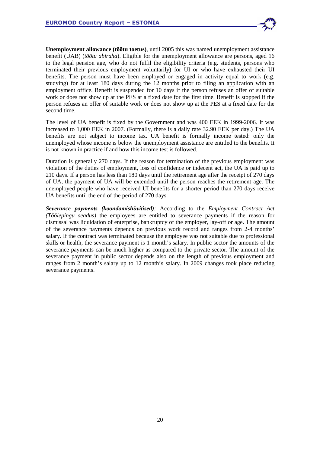

**Unemployment allowance (töötu toetus)**, until 2005 this was named unemployment assistance benefit (UAB) (*töötu abiraha*). Eligible for the unemployment allowance are persons, aged 16 to the legal pension age, who do not fulfil the eligibility criteria (e.g. students, persons who terminated their previous employment voluntarily) for UI or who have exhausted their UI benefits. The person must have been employed or engaged in activity equal to work (e.g. studying) for at least 180 days during the 12 months prior to filing an application with an employment office. Benefit is suspended for 10 days if the person refuses an offer of suitable work or does not show up at the PES at a fixed date for the first time. Benefit is stopped if the person refuses an offer of suitable work or does not show up at the PES at a fixed date for the second time.

The level of UA benefit is fixed by the Government and was 400 EEK in 1999-2006. It was increased to 1,000 EEK in 2007. (Formally, there is a daily rate 32.90 EEK per day.) The UA benefits are not subject to income tax. UA benefit is formally income tested: only the unemployed whose income is below the unemployment assistance are entitled to the benefits. It is not known in practice if and how this income test is followed.

Duration is generally 270 days. If the reason for termination of the previous employment was violation of the duties of employment, loss of confidence or indecent act, the UA is paid up to 210 days. If a person has less than 180 days until the retirement age after the receipt of 270 days of UA, the payment of UA will be extended until the person reaches the retirement age. The unemployed people who have received UI benefits for a shorter period than 270 days receive UA benefits until the end of the period of 270 days.

*Severance payments (koondamishüvitised):* According to the *Employment Contract Act (Töölepingu seadus)* the employees are entitled to severance payments if the reason for dismissal was liquidation of enterprise, bankruptcy of the employer, lay-off or age. The amount of the severance payments depends on previous work record and ranges from 2-4 months' salary. If the contract was terminated because the employee was not suitable due to professional skills or health, the severance payment is 1 month's salary. In public sector the amounts of the severance payments can be much higher as compared to the private sector. The amount of the severance payment in public sector depends also on the length of previous employment and ranges from 2 month's salary up to 12 month's salary. In 2009 changes took place reducing severance payments.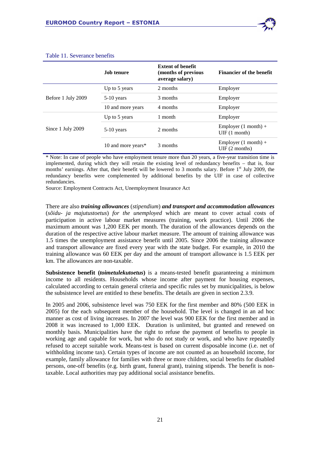| ٠, |
|----|
|    |
|    |
|    |
|    |

|                    | Job tenure         | <b>Extent of benefit</b><br>(months of previous<br>average salary) | <b>Financier of the benefit</b>         |
|--------------------|--------------------|--------------------------------------------------------------------|-----------------------------------------|
|                    | Up to 5 years      | 2 months                                                           | Employer                                |
| Before 1 July 2009 | $5-10$ years       | 3 months                                                           | Employer                                |
|                    | 10 and more years  | 4 months                                                           | Employer                                |
|                    | Up to 5 years      | 1 month                                                            | Employer                                |
| Since 1 July 2009  | $5-10$ years       | 2 months                                                           | Employer $(1$ month) +<br>UIF(1 month)  |
|                    | 10 and more years* | 3 months                                                           | Employer $(1$ month) +<br>UIF(2 months) |

Table 11. Severance benefits

\* Note: In case of people who have employment tenure more than 20 years, a five-year transition time is implemented, during which they will retain the existing level of redundancy benefits – that is, four months' earnings. After that, their benefit will be lowered to 3 months salary. Before  $1<sup>st</sup>$  July 2009, the redundancy benefits were complemented by additional benefits by the UIF in case of collective redundancies.

Source: Employment Contracts Act, Unemployment Insurance Act

There are also *training allowances* (*stipendium*) *and transport and accommodation allowances*  (*sõidu- ja majutustoetus*) *for the unemployed* which are meant to cover actual costs of participation in active labour market measures (training, work practice). Until 2006 the maximum amount was 1,200 EEK per month. The duration of the allowances depends on the duration of the respective active labour market measure. The amount of training allowance was 1.5 times the unemployment assistance benefit until 2005. Since 2006 the training allowance and transport allowance are fixed every year with the state budget. For example, in 2010 the training allowance was 60 EEK per day and the amount of transport allowance is 1.5 EEK per km. The allowances are non-taxable.

**Subsistence benefit (***toimetulekutoetus***)** is a means-tested benefit guaranteeing a minimum income to all residents. Households whose income after payment for housing expenses, calculated according to certain general criteria and specific rules set by municipalities, is below the subsistence level are entitled to these benefits. The details are given in section 2.3.9.

In 2005 and 2006, subsistence level was 750 EEK for the first member and 80% (500 EEK in 2005) for the each subsequent member of the household. The level is changed in an ad hoc manner as cost of living increases. In 2007 the level was 900 EEK for the first member and in 2008 it was increased to 1,000 EEK. Duration is unlimited, but granted and renewed on monthly basis. Municipalities have the right to refuse the payment of benefits to people in working age and capable for work, but who do not study or work, and who have repeatedly refused to accept suitable work. Means-test is based on current disposable income (i.e. net of withholding income tax). Certain types of income are not counted as an household income, for example, family allowance for families with three or more children, social benefits for disabled persons, one-off benefits (e.g. birth grant, funeral grant), training stipends. The benefit is nontaxable. Local authorities may pay additional social assistance benefits.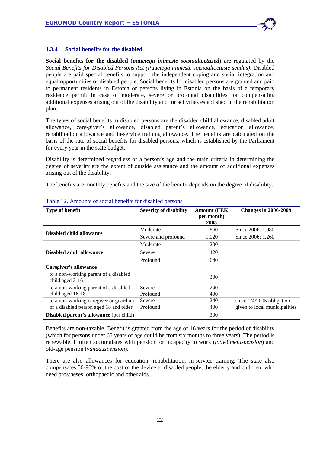

## **1.3.4 Social benefits for the disabled**

**Social benefits for the disabled** (*puuetega inimeste sotsiaaltoetused*) are regulated by the *Social Benefits for Disabled Persons Act (Puuetega inimeste sotsiaaltoetuste seadus)*. Disabled people are paid special benefits to support the independent coping and social integration and equal opportunities of disabled people. Social benefits for disabled persons are granted and paid to permanent residents in Estonia or persons living in Estonia on the basis of a temporary residence permit in case of moderate, severe or profound disabilities for compensating additional expenses arising out of the disability and for activities established in the rehabilitation plan.

The types of social benefits to disabled persons are the disabled child allowance, disabled adult allowance, care-giver's allowance, disabled parent's allowance, education allowance, rehabilitation allowance and in-service training allowance. The benefits are calculated on the basis of the rate of social benefits for disabled persons, which is established by the Parliament for every year in the state budget.

Disability is determined regardless of a person's age and the main criteria in determining the degree of severity are the extent of outside assistance and the amount of additional expenses arising out of the disability.

The benefits are monthly benefits and the size of the benefit depends on the degree of disability.

| Type of benefit                                          | <b>Severity of disability</b> | <b>Amount (EEK)</b><br>per month)<br>2005 | <b>Changes in 2006-2009</b>   |
|----------------------------------------------------------|-------------------------------|-------------------------------------------|-------------------------------|
| Disabled child allowance                                 | Moderate                      | 860                                       | Since 2006: 1,080             |
|                                                          | Severe and profound           | 1,020                                     | Since 2006: 1,260             |
|                                                          | Moderate                      | 200                                       |                               |
| Disabled adult allowance                                 | Severe                        | 420                                       |                               |
|                                                          | Profound                      | 640                                       |                               |
| Caregiver's allowance                                    |                               |                                           |                               |
| to a non-working parent of a disabled<br>child aged 3-16 |                               | 300                                       |                               |
| to a non-working parent of a disabled                    | Severe                        | 240                                       |                               |
| child aged 16-18                                         | Profound                      | 400                                       |                               |
| to a non-working caregiver or guardian                   | Severe                        | 240                                       | since $1/4/2005$ obligation   |
| of a disabled person aged 18 and older                   | Profound                      | 400                                       | given to local municipalities |
| <b>Disabled parent's allowance</b> (per child)           |                               | 300                                       |                               |

# Table 12. Amounts of social benefits for disabled persons

Benefits are non-taxable. Benefit is granted from the age of 16 years for the period of disability (which for persons under 65 years of age could be from six months to three years). The period is renewable. It often accumulates with pension for incapacity to work (*töövõimetuspension*) and old-age pension (*vanaduspension*).

There are also allowances for education, rehabilitation, in-service training. The state also compensates 50-90% of the cost of the device to disabled people, the elderly and children, who need prostheses, orthopaedic and other aids.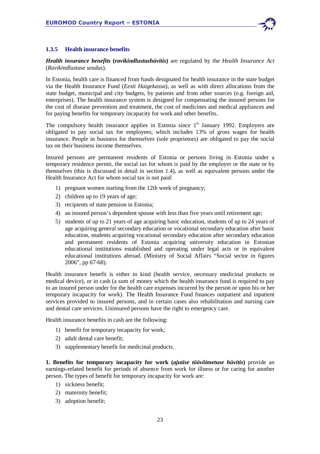

# **1.3.5 Health insurance benefits**

# *Health insurance benefits* **(***ravikindlustushüvitis***)** are regulated by the *Health Insurance Act*  (*Ravikindlustuse seadus*).

In Estonia, health care is financed from funds designated for health insurance in the state budget via the Health Insurance Fund (*Eesti Haigekassa*), as well as with direct allocations from the state budget, municipal and city budgets, by patients and from other sources (e.g. foreign aid, enterprises). The health insurance system is designed for compensating the insured persons for the cost of disease prevention and treatment, the cost of medicines and medical appliances and for paying benefits for temporary incapacity for work and other benefits.

The compulsory health insurance applies in Estonia since  $1<sup>st</sup>$  January 1992. Employers are obligated to pay social tax for employees, which includes 13% of gross wages for health insurance. People in business for themselves (sole proprietors) are obligated to pay the social tax on their business income themselves.

Insured persons are permanent residents of Estonia or persons living in Estonia under a temporary residence permit, the social tax for whom is paid by the employer or the state or by themselves (this is discussed in detail in section 1.4), as well as equivalent persons under the Health Insurance Act for whom social tax is not paid:

- 1) pregnant women starting from the 12th week of pregnancy;
- 2) children up to 19 years of age;
- 3) recipients of state pension in Estonia;
- 4) an insured person's dependent spouse with less than five years until retirement age;
- 5) students of up to 21 years of age acquiring basic education, students of up to 24 years of age acquiring general secondary education or vocational secondary education after basic education, students acquiring vocational secondary education after secondary education and permanent residents of Estonia acquiring university education in Estonian educational institutions established and operating under legal acts or in equivalent educational institutions abroad. (Ministry of Social Affairs "Social sector in figures 2006", pp 67-68).

Health insurance benefit is either in kind (health service, necessary medicinal products or medical device), or in cash (a sum of money which the health insurance fund is required to pay to an insured person under for the health care expenses incurred by the person or upon his or her temporary incapacity for work). The Health Insurance Fund finances outpatient and inpatient services provided to insured persons, and in certain cases also rehabilitation and nursing care and dental care services. Uninsured persons have the right to emergency care.

Health insurance benefits in cash are the following:

- 1) benefit for temporary incapacity for work;
- 2) adult dental care benefit;
- 3) supplementary benefit for medicinal products.

**1. Benefits for temporary incapacity for work (***ajutise töövõimetuse hüvitis***)** provide an earnings-related benefit for periods of absence from work for illness or for caring for another person. The types of benefit for temporary incapacity for work are:

- 1) sickness benefit;
- 2) maternity benefit;
- 3) adoption benefit;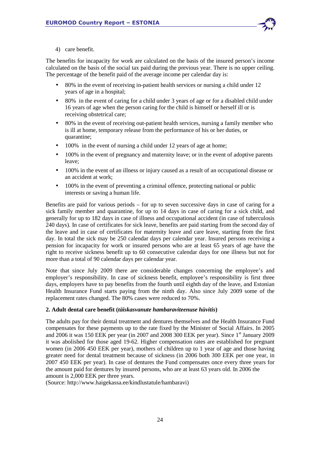

4) care benefit.

The benefits for incapacity for work are calculated on the basis of the insured person's income calculated on the basis of the social tax paid during the previous year. There is no upper ceiling. The percentage of the benefit paid of the average income per calendar day is:

- 80% in the event of receiving in-patient health services or nursing a child under 12 years of age in a hospital;
- 80% in the event of caring for a child under 3 years of age or for a disabled child under 16 years of age when the person caring for the child is himself or herself ill or is receiving obstetrical care;
- 80% in the event of receiving out-patient health services, nursing a family member who is ill at home, temporary release from the performance of his or her duties, or quarantine;
- 100% in the event of nursing a child under 12 years of age at home;
- 100% in the event of pregnancy and maternity leave; or in the event of adoptive parents leave;
- 100% in the event of an illness or injury caused as a result of an occupational disease or an accident at work;
- 100% in the event of preventing a criminal offence, protecting national or public interests or saving a human life.

Benefits are paid for various periods – for up to seven successive days in case of caring for a sick family member and quarantine, for up to 14 days in case of caring for a sick child, and generally for up to 182 days in case of illness and occupational accident (in case of tuberculosis 240 days). In case of certificates for sick leave, benefits are paid starting from the second day of the leave and in case of certificates for maternity leave and care leave, starting from the first day. In total the sick may be 250 calendar days per calendar year. Insured persons receiving a pension for incapacity for work or insured persons who are at least 65 years of age have the right to receive sickness benefit up to 60 consecutive calendar days for one illness but not for more than a total of 90 calendar days per calendar year.

Note that since July 2009 there are considerable changes concerning the employee's and employer's responsibility. In case of sickness benefit, employee's responsibility is first three days, employers have to pay benefits from the fourth until eighth day of the leave, and Estonian Health Insurance Fund starts paying from the ninth day. Also since July 2009 some of the replacement rates changed. The 80% cases were reduced to 70%.

# **2. Adult dental care benefit (***täiskasvanute hambaraviteenuse hüvitis***)**

The adults pay for their dental treatment and dentures themselves and the Health Insurance Fund compensates for these payments up to the rate fixed by the Minister of Social Affairs. In 2005 and 2006 it was 150 EEK per year (in 2007 and 2008 300 EEK per year). Since  $1<sup>st</sup>$  January 2009 it was abolished for those aged 19-62. Higher compensation rates are established for pregnant women (in 2006 450 EEK per year), mothers of children up to 1 year of age and those having greater need for dental treatment because of sickness (in 2006 both 300 EEK per one year, in 2007 450 EEK per year). In case of dentures the Fund compensates once every three years for the amount paid for dentures by insured persons, who are at least 63 years old. In 2006 the amount is 2,000 EEK per three years.

(Source: http://www.haigekassa.ee/kindlustatule/hambaravi)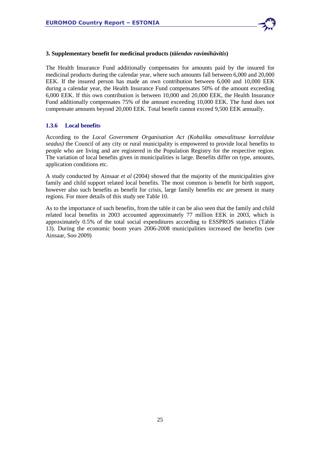

# **3. Supplementary benefit for medicinal products (***täiendav ravimihüvitis***)**

The Health Insurance Fund additionally compensates for amounts paid by the insured for medicinal products during the calendar year, where such amounts fall between 6,000 and 20,000 EEK. If the insured person has made an own contribution between 6,000 and 10,000 EEK during a calendar year, the Health Insurance Fund compensates 50% of the amount exceeding 6,000 EEK. If this own contribution is between 10,000 and 20,000 EEK, the Health Insurance Fund additionally compensates 75% of the amount exceeding 10,000 EEK. The fund does not compensate amounts beyond 20,000 EEK. Total benefit cannot exceed 9,500 EEK annually.

# **1.3.6 Local benefits**

According to the *Local Government Organisation Act (Kohaliku omavalitsuse korralduse seadus)* the Council of any city or rural municipality is empowered to provide local benefits to people who are living and are registered in the Population Registry for the respective region. The variation of local benefits given in municipalities is large. Benefits differ on type, amounts, application conditions etc.

A study conducted by Ainsaar *et al* (2004) showed that the majority of the municipalities give family and child support related local benefits. The most common is benefit for birth support, however also such benefits as benefit for crisis, large family benefits etc are present in many regions. For more details of this study see Table 10.

As to the importance of such benefits, from the table it can be also seen that the family and child related local benefits in 2003 accounted approximately 77 million EEK in 2003, which is approximately 0.5% of the total social expenditures according to ESSPROS statistics (Table 13). During the economic boom years 2006-2008 municipalities increased the benefits (see Ainsaar, Soo 2009)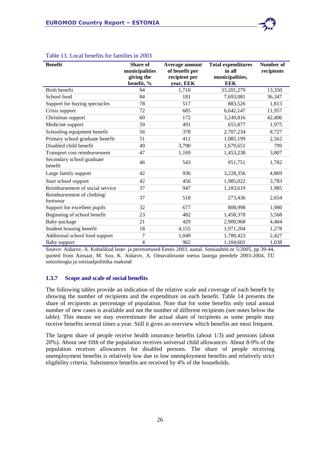| <b>Benefit</b>                              | <b>Share of</b><br>municipalities<br>giving the<br>benefit, % | Average amount<br>of benefit per<br>recipient per<br>year, EEK | <b>Total expenditures</b><br>in all<br>municipalities,<br><b>EEK</b> | Number of<br>recipients |
|---------------------------------------------|---------------------------------------------------------------|----------------------------------------------------------------|----------------------------------------------------------------------|-------------------------|
| Birth benefit                               | 94                                                            | 1,710                                                          | 33,201,279                                                           | 13,350                  |
| School food                                 | 84                                                            | 181                                                            | 7,693,081                                                            | 36,347                  |
| Support for buying spectacles               | 78                                                            | 517                                                            | 883,526                                                              | 1,813                   |
| Crisis support                              | 72                                                            | 685                                                            | 6,642,147                                                            | 11,957                  |
| Christmas support                           | 60                                                            | 172                                                            | 3,249,816                                                            | 42,406                  |
| Medicine support                            | 59                                                            | 491                                                            | 655,877                                                              | 1,975                   |
| Schooling equipment benefit                 | 56                                                            | 378                                                            | 2,707,234                                                            | 8,727                   |
| Primary school graduate benefit             | 51                                                            | 412                                                            | 1,085,199                                                            | 2,562                   |
| Disabled child benefit                      | 49                                                            | 3,790                                                          | 1,679,651                                                            | 799                     |
| Transport cost reimbursement                | 47                                                            | 1,169                                                          | 1,453,238                                                            | 3,807                   |
| Secondary school graduate<br><b>benefit</b> | 46                                                            | 543                                                            | 951,751                                                              | 1,782                   |
| Large family support                        | 42                                                            | 936                                                            | 3,228,356                                                            | 4,869                   |
| Start school support                        | 42                                                            | 456                                                            | 1,985,022                                                            | 3,783                   |
| Reimbursement of social service             | 37                                                            | 947                                                            | 1,183,619                                                            | 1,985                   |
| Reimbursement of clothing/<br>footwear      | 37                                                            | 518                                                            | 273,436                                                              | 2,654                   |
| Support for excellent pupils                | 32                                                            | 677                                                            | 808,998                                                              | 1,980                   |
| Beginning of school benefit                 | 23                                                            | 482                                                            | 1,458,378                                                            | 3,568                   |
| Baby-package                                | 21                                                            | 429                                                            | 2,900,968                                                            | 4,404                   |
| Student housing benefit                     | 18                                                            | 4,155                                                          | 1,971,204                                                            | 1,278                   |
| Additional school food support              | $\boldsymbol{7}$                                              | 1,049                                                          | 1,789,423                                                            | 2,427                   |
| Baby support                                | 4                                                             | 962                                                            | 1,104,601                                                            | 1,038                   |

#### Table 13. Local benefits for families in 2003

Source: Aidarov, A. Kohalikud laste- ja peretoetused Eestis 2003. aastal. Sotsiaaltöö nr 5/2005, pp 39-44, quoted from Ainsaar, M. Soo, K. Aidarov, A. Omavalitsuste toetus lastega peredele 2003-2004, TÜ sotsioloogia ja sotsiaalpoliitika osakond

# **1.3.7 Scope and scale of social benefits**

The following tables provide an indication of the relative scale and coverage of each benefit by showing the number of recipients and the expenditure on each benefit. Table 14 presents the share of recipients as percentage of population. Note that for some benefits only total annual number of new cases is available and not the number of different recipients (see notes below the table). This means we may overestimate the actual share of recipients as some people may receive benefits several times a year. Still it gives an overview which benefits are most frequent.

The largest share of people receive health insurance benefits (about 1/3) and pensions (about 20%). About one fifth of the population receives universal child allowances. About 8-9% of the population receives allowances for disabled persons. The share of people receiving unemployment benefits is relatively low due to low unemployment benefits and relatively strict eligibility criteria. Subsistence benefits are received by 4% of the households.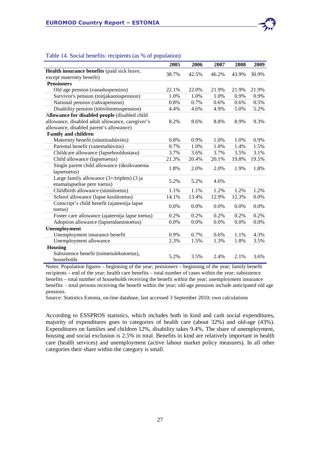

|                                                  | 2005  | 2006  | 2007  | 2008  | 2009  |
|--------------------------------------------------|-------|-------|-------|-------|-------|
| Health insurance benefits (paid sick leave,      |       |       |       |       |       |
| except maternity benefit)                        | 38.7% | 42.5% | 46.2% | 43.9% | 30.9% |
| <b>Pensioners</b>                                |       |       |       |       |       |
| Old age pension (vanaduspension)                 | 22.1% | 22.0% | 21.9% | 21.9% | 21.9% |
| Survivor's pension (toitjakaotuspension)         | 1.0%  | 1.0%  | 1.0%  | 0.9%  | 0.9%  |
| National pension (rahvapension)                  | 0.8%  | 0.7%  | 0.6%  | 0.6%  | 0.5%  |
| Disability pension (töövõimetuspension)          | 4.4%  | 4.6%  | 4.9%  | 5.0%  | 5.2%  |
| Allowance for disabled people (disabled child    |       |       |       |       |       |
| allowance, disabled adult allowance, caregiver's | 8.2%  | 8.6%  | 8.8%  | 8.9%  | 9.3%  |
| allowance, disabled parent's allowance)          |       |       |       |       |       |
| <b>Family and children</b>                       |       |       |       |       |       |
| Maternity benefit (sünnitushüvitis)              | 0.8%  | 0.9%  | 1.0%  | 1.0%  | 0.9%  |
| Parental benefit (vanemahüvitis)                 | 0.7%  | 1.0%  | 1.0%  | 1.4%  | 1.5%  |
| Childcare allowance (lapsehooldustasu)           | 3.7%  | 3.6%  | 3.7%  | 3.5%  | 3.1%  |
| Child allowance (lapsetoetus)                    | 21.3% | 20.4% | 20.1% | 19.8% | 19.5% |
| Single parent child allowance (üksikvanema       | 1.8%  | 2.0%  | 2.0%  | 1.9%  | 1.8%  |
| lapsetoetus)                                     |       |       |       |       |       |
| Large family allowance $(3+/triplets)$ (3 ja     | 5.2%  | 5.2%  | 4.6%  |       |       |
| enamalapselise pere toetus)                      |       |       |       |       |       |
| Childbirth allowance (sünnitoetus)               | 1.1%  | 1.1%  | 1.2%  | 1.2%  | 1.2%  |
| School allowance (lapse koolitoetus)             | 14.1% | 13.4% | 12.9% | 12.3% | 0.0%  |
| Conscript's child benefit (ajateenija lapse      | 0.0%  | 0.0%  | 0.0%  | 0.0%  | 0.0%  |
| toetus)                                          |       |       |       |       |       |
| Foster care allowance (ajateenija lapse toetus)  | 0.2%  | 0.2%  | 0.2%  | 0.2%  | 0.2%  |
| Adoption allowance (lapsendamistoetus)           | 0.0%  | 0.0%  | 0.0%  | 0.0%  | 0.0%  |
| Unemployment                                     |       |       |       |       |       |
| Unemployment insurance benefit                   | 0.9%  | 0.7%  | 0.6%  | 1.1%  | 4.3%  |
| Unemployment allowance                           | 2.3%  | 1.5%  | 1.3%  | 1.8%  | 3.5%  |
| <b>Housing</b>                                   |       |       |       |       |       |
| Subsistence benefit (toimetulekutoetus),         | 5.2%  | 3.5%  | 2.4%  | 2.1%  | 3.6%  |
| households                                       |       |       |       |       |       |

Notes: Population figures – beginning of the year; pensioners – beginning of the year; family benefit recipients – end of the year; health care benefits – total number of cases within the year; subsistence benefits – total number of households receiving the benefit within the year; unemployment insurance benefits - total persons receiving the benefit within the year; old-age pensions include anticipated old age pensions.

Source: Statistics Estonia, on-line database, last accessed 3 September 2010; own calculations

According to ESSPROS statistics, which includes both in kind and cash social expenditures, majority of expenditures goes to categories of health care (about 32%) and old-age (43%). Expenditures on families and children 12%, disability takes 9.4%. The share of unemployment, housing and social exclusion is 2.5% in total. Benefits in kind are relatively important in health care (health services) and unemployment (active labour market policy measures). In all other categories their share within the category is small.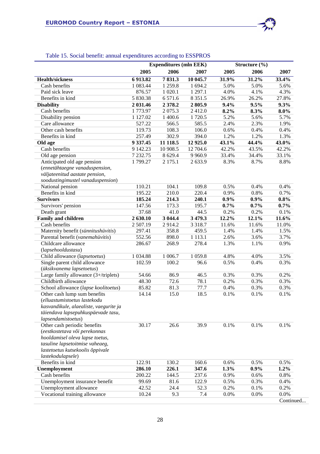

|                                        | <b>Expenditures (mln EEK)</b><br>Structure $(\% )$ |            |             |       |       |           |
|----------------------------------------|----------------------------------------------------|------------|-------------|-------|-------|-----------|
|                                        | 2005                                               | 2006       | 2007        | 2005  | 2006  | 2007      |
| <b>Health/sickness</b>                 | 6 913.82                                           | 7831.3     | 10 045.7    | 31.9% | 31.2% | 33.4%     |
| Cash benefits                          | 1 083.44                                           | 1 259.8    | 1 694.2     | 5.0%  | 5.0%  | 5.6%      |
| Paid sick leave                        | 876.57                                             | 1 0 20.1   | 1 297.1     | 4.0%  | 4.1%  | 4.3%      |
| Benefits in kind                       | 5 830.38                                           | 6 571.6    | 8 3 5 1 . 5 | 26.9% | 26.2% | 27.8%     |
| <b>Disability</b>                      | 2 031.46                                           | 2 3 7 8 .2 | 2805.9      | 9.4%  | 9.5%  | 9.3%      |
| Cash benefits                          | 1773.97                                            | 2 0 7 5 .3 | 2412.0      | 8.2%  | 8.3%  | $8.0\%$   |
| Disability pension                     | 1 127.02                                           | 1 400.6    | 1720.5      | 5.2%  | 5.6%  | 5.7%      |
| Care allowance                         | 527.22                                             | 566.5      | 585.5       | 2.4%  | 2.3%  | 1.9%      |
| Other cash benefits                    | 119.73                                             | 108.3      | 106.0       | 0.6%  | 0.4%  | 0.4%      |
| Benefits in kind                       | 257.49                                             | 302.9      | 394.0       | 1.2%  | 1.2%  | 1.3%      |
| Old age                                | 9 337.45                                           | 11 118.5   | 12 9 25.0   | 43.1% | 44.4% | 43.0%     |
| Cash benefits                          | 9 142.23                                           | 10 908.5   | 12 704.6    | 42.2% | 43.5% | 42.2%     |
| Old age pension                        | 7 232.75                                           | 8 629.4    | 9 9 6 0.9   | 33.4% | 34.4% | 33.1%     |
| Anticipated old age pension            | 1799.27                                            | 2 175.1    | 2633.9      | 8.3%  | 8.7%  | 8.8%      |
| (ennetähtaegne vanaduspension,         |                                                    |            |             |       |       |           |
| väljateenitud aastate pension,         |                                                    |            |             |       |       |           |
| soodustingimustel vanaduspension)      |                                                    |            |             |       |       |           |
| National pension                       | 110.21                                             | 104.1      | 109.8       | 0.5%  | 0.4%  | 0.4%      |
| Benefits in kind                       | 195.22                                             | 210.0      | 220.4       | 0.9%  | 0.8%  | 0.7%      |
|                                        |                                                    |            |             |       |       |           |
| <b>Survivors</b>                       | 185.24                                             | 214.3      | 240.1       | 0.9%  | 0.9%  | $0.8\%$   |
| Survivors' pension                     | 147.56                                             | 173.3      | 195.7       | 0.7%  | 0.7%  | $0.7\%$   |
| Death grant                            | 37.68                                              | 41.0       | 44.5        | 0.2%  | 0.2%  | 0.1%      |
| <b>Family and children</b>             | 2 630.10                                           | 3 044.4    | 3 4 7 9 . 3 | 12.2% | 12.1% | 11.6%     |
| Cash benefits                          | 2 507.19                                           | 2914.2     | 3 3 1 8 .7  | 11.6% | 11.6% | 11.0%     |
| Maternity benefit (sünnitushüvitis)    | 297.41                                             | 358.8      | 459.5       | 1.4%  | 1.4%  | 1.5%      |
| Parental benefit (vanemahüvitis)       | 552.56                                             | 898.0      | 1 1 1 3 .1  | 2.6%  | 3.6%  | 3.7%      |
| Childcare allowance                    | 286.67                                             | 268.9      | 278.4       | 1.3%  | 1.1%  | 0.9%      |
| (lapsehooldustasu)                     |                                                    |            |             |       |       |           |
| Child allowance (lapsetoetus)          | 1 0 3 4 . 8 8                                      | 1 006.7    | 1 0 5 9.8   | 4.8%  | 4.0%  | 3.5%      |
| Single parent child allowance          | 102.59                                             | 100.2      | 96.6        | 0.5%  | 0.4%  | 0.3%      |
| (üksikvanema lapsetoetus)              |                                                    |            |             |       |       |           |
| Large family allowance (3+/triplets)   | 54.66                                              | 86.9       | 46.5        | 0.3%  | 0.3%  | 0.2%      |
| Childbirth allowance                   | 48.30                                              | 72.6       | 78.1        | 0.2%  | 0.3%  | 0.3%      |
| School allowance (lapse koolitoetus)   | 85.82                                              | 81.3       | 77.7        | 0.4%  | 0.3%  | 0.3%      |
| Other cash lump sum benefits           | 14.14                                              | 15.0       | 18.5        | 0.1%  | 0.1%  | 0.1%      |
| (elluastumistoetus lastekodu           |                                                    |            |             |       |       |           |
| kasvandikule, alaealiste, vaegurite ja |                                                    |            |             |       |       |           |
| täiendava lapsepuhkuspäevade tasu,     |                                                    |            |             |       |       |           |
| lapsendamistoetus)                     |                                                    |            |             |       |       |           |
| Other cash periodic benefits           | 30.17                                              | 26.6       | 39.9        | 0.1%  | 0.1%  | 0.1%      |
| (eestkostetava või perekonnas          |                                                    |            |             |       |       |           |
| hooldamisel oleva lapse toetus,        |                                                    |            |             |       |       |           |
| tasuline lapsetoitmise vaheaeg,        |                                                    |            |             |       |       |           |
| lastetoetus kutsekoolis õppivale       |                                                    |            |             |       |       |           |
| lastekodulapsele)                      |                                                    |            |             |       |       |           |
| Benefits in kind                       | 122.91                                             | 130.2      | 160.6       | 0.6%  | 0.5%  | 0.5%      |
| Unemployment                           | 286.10                                             | 226.1      | 347.6       | 1.3%  | 0.9%  | $1.2\%$   |
| Cash benefits                          | 200.22                                             | 144.5      | 237.6       | 0.9%  | 0.6%  | 0.8%      |
| Unemployment insurance benefit         | 99.69                                              | 81.6       | 122.9       | 0.5%  | 0.3%  | 0.4%      |
| Unemployment allowance                 | 42.52                                              | 24.4       | 52.3        | 0.2%  | 0.1%  | 0.2%      |
| Vocational training allowance          | 10.24                                              | 9.3        | 7.4         | 0.0%  | 0.0%  | 0.0%      |
|                                        |                                                    |            |             |       |       | Continued |

# Table 15. Social benefit: annual expenditures according to ESSPROS

28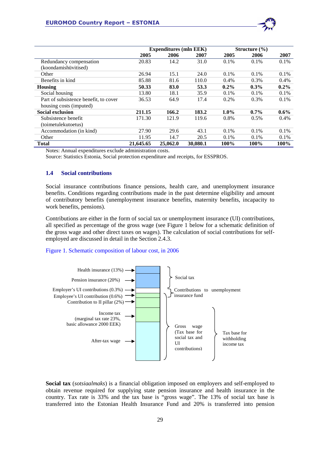

|                                       |           | <b>Expenditures (mln EEK)</b> |          |         | Structure $(\% )$ |         |
|---------------------------------------|-----------|-------------------------------|----------|---------|-------------------|---------|
|                                       | 2005      | 2006                          | 2007     | 2005    | 2006              | 2007    |
| Redundancy compensation               | 20.83     | 14.2                          | 31.0     | $0.1\%$ | $0.1\%$           | 0.1%    |
| (koondamishüvitised)                  |           |                               |          |         |                   |         |
| Other                                 | 26.94     | 15.1                          | 24.0     | $0.1\%$ | $0.1\%$           | 0.1%    |
| Benefits in kind                      | 85.88     | 81.6                          | 110.0    | 0.4%    | 0.3%              | 0.4%    |
| Housing                               | 50.33     | 83.0                          | 53.3     | $0.2\%$ | $0.3\%$           | $0.2\%$ |
| Social housing                        | 13.80     | 18.1                          | 35.9     | 0.1%    | 0.1%              | 0.1%    |
| Part of subsistence benefit, to cover | 36.53     | 64.9                          | 17.4     | 0.2%    | 0.3%              | 0.1%    |
| housing costs (imputed)               |           |                               |          |         |                   |         |
| <b>Social exclusion</b>               | 211.15    | 166.2                         | 183.2    | $1.0\%$ | $0.7\%$           | $0.6\%$ |
| Subsistence benefit                   | 171.30    | 121.9                         | 119.6    | 0.8%    | 0.5%              | 0.4%    |
| (toimetulekutoetus)                   |           |                               |          |         |                   |         |
| Accommodation (in kind)               | 27.90     | 29.6                          | 43.1     | 0.1%    | 0.1%              | 0.1%    |
| Other                                 | 11.95     | 14.7                          | 20.5     | 0.1%    | 0.1%              | 0.1%    |
| <b>Total</b>                          | 21,645.65 | 25,062.0                      | 30.080.1 | 100%    | 100%              | 100%    |

Notes: Annual expenditures exclude administration costs.

Source: Statistics Estonia, Social protection expenditure and receipts, for ESSPROS.

#### **1.4 Social contributions**

Social insurance contributions finance pensions, health care, and unemployment insurance benefits. Conditions regarding contributions made in the past determine eligibility and amount of contributory benefits (unemployment insurance benefits, maternity benefits, incapacity to work benefits, pensions).

Contributions are either in the form of social tax or unemployment insurance (UI) contributions, all specified as percentage of the gross wage (see Figure 1 below for a schematic definition of the gross wage and other direct taxes on wages). The calculation of social contributions for selfemployed are discussed in detail in the Section 2.4.3.

#### Figure 1. Schematic composition of labour cost, in 2006



**Social tax** (*sotsiaalmaks*) is a financial obligation imposed on employers and self-employed to obtain revenue required for supplying state pension insurance and health insurance in the country. Tax rate is 33% and the tax base is "gross wage". The 13% of social tax base is transferred into the Estonian Health Insurance Fund and 20% is transferred into pension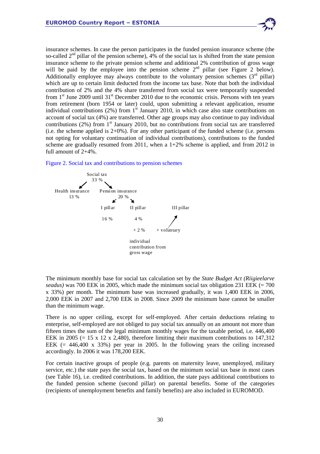insurance schemes. In case the person participates in the funded pension insurance scheme (the so-called  $2<sup>nd</sup>$  pillar of the pension scheme),  $4%$  of the social tax is shifted from the state pension insurance scheme to the private pension scheme and additional 2% contribution of gross wage will be paid by the employee into the pension scheme  $2<sup>nd</sup>$  pillar (see Figure 2 below). Additionally employee may always contribute to the voluntary pension schemes  $(3<sup>rd</sup> pillar)$ which are up to certain limit deducted from the income tax base. Note that both the individual contribution of 2% and the 4% share transferred from social tax were temporarily suspended from  $1<sup>st</sup>$  June 2009 until  $31<sup>st</sup>$  December 2010 due to the economic crisis. Persons with ten years from retirement (born 1954 or later) could, upon submitting a relevant application, resume individual contributions  $(2\%)$  from 1<sup>st</sup> January 2010, in which case also state contributions on account of social tax (4%) are transferred. Other age groups may also continue to pay individual contributions (2%) from  $1<sup>st</sup>$  January 2010, but no contributions from social tax are transferred (i.e. the scheme applied is 2+0%). For any other participant of the funded scheme (i.e. persons not opting for voluntary continuation of individual contributions), contributions to the funded scheme are gradually resumed from 2011, when a  $1+2\%$  scheme is applied, and from 2012 in full amount of 2+4%.

#### Figure 2. Social tax and contributions to pension schemes



The minimum monthly base for social tax calculation set by the *State Budget Act (Riigieelarve seadus)* was 700 EEK in 2005, which made the minimum social tax obligation 231 EEK (= 700 x 33%) per month. The minimum base was increased gradually, it was 1,400 EEK in 2006, 2,000 EEK in 2007 and 2,700 EEK in 2008. Since 2009 the minimum base cannot be smaller than the minimum wage.

There is no upper ceiling, except for self-employed. After certain deductions relating to enterprise, self-employed are not obliged to pay social tax annually on an amount not more than fifteen times the sum of the legal minimum monthly wages for the taxable period, i.e. 446,400 EEK in 2005 (= 15 x 12 x 2,480), therefore limiting their maximum contributions to 147,312 EEK  $(= 446,400 \times 33\%)$  per year in 2005. In the following years the ceiling increased accordingly. In 2006 it was 178,200 EEK.

For certain inactive groups of people (e.g. parents on maternity leave, unemployed, military service, etc.) the state pays the social tax, based on the minimum social tax base in most cases (see Table 16), i.e. credited contributions. In addition, the state pays additional contributions to the funded pension scheme (second pillar) on parental benefits. Some of the categories (recipients of unemployment benefits and family benefits) are also included in EUROMOD.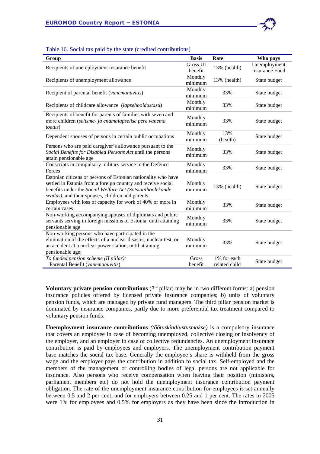

| Group                                                                                                                    | <b>Basis</b>       | Rate          | Who pays              |
|--------------------------------------------------------------------------------------------------------------------------|--------------------|---------------|-----------------------|
| Recipients of unemployment insurance benefit                                                                             | Gross UI           | 13% (health)  | Unemployment          |
|                                                                                                                          | benefit            |               | <b>Insurance Fund</b> |
| Recipients of unemployment allowance                                                                                     | Monthly            | 13% (health)  | State budget          |
|                                                                                                                          | minimum            |               |                       |
| Recipient of parental benefit (vanemahüvitis)                                                                            | Monthly            | 33%           | State budget          |
|                                                                                                                          | minimum            |               |                       |
| Recipients of childcare allowance (lapsehooldustasu)                                                                     | Monthly<br>minimum | 33%           | State budget          |
| Recipients of benefit for parents of families with seven and                                                             | Monthly            |               |                       |
| more children (seitsme- ja enamalapselise pere vanema                                                                    | minimum            | 33%           | State budget          |
| <i>toetus</i> )                                                                                                          |                    |               |                       |
| Dependent spouses of persons in certain public occupations                                                               | Monthly            | 13%           | State budget          |
|                                                                                                                          | minimum            | (health)      |                       |
| Persons who are paid caregiver's allowance pursuant to the<br>Social Benefits for Disabled Persons Act until the persons | Monthly            | 33%           | State budget          |
| attain pensionable age                                                                                                   | minimum            |               |                       |
| Conscripts in compulsory military service in the Defence                                                                 | Monthly            |               |                       |
| Forces                                                                                                                   | minimum            | 33%           | State budget          |
| Estonian citizens or persons of Estonian nationality who have                                                            |                    |               |                       |
| settled in Estonia from a foreign country and receive social                                                             | Monthly            | 13% (health)  | State budget          |
| benefits under the Social Welfare Act (Sotsiaalhoolekande                                                                | minimum            |               |                       |
| seadus), and their spouses, children and parents                                                                         |                    |               |                       |
| Employees with loss of capacity for work of 40% or more in                                                               | Monthly            | 33%           | State budget          |
| certain cases                                                                                                            | minimum            |               |                       |
| Non-working accompanying spouses of diplomats and public                                                                 | Monthly            |               |                       |
| servants serving in foreign missions of Estonia, until attaining                                                         | minimum            | 33%           | State budget          |
| pensionable age                                                                                                          |                    |               |                       |
| Non-working persons who have participated in the<br>elimination of the effects of a nuclear disaster, nuclear test, or   | Monthly            |               |                       |
| an accident at a nuclear power station, until attaining                                                                  | minimum            | 33%           | State budget          |
| pensionable age;                                                                                                         |                    |               |                       |
| To funded pension scheme (II pillar):                                                                                    | Gross              | 1% for each   |                       |
| Parental Benefit (vanemahüvitis)                                                                                         | benefit            | related child | State budget          |

#### Table 16. Social tax paid by the state (credited contributions)

**Voluntary private pension contributions**  $(3<sup>rd</sup>$  pillar) may be in two different forms: a) pension insurance policies offered by licensed private insurance companies; b) units of voluntary pension funds, which are managed by private fund managers. The third pillar pension market is dominated by insurance companies, partly due to more preferential tax treatment compared to voluntary pension funds.

**Unemployment insurance contributions** *(töötuskindlustusmakse)* is a compulsory insurance that covers an employee in case of becoming unemployed, collective closing or insolvency of the employer, and an employer in case of collective redundancies. An unemployment insurance contribution is paid by employees and employers. The unemployment contribution payment base matches the social tax base. Generally the employee's share is withheld from the gross wage and the employer pays the contribution in addition to social tax. Self-employed and the members of the management or controlling bodies of legal persons are not applicable for insurance. Also persons who receive compensation when leaving their position (ministers, parliament members etc) do not hold the unemployment insurance contribution payment obligation. The rate of the unemployment insurance contribution for employees is set annually between 0.5 and 2 per cent, and for employers between 0.25 and 1 per cent. The rates in 2005 were 1% for employees and 0.5% for employers as they have been since the introduction in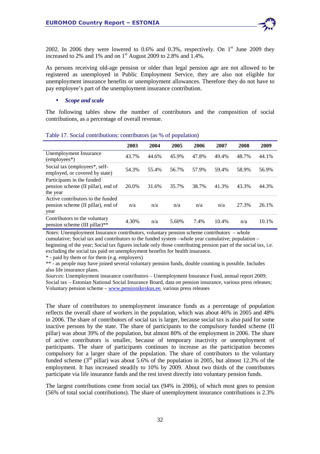2002. In 2006 they were lowered to 0.6% and 0.3%, respectively. On  $1<sup>st</sup>$  June 2009 they increased to 2% and 1% and on  $1<sup>st</sup>$  August 2009 to 2.8% and 1.4%.

As persons receiving old-age pension or older than legal pension age are not allowed to be registered as unemployed in Public Employment Service, they are also not eligible for unemployment insurance benefits or unemployment allowances. Therefore they do not have to pay employee's part of the unemployment insurance contribution.

# • *Scope and scale*

The following tables show the number of contributors and the composition of social contributions, as a percentage of overall revenue.

|                                                                                 | 2003  | 2004  | 2005  | 2006  | 2007  | 2008  | 2009  |
|---------------------------------------------------------------------------------|-------|-------|-------|-------|-------|-------|-------|
| Unemployment Insurance<br>(employees*)                                          | 43.7% | 44.6% | 45.9% | 47.8% | 49.4% | 48.7% | 44.1% |
| Social tax (employees*, self-<br>employed, or covered by state)                 | 54.3% | 55.4% | 56.7% | 57.9% | 59.4% | 58.9% | 56.9% |
| Participants in the funded<br>pension scheme (II pillar), end of<br>the year    | 26.0% | 31.6% | 35.7% | 38.7% | 41.3% | 43.3% | 44.3% |
| Active contributors to the funded<br>pension scheme (II pillar), end of<br>year | n/a   | n/a   | n/a   | n/a   | n/a   | 27.3% | 26.1% |
| Contributors to the voluntary<br>pension scheme (III pillar)**                  | 4.30% | n/a   | 5.60% | 7.4%  | 10.4% | n/a   | 10.1% |

# Table 17. Social contributions: contributors (as % of population)

*Notes*: Unemployment Insurance contributors, voluntary pension scheme contributors – whole cumulative; Social tax and contributors to the funded system –whole year cumulative; population – beginning of the year; Social tax figures include only those contributing pension part of the social tax, i.e. excluding the social tax paid on unemployment benefits for health insurance.

\* - paid by them or for them (e.g. employers)

\*\* - as people may have joined several voluntary pension funds, double counting is possible. Includes also life insurance plans.

*Sources*: Unemployment insurance contributors – Unemployment Insurance Fund, annual report 2009; Social tax – Estonian National Social Insurance Board, data on pension insurance, various press releases; Voluntary pension scheme – www.pensionikeskus.ee, various press releases

The share of contributors to unemployment insurance funds as a percentage of population reflects the overall share of workers in the population, which was about 46% in 2005 and 48% in 2006. The share of contributors of social tax is larger, because social tax is also paid for some inactive persons by the state. The share of participants to the compulsory funded scheme (II pillar) was about 39% of the population, but almost 80% of the employment in 2006. The share of active contributors is smaller, because of temporary inactivity or unemployment of participants. The share of participants continues to increase as the participation becomes compulsory for a larger share of the population. The share of contributors to the voluntary funded scheme ( $3<sup>rd</sup>$  pillar) was about 5.6% of the population in 2005, but almost 12.3% of the employment. It has increased steadily to 10% by 2009. About two thirds of the contributors participate via life insurance funds and the rest invest directly into voluntary pension funds.

The largest contributions come from social tax (94% in 2006), of which most goes to pension (56% of total social contributions). The share of unemployment insurance contributions is 2.3%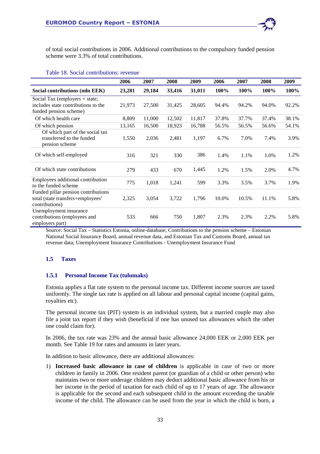of total social contributions in 2006. Additional contributions to the compulsory funded pension scheme were 3.3% of total contributions.

|                                                                                            | 2006   | 2007   | 2008   | 2009   | 2006  | 2007  | 2008  | 2009  |
|--------------------------------------------------------------------------------------------|--------|--------|--------|--------|-------|-------|-------|-------|
| Social contributions (mln EEK)                                                             | 23,281 | 29,184 | 33,416 | 31,011 | 100%  | 100%  | 100%  | 100%  |
| Social Tax (employers + state;                                                             |        |        |        |        |       |       |       |       |
| includes state contributions to the<br>funded pension scheme)                              | 21,973 | 27,500 | 31,425 | 28,605 | 94.4% | 94.2% | 94.0% | 92.2% |
| Of which health care                                                                       | 8,809  | 11,000 | 12,502 | 11,817 | 37.8% | 37.7% | 37.4% | 38.1% |
| Of which pension                                                                           | 13,165 | 16,500 | 18,923 | 16,788 | 56.5% | 56.5% | 56.6% | 54.1% |
| Of which part of the social tax<br>transferred to the funded<br>pension scheme             | 1,550  | 2,036  | 2,481  | 1,197  | 6.7%  | 7.0%  | 7.4%  | 3.9%  |
| Of which self-employed                                                                     | 316    | 321    | 330    | 386    | 1.4%  | 1.1%  | 1.0%  | 1.2%  |
| Of which state contributions                                                               | 279    | 433    | 670    | 1,445  | 1.2%  | 1.5%  | 2.0%  | 4.7%  |
| Employees additional contribution<br>to the funded scheme                                  | 775    | 1,018  | 1,241  | 599    | 3.3%  | 3.5%  | 3.7%  | 1.9%  |
| Funded pillar pension contributions<br>total (state transfers+employees'<br>contributions) | 2,325  | 3,054  | 3,722  | 1,796  | 10.0% | 10.5% | 11.1% | 5.8%  |
| Unemployment insurance<br>contributions (employees and<br>employers part)                  | 533    | 666    | 750    | 1,807  | 2.3%  | 2.3%  | 2.2%  | 5.8%  |

#### Table 18. Social contributions: revenue

Source: Social Tax – Statistics Estonia, online-database; Contributions to the pension scheme – Estonian National Social Insurance Board, annual revenue data, and Estonian Tax and Customs Board, annual tax revenue data; Unemployment Insurance Contributions - Unemployment Insurance Fund

# **1.5 Taxes**

#### **1.5.1 Personal Income Tax (tulumaks)**

Estonia applies a flat rate system to the personal income tax. Different income sources are taxed uniformly. The single tax rate is applied on all labour and personal capital income (capital gains, royalties etc).

The personal income tax (PIT) system is an individual system, but a married couple may also file a joint tax report if they wish (beneficial if one has unused tax allowances which the other one could claim for).

In 2006, the tax rate was 23% and the annual basic allowance 24,000 EEK or 2,000 EEK per month. See Table 19 for rates and amounts in later years.

In addition to basic allowance, there are additional allowances:

1) **Increased basic allowance in case of children** is applicable in case of two or more children in family in 2006. One resident parent (or guardian of a child or other person) who maintains two or more underage children may deduct additional basic allowance from his or her income in the period of taxation for each child of up to 17 years of age. The allowance is applicable for the second and each subsequent child in the amount exceeding the taxable income of the child. The allowance can be used from the year in which the child is born, a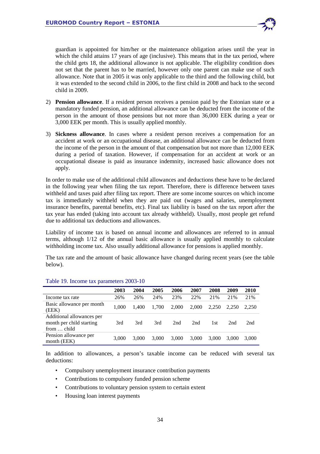

guardian is appointed for him/her or the maintenance obligation arises until the year in which the child attains 17 years of age (inclusive). This means that in the tax period, where the child gets 18, the additional allowance is not applicable. The eligibility condition does not set that the parent has to be married, however only one parent can make use of such allowance. Note that in 2005 it was only applicable to the third and the following child, but it was extended to the second child in 2006, to the first child in 2008 and back to the second child in 2009.

- 2) **Pension allowance**. If a resident person receives a pension paid by the Estonian state or a mandatory funded pension, an additional allowance can be deducted from the income of the person in the amount of those pensions but not more than 36,000 EEK during a year or 3,000 EEK per month. This is usually applied monthly.
- 3) **Sickness allowance**. In cases where a resident person receives a compensation for an accident at work or an occupational disease, an additional allowance can be deducted from the income of the person in the amount of that compensation but not more than 12,000 EEK during a period of taxation. However, if compensation for an accident at work or an occupational disease is paid as insurance indemnity, increased basic allowance does not apply.

In order to make use of the additional child allowances and deductions these have to be declared in the following year when filing the tax report. Therefore, there is difference between taxes withheld and taxes paid after filing tax report. There are some income sources on which income tax is immediately withheld when they are paid out (wages and salaries, unemployment insurance benefits, parental benefits, etc). Final tax liability is based on the tax report after the tax year has ended (taking into account tax already withheld). Usually, most people get refund due to additional tax deductions and allowances.

Liability of income tax is based on annual income and allowances are referred to in annual terms, although 1/12 of the annual basic allowance is usually applied monthly to calculate withholding income tax. Also usually additional allowance for pensions is applied monthly.

The tax rate and the amount of basic allowance have changed during recent years (see the table below).

|                                                                      | 2003  | 2004  | 2005  | 2006  | 2007  | 2008  | 2009  | 2010  |
|----------------------------------------------------------------------|-------|-------|-------|-------|-------|-------|-------|-------|
| Income tax rate                                                      | 26%   | 26%   | 24%   | 23%   | 22%   | 21%   | 21%   | 21%   |
| Basic allowance per month<br>(EEK)                                   | 1.000 | 1.400 | 1.700 | 2.000 | 2.000 | 2.250 | 2.250 | 2.250 |
| Additional allowances per<br>month per child starting<br>from  child | 3rd   | 3rd   | 3rd   | 2nd   | 2nd   | 1st   | 2nd   | 2nd   |
| Pension allowance per<br>month (EEK)                                 | 3.000 | 3.000 | 3.000 | 3.000 | 3.000 | 3.000 | 3.000 | 3,000 |

#### Table 19. Income tax parameters 2003-10

In addition to allowances, a person's taxable income can be reduced with several tax deductions:

- Compulsory unemployment insurance contribution payments
- Contributions to compulsory funded pension scheme
- Contributions to voluntary pension system to certain extent
- Housing loan interest payments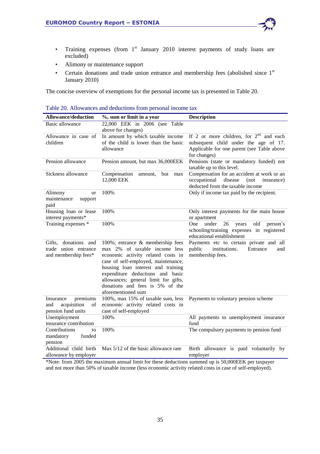

- Alimony or maintenance support
- Certain donations and trade union entrance and membership fees (abolished since  $1<sup>st</sup>$ January 2010)

The concise overview of exemptions for the personal income tax is presented in Table 20.

| <b>Allowance/deduction</b>                                              | %, sum or limit in a year                                                                                  | <b>Description</b>                                                                                        |
|-------------------------------------------------------------------------|------------------------------------------------------------------------------------------------------------|-----------------------------------------------------------------------------------------------------------|
| <b>Basic allowance</b>                                                  | 22,000 EEK in 2006 (see Table<br>above for changes)                                                        |                                                                                                           |
| Allowance in case of                                                    | In amount by which taxable income                                                                          | If 2 or more children, for $2nd$ and each                                                                 |
| children                                                                | of the child is lower than the basic                                                                       | subsequent child under the age of 17.                                                                     |
|                                                                         | allowance                                                                                                  | Applicable for one parent (see Table above<br>for changes)                                                |
| Pension allowance                                                       | Pension amount, but max 36,000EEK                                                                          | Pensions (state or mandatory funded) not<br>taxable up to this level.                                     |
| Sickness allowance                                                      | Compensation<br>amount,<br>but<br>max                                                                      | Compensation for an accident at work or an                                                                |
|                                                                         | 12,000 EEK                                                                                                 | occupational<br>disease<br>(not<br>insurance)                                                             |
|                                                                         | 100%                                                                                                       | deducted from the taxable income<br>Only if income tax paid by the recipient.                             |
| Alimony<br>or<br>maintenance<br>support<br>paid                         |                                                                                                            |                                                                                                           |
| Housing loan or lease<br>interest payments*                             | 100%                                                                                                       | Only interest payments for the main house<br>or apartment                                                 |
| Training expenses *                                                     | 100%                                                                                                       | One<br>26<br>old<br>under<br>person's<br>years                                                            |
|                                                                         |                                                                                                            | schooling/training expenses in registered<br>educational establishment                                    |
| Gifts, donations<br>and<br>trade union entrance<br>and membership fees* | 100%; entrance $\&$ membership fees<br>max 2% of taxable income less<br>economic activity related costs in | Payments etc to certain private and all<br>public<br>institutions.<br>Entrance<br>and<br>membership fees. |
|                                                                         | case of self-employed, maintenance,                                                                        |                                                                                                           |
|                                                                         | housing loan interest and training<br>expenditure deductions and basic                                     |                                                                                                           |
|                                                                         | allowances; general limit for gifts,                                                                       |                                                                                                           |
|                                                                         | donations and fees is 5% of the                                                                            |                                                                                                           |
| premiums<br>Insurance                                                   | aforementioned sum<br>100%, max 15% of taxable sum, less                                                   | Payments to voluntary pension scheme                                                                      |
| and<br>acquisition<br>of                                                | economic activity related costs in                                                                         |                                                                                                           |
| pension fund units                                                      | case of self-employed                                                                                      |                                                                                                           |
| Unemployment                                                            | 100%                                                                                                       | All payments to unemployment insurance                                                                    |
| insurance contribution                                                  |                                                                                                            | fund                                                                                                      |
| Contributions<br>to                                                     | 100%                                                                                                       | The compulsory payments to pension fund                                                                   |
| mandatory<br>funded<br>pension                                          |                                                                                                            |                                                                                                           |
| Additional child birth                                                  | Max 5/12 of the basic allowance rate                                                                       | Birth allowance is paid voluntarily by                                                                    |
| allowance by employer                                                   |                                                                                                            | employer                                                                                                  |

Table 20. Allowances and deductions from personal income tax

\*Note: from 2005 the maximum annual limit for these deductions summed up is 50,000EEK per taxpayer and not more than 50% of taxable income (less economic activity related costs in case of self-employed).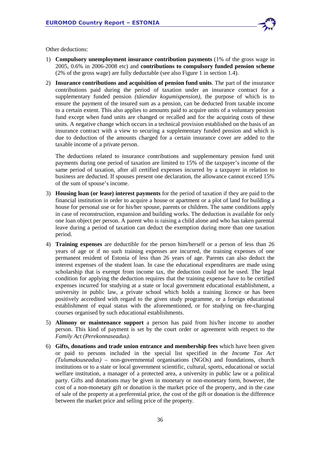

Other deductions:

- 1) **Compulsory unemployment insurance contribution payments** (1% of the gross wage in 2005, 0.6% in 2006-2008 etc) and **contributions to compulsory funded pension scheme** (2% of the gross wage) are fully deductable (see also Figure 1 in section 1.4).
- 2) **Insurance contributions and acquisition of pension fund units**. The part of the insurance contributions paid during the period of taxation under an insurance contract for a supplementary funded pension *(täiendav kogumispension)*, the purpose of which is to ensure the payment of the insured sum as a pension, can be deducted from taxable income to a certain extent. This also applies to amounts paid to acquire units of a voluntary pension fund except when fund units are changed or recalled and for the acquiring costs of these units. A negative change which occurs in a technical provision established on the basis of an insurance contract with a view to securing a supplementary funded pension and which is due to deduction of the amounts charged for a certain insurance cover are added to the taxable income of a private person.

The deductions related to insurance contributions and supplementary pension fund unit payments during one period of taxation are limited to 15% of the taxpayer's income of the same period of taxation, after all certified expenses incurred by a taxpayer in relation to business are deducted. If spouses present one declaration, the allowance cannot exceed 15% of the sum of spouse's income.

- 3) **Housing loan (or lease) interest payments** for the period of taxation if they are paid to the financial institution in order to acquire a house or apartment or a plot of land for building a house for personal use or for his/her spouse, parents or children. The same conditions apply in case of reconstruction, expansion and building works. The deduction is available for only one loan object per person. A parent who is raising a child alone and who has taken parental leave during a period of taxation can deduct the exemption during more than one taxation period.
- 4) **Training expenses** are deductible for the person him/herself or a person of less than 26 years of age or if no such training expenses are incurred, the training expenses of one permanent resident of Estonia of less than 26 years of age. Parents can also deduct the interest expenses of the student loan. In case the educational expenditures are made using scholarship that is exempt from income tax, the deduction could not be used. The legal condition for applying the deduction requires that the training expense have to be certified expenses incurred for studying at a state or local government educational establishment, a university in public law, a private school which holds a training licence or has been positively accredited with regard to the given study programme, or a foreign educational establishment of equal status with the aforementioned, or for studying on fee-charging courses organised by such educational establishments.
- 5) **Alimony or maintenance support** a person has paid from his/her income to another person. This kind of payment is set by the court order or agreement with respect to the *Family Act (Perekonnaseadus)*.
- 6) **Gifts, donations and trade union entrance and membership fees** which have been given or paid to persons included in the special list specified in the *Income Tax Act (Tulumaksuseadus)* – non-governmental organisations (NGOs) and foundations, church institutions or to a state or local government scientific, cultural, sports, educational or social welfare institution, a manager of a protected area, a university in public law or a political party. Gifts and donations may be given in monetary or non-monetary form, however, the cost of a non-monetary gift or donation is the market price of the property, and in the case of sale of the property at a preferential price, the cost of the gift or donation is the difference between the market price and selling price of the property.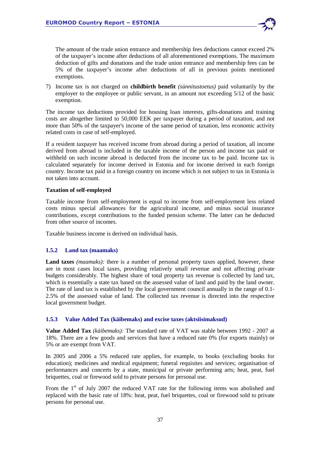

The amount of the trade union entrance and membership fees deductions cannot exceed 2% of the taxpayer's income after deductions of all aforementioned exemptions. The maximum deduction of gifts and donations and the trade union entrance and membership fees can be 5% of the taxpayer's income after deductions of all in previous points mentioned exemptions.

7) Income tax is not charged on **childbirth benefit** *(sünnitustoetus)* paid voluntarily by the employer to the employee or public servant, in an amount not exceeding 5/12 of the basic exemption.

The income tax deductions provided for housing loan interests, gifts-donations and training costs are altogether limited to 50,000 EEK per taxpayer during a period of taxation, and not more than 50% of the taxpayer's income of the same period of taxation, less economic activity related costs in case of self-employed.

If a resident taxpayer has received income from abroad during a period of taxation, all income derived from abroad is included in the taxable income of the person and income tax paid or withheld on such income abroad is deducted from the income tax to be paid. Income tax is calculated separately for income derived in Estonia and for income derived in each foreign country. Income tax paid in a foreign country on income which is not subject to tax in Estonia is not taken into account.

## **Taxation of self-employed**

Taxable income from self-employment is equal to income from self-employment less related costs minus special allowances for the agricultural income, and minus social insurance contributions, except contributions to the funded pension scheme. The latter can be deducted from other source of incomes.

Taxable business income is derived on individual basis.

## **1.5.2 Land tax (maamaks)**

Land taxes *(maamaks)*: there is a number of personal property taxes applied, however, these are in most cases local taxes, providing relatively small revenue and not affecting private budgets considerably. The highest share of total property tax revenue is collected by land tax, which is essentially a state tax based on the assessed value of land and paid by the land owner. The rate of land tax is established by the local government council annually in the range of 0.1- 2.5% of the assessed value of land. The collected tax revenue is directed into the respective local government budget.

## **1.5.3 Value Added Tax (käibemaks) and excise taxes (aktsiisimaksud)**

**Value Added Tax** *(käibemaks):* The standard rate of VAT was stable between 1992 - 2007 at 18%. There are a few goods and services that have a reduced rate 0% (for exports mainly) or 5% or are exempt from VAT.

In 2005 and 2006 a 5% reduced rate applies, for example, to books (excluding books for education); medicines and medical equipment; funeral requisites and services; organisation of performances and concerts by a state, municipal or private performing arts; heat, peat, fuel briquettes, coal or firewood sold to private persons for personal use.

From the  $1<sup>st</sup>$  of July 2007 the reduced VAT rate for the following items was abolished and replaced with the basic rate of 18%: heat, peat, fuel briquettes, coal or firewood sold to private persons for personal use.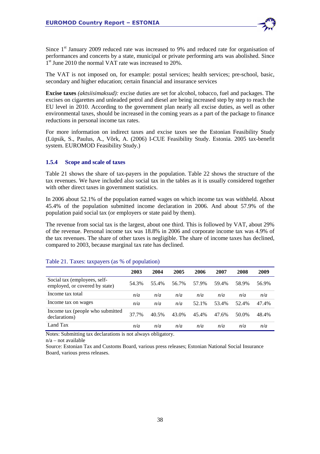Since  $1<sup>st</sup>$  January 2009 reduced rate was increased to 9% and reduced rate for organisation of performances and concerts by a state, municipal or private performing arts was abolished. Since 1<sup>st</sup> June 2010 the normal VAT rate was increased to 20%.

The VAT is not imposed on, for example: postal services; health services; pre-school, basic, secondary and higher education; certain financial and insurance services

**Excise taxes** *(aktsiisimaksud):* excise duties are set for alcohol, tobacco, fuel and packages. The excises on cigarettes and unleaded petrol and diesel are being increased step by step to reach the EU level in 2010. According to the government plan nearly all excise duties, as well as other environmental taxes, should be increased in the coming years as a part of the package to finance reductions in personal income tax rates.

For more information on indirect taxes and excise taxes see the Estonian Feasibility Study (Lüpsik, S., Paulus, A., Võrk, A. (2006) I-CUE Feasibility Study. Estonia. 2005 tax-benefit system. EUROMOD Feasibility Study.)

# **1.5.4 Scope and scale of taxes**

Table 21 shows the share of tax-payers in the population. Table 22 shows the structure of the tax revenues. We have included also social tax in the tables as it is usually considered together with other direct taxes in government statistics.

In 2006 about 52.1% of the population earned wages on which income tax was withheld. About 45.4% of the population submitted income declaration in 2006. And about 57.9% of the population paid social tax (or employers or state paid by them).

The revenue from social tax is the largest, about one third. This is followed by VAT, about 29% of the revenue. Personal income tax was 18.8% in 2006 and corporate income tax was 4.9% of the tax revenues. The share of other taxes is negligible. The share of income taxes has declined, compared to 2003, because marginal tax rate has declined.

|                                                                | 2003  | 2004  | 2005  | 2006  | 2007  | 2008  | 2009  |
|----------------------------------------------------------------|-------|-------|-------|-------|-------|-------|-------|
| Social tax (employees, self-<br>employed, or covered by state) | 54.3% | 55.4% | 56.7% | 57.9% | 59.4% | 58.9% | 56.9% |
| Income tax total                                               | n/a   | n/a   | n/a   | n/a   | n/a   | n/a   | n/a   |
| Income tax on wages                                            | n/a   | n/a   | n/a   | 52.1% | 53.4% | 52.4% | 47.4% |
| Income tax (people who submitted<br>declarations)              | 37.7% | 40.5% | 43.0% | 45.4% | 47.6% | 50.0% | 48.4% |
| Land Tax                                                       | n/a   | n/a   | n/a   | n/a   | n/a   | n/a   | n/a   |

#### Table 21. Taxes: taxpayers (as % of population)

Notes: Submitting tax declarations is not always obligatory.

n/a – not available

Source: Estonian Tax and Customs Board, various press releases; Estonian National Social Insurance Board, various press releases.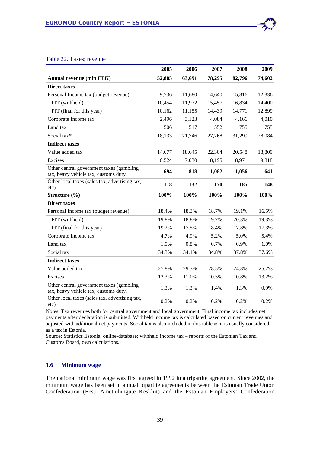

#### Table 22. Taxes: revenue

|                                                                                   | 2005   | 2006   | 2007   | 2008   | 2009   |
|-----------------------------------------------------------------------------------|--------|--------|--------|--------|--------|
| Annual revenue (mln EEK)                                                          | 52,885 | 63,691 | 78,295 | 82,796 | 74,602 |
| <b>Direct taxes</b>                                                               |        |        |        |        |        |
| Personal Income tax (budget revenue)                                              | 9,736  | 11,680 | 14,640 | 15,816 | 12,336 |
| PIT (withheld)                                                                    | 10,454 | 11,972 | 15,457 | 16,834 | 14,400 |
| PIT (final for this year)                                                         | 10,162 | 11,155 | 14,439 | 14,771 | 12,899 |
| Corporate Income tax                                                              | 2,496  | 3,123  | 4,084  | 4,166  | 4,010  |
| Land tax                                                                          | 506    | 517    | 552    | 755    | 755    |
| Social tax*                                                                       | 18,133 | 21,746 | 27,268 | 31,299 | 28,084 |
| <b>Indirect taxes</b>                                                             |        |        |        |        |        |
| Value added tax                                                                   | 14,677 | 18,645 | 22,304 | 20,548 | 18,809 |
| Excises                                                                           | 6,524  | 7,030  | 8,195  | 8,971  | 9,818  |
| Other central government taxes (gambling<br>tax, heavy vehicle tax, customs duty, | 694    | 818    | 1,082  | 1,056  | 641    |
| Other local taxes (sales tax, advertising tax,<br>etc)                            | 118    | 132    | 170    | 185    | 148    |
| Structure $(\% )$                                                                 | 100%   | 100%   | 100%   | 100%   | 100%   |
| <b>Direct taxes</b>                                                               |        |        |        |        |        |
| Personal Income tax (budget revenue)                                              | 18.4%  | 18.3%  | 18.7%  | 19.1%  | 16.5%  |
| PIT (withheld)                                                                    | 19.8%  | 18.8%  | 19.7%  | 20.3%  | 19.3%  |
| PIT (final for this year)                                                         | 19.2%  | 17.5%  | 18.4%  | 17.8%  | 17.3%  |
| Corporate Income tax                                                              | 4.7%   | 4.9%   | 5.2%   | 5.0%   | 5.4%   |
| Land tax                                                                          | 1.0%   | 0.8%   | 0.7%   | 0.9%   | 1.0%   |
| Social tax                                                                        | 34.3%  | 34.1%  | 34.8%  | 37.8%  | 37.6%  |
| <b>Indirect taxes</b>                                                             |        |        |        |        |        |
| Value added tax                                                                   | 27.8%  | 29.3%  | 28.5%  | 24.8%  | 25.2%  |
| Excises                                                                           | 12.3%  | 11.0%  | 10.5%  | 10.8%  | 13.2%  |
| Other central government taxes (gambling<br>tax, heavy vehicle tax, customs duty, | 1.3%   | 1.3%   | 1.4%   | 1.3%   | 0.9%   |
| Other local taxes (sales tax, advertising tax,<br>etc)                            | 0.2%   | 0.2%   | 0.2%   | 0.2%   | 0.2%   |

Notes: Tax revenues both for central government and local government. Final income tax includes net payments after declaration is submitted. Withheld income tax is calculated based on current revenues and adjusted with additional net payments. Social tax is also included in this table as it is usually considered as a tax in Estonia.

Source: Statistics Estonia, online-database; withheld income tax – reports of the Estonian Tax and Customs Board, own calculations.

### **1.6 Minimum wage**

The national minimum wage was first agreed in 1992 in a tripartite agreement. Since 2002, the minimum wage has been set in annual bipartite agreements between the Estonian Trade Union Confederation (Eesti Ametiühingute Keskliit) and the Estonian Employers' Confederation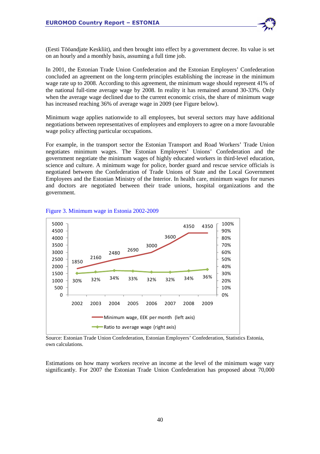(Eesti Tööandjate Keskliit), and then brought into effect by a government decree. Its value is set on an hourly and a monthly basis, assuming a full time job.

In 2001, the Estonian Trade Union Confederation and the Estonian Employers' Confederation concluded an agreement on the long-term principles establishing the increase in the minimum wage rate up to 2008. According to this agreement, the minimum wage should represent 41% of the national full-time average wage by 2008. In reality it has remained around 30-33%. Only when the average wage declined due to the current economic crisis, the share of minimum wage has increased reaching 36% of average wage in 2009 (see Figure below).

Minimum wage applies nationwide to all employees, but several sectors may have additional negotiations between representatives of employees and employers to agree on a more favourable wage policy affecting particular occupations.

For example, in the transport sector the Estonian Transport and Road Workers' Trade Union negotiates minimum wages. The Estonian Employees' Unions' Confederation and the government negotiate the minimum wages of highly educated workers in third-level education, science and culture. A minimum wage for police, border guard and rescue service officials is negotiated between the Confederation of Trade Unions of State and the Local Government Employees and the Estonian Ministry of the Interior. In health care, minimum wages for nurses and doctors are negotiated between their trade unions, hospital organizations and the government.



### Figure 3. Minimum wage in Estonia 2002-2009

Source: Estonian Trade Union Confederation, Estonian Employers' Confederation, Statistics Estonia, own calculations.

Estimations on how many workers receive an income at the level of the minimum wage vary significantly. For 2007 the Estonian Trade Union Confederation has proposed about 70,000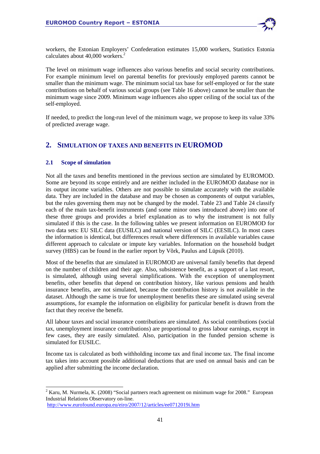

workers, the Estonian Employers' Confederation estimates 15,000 workers, Statistics Estonia calculates about 40,000 workers.<sup>2</sup>

The level on minimum wage influences also various benefits and social security contributions. For example minimum level on parental benefits for previously employed parents cannot be smaller than the minimum wage. The minimum social tax base for self-employed or for the state contributions on behalf of various social groups (see Table 16 above) cannot be smaller than the minimum wage since 2009. Minimum wage influences also upper ceiling of the social tax of the self-employed.

If needed, to predict the long-run level of the minimum wage, we propose to keep its value 33% of predicted average wage.

# **2. SIMULATION OF TAXES AND BENEFITS IN EUROMOD**

#### **2.1 Scope of simulation**

Not all the taxes and benefits mentioned in the previous section are simulated by EUROMOD. Some are beyond its scope entirely and are neither included in the EUROMOD database nor in its output income variables. Others are not possible to simulate accurately with the available data. They are included in the database and may be chosen as components of output variables, but the rules governing them may not be changed by the model. Table 23 and Table 24 classify each of the main tax-benefit instruments (and some minor ones introduced above) into one of these three groups and provides a brief explanation as to why the instrument is not fully simulated if this is the case. In the following tables we present information on EUROMOD for two data sets: EU SILC data (EUSILC) and national version of SILC (EESILC). In most cases the information is identical, but differences result where differences in available variables cause different approach to calculate or impute key variables. Information on the household budget survey (HBS) can be found in the earlier report by Võrk, Paulus and Lüpsik (2010).

Most of the benefits that are simulated in EUROMOD are universal family benefits that depend on the number of children and their age. Also, subsistence benefit, as a support of a last resort, is simulated, although using several simplifications. With the exception of unemployment benefits, other benefits that depend on contribution history, like various pensions and health insurance benefits, are not simulated, because the contribution history is not available in the dataset. Although the same is true for unemployment benefits these are simulated using several assumptions, for example the information on eligibility for particular benefit is drawn from the fact that they receive the benefit.

All labour taxes and social insurance contributions are simulated. As social contributions (social tax, unemployment insurance contributions) are proportional to gross labour earnings, except in few cases, they are easily simulated. Also, participation in the funded pension scheme is simulated for EUSILC.

Income tax is calculated as both withholding income tax and final income tax. The final income tax takes into account possible additional deductions that are used on annual basis and can be applied after submitting the income declaration.

<sup>&</sup>lt;sup>2</sup> Karu, M. Nurmela, K. (2008) "Social partners reach agreement on minimum wage for 2008." European Industrial Relations Observatory on-line.

http://www.eurofound.europa.eu/eiro/2007/12/articles/ee0712019i.htm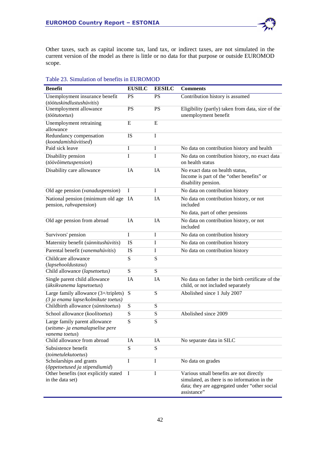Other taxes, such as capital income tax, land tax, or indirect taxes, are not simulated in the current version of the model as there is little or no data for that purpose or outside EUROMOD scope.

### Table 23. Simulation of benefits in EUROMOD

| <b>Benefit</b>                                                                      | <b>EUSILC</b> | <b>EESILC</b> | <b>Comments</b>                                                                                                                                         |
|-------------------------------------------------------------------------------------|---------------|---------------|---------------------------------------------------------------------------------------------------------------------------------------------------------|
| Unemployment insurance benefit<br>(töötuskindlustushüvitis)                         | <b>PS</b>     | <b>PS</b>     | Contribution history is assumed                                                                                                                         |
| Unemployment allowance<br>(töötutoetus)                                             | <b>PS</b>     | <b>PS</b>     | Eligibility (partly) taken from data, size of the<br>unemployment benefit                                                                               |
| Unemployment retraining<br>allowance                                                | E             | E             |                                                                                                                                                         |
| Redundancy compensation<br>(koondamishüvitised)                                     | <b>IS</b>     | I             |                                                                                                                                                         |
| Paid sick leave                                                                     | $\bf I$       | I             | No data on contribution history and health                                                                                                              |
| Disability pension<br>(töövõimetuspension)                                          | I             | I             | No data on contribution history, no exact data<br>on health status                                                                                      |
| Disability care allowance                                                           | IA            | IA            | No exact data on health status,<br>Income is part of the "other benefits" or<br>disability pension.                                                     |
| Old age pension (vanaduspension)                                                    | I             | I             | No data on contribution history                                                                                                                         |
| National pension (minimum old age<br>pension, rahvapension)                         | IA            | IA            | No data on contribution history, or not<br>included                                                                                                     |
|                                                                                     |               |               | No data, part of other pensions                                                                                                                         |
| Old age pension from abroad                                                         | <b>IA</b>     | IA            | No data on contribution history, or not<br>included                                                                                                     |
| Survivors' pension                                                                  | $\mathbf I$   | I             | No data on contribution history                                                                                                                         |
| Maternity benefit (sünnitushüvitis)                                                 | <b>IS</b>     | I             | No data on contribution history                                                                                                                         |
| Parental benefit (vanemahüvitis)                                                    | <b>IS</b>     | I             | No data on contribution history                                                                                                                         |
| Childcare allowance<br>(lapsehooldustasu)                                           | ${\bf S}$     | S             |                                                                                                                                                         |
| Child allowance (lapsetoetus)                                                       | ${\bf S}$     | S             |                                                                                                                                                         |
| Single parent child allowance<br>(üksikvanema lapsetoetus)                          | IA            | IA            | No data on father in the birth certificate of the<br>child, or not included separately                                                                  |
| Large family allowance $(3+/triplets)$<br>(3 ja enama lapse/kolmikute toetus)       | S             | S             | Abolished since 1 July 2007                                                                                                                             |
| Childbirth allowance (sünnitoetus)                                                  | S             | S             |                                                                                                                                                         |
| School allowance (koolitoetus)                                                      | S             | ${\bf S}$     | Abolished since 2009                                                                                                                                    |
| Large family parent allowance<br>(seitsme- ja enamalapselise pere<br>vanema toetus) | S             | S             |                                                                                                                                                         |
| Child allowance from abroad                                                         | IA            | IA            | No separate data in SILC                                                                                                                                |
| Subsistence benefit<br>(toimetulekutoetus)                                          | S             | S             |                                                                                                                                                         |
| Scholarships and grants<br>(õppetoetused ja stipendiumid)                           | $\mathbf I$   | I             | No data on grades                                                                                                                                       |
| Other benefits (not explicitly stated<br>in the data set)                           | $\bf{I}$      | I             | Various small benefits are not directly<br>simulated, as there is no information in the<br>data; they are aggregated under "other social<br>assistance" |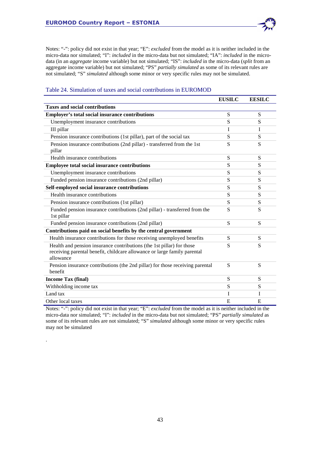Notes: "-": policy did not exist in that year; "E": *excluded* from the model as it is neither included in the micro-data nor simulated; "I": *included* in the micro-data but not simulated; "IA": *included* in the microdata (in an *aggregate* income variable) but not simulated; "IS": *included* in the micro-data (*split* from an aggregate income variable) but not simulated; "PS" *partially simulated* as some of its relevant rules are not simulated; "S" *simulated* although some minor or very specific rules may not be simulated.

|                                                                                                                                                                | <b>EUSILC</b> | <b>EESILC</b> |
|----------------------------------------------------------------------------------------------------------------------------------------------------------------|---------------|---------------|
| <b>Taxes and social contributions</b>                                                                                                                          |               |               |
| <b>Employer's total social insurance contributions</b>                                                                                                         | S             | S             |
| Unemployment insurance contributions                                                                                                                           | S             | S             |
| III pillar                                                                                                                                                     | I             | I             |
| Pension insurance contributions (1st pillar), part of the social tax                                                                                           | S             | S             |
| Pension insurance contributions (2nd pillar) - transferred from the 1st<br>pillar                                                                              | S             | S             |
| Health insurance contributions                                                                                                                                 | S             | S             |
| <b>Employee total social insurance contributions</b>                                                                                                           | S             | S             |
| Unemployment insurance contributions                                                                                                                           | S             | S             |
| Funded pension insurance contributions (2nd pillar)                                                                                                            | S             | S             |
| Self-employed social insurance contributions                                                                                                                   | S             | S             |
| Health insurance contributions                                                                                                                                 | S             | S             |
| Pension insurance contributions (1st pillar)                                                                                                                   | S             | S             |
| Funded pension insurance contributions (2nd pillar) - transferred from the<br>1st pillar                                                                       | S             | S             |
| Funded pension insurance contributions (2nd pillar)                                                                                                            | S             | S             |
| Contributions paid on social benefits by the central government                                                                                                |               |               |
| Health insurance contributions for those receiving unemployed benefits                                                                                         | S             | S             |
| Health and pension insurance contributions (the 1st pillar) for those<br>receiving parental benefit, childcare allowance or large family parental<br>allowance | S             | S             |
| Pension insurance contributions (the 2nd pillar) for those receiving parental<br>benefit                                                                       | S             | S             |
| <b>Income Tax (final)</b>                                                                                                                                      | S             | S             |
| Withholding income tax                                                                                                                                         | S             | S             |
| Land tax                                                                                                                                                       | I             | I             |
| Other local taxes                                                                                                                                              | E             | E             |

### Table 24. Simulation of taxes and social contributions in EUROMOD

Notes: "-": policy did not exist in that year; "E": *excluded* from the model as it is neither included in the micro-data nor simulated; "I": *included* in the micro-data but not simulated; "PS" *partially simulated* as some of its relevant rules are not simulated; "S" *simulated* although some minor or very specific rules may not be simulated

.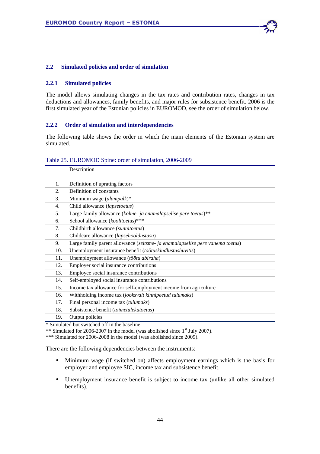

#### **2.2.1 Simulated policies**

The model allows simulating changes in the tax rates and contribution rates, changes in tax deductions and allowances, family benefits, and major rules for subsistence benefit. 2006 is the first simulated year of the Estonian policies in EUROMOD, see the order of simulation below.

### **2.2.2 Order of simulation and interdependencies**

The following table shows the order in which the main elements of the Estonian system are simulated.

|     | Description                                                                   |
|-----|-------------------------------------------------------------------------------|
|     |                                                                               |
| 1.  | Definition of uprating factors                                                |
| 2.  | Definition of constants                                                       |
| 3.  | Minimum wage (alampalk)*                                                      |
| 4.  | Child allowance (lapsetoetus)                                                 |
| 5.  | Large family allowance (kolme- ja enamalapselise pere toetus)**               |
| 6.  | School allowance (koolitoetus)***                                             |
| 7.  | Childbirth allowance (sünnitoetus)                                            |
| 8.  | Childcare allowance (lapsehooldustasu)                                        |
| 9.  | Large family parent allowance (seitsme- ja enamalapselise pere vanema toetus) |
| 10. | Unemployment insurance benefit (töötuskindlustushüvitis)                      |
| 11. | Unemployment allowance (töötu abiraha)                                        |
| 12. | Employer social insurance contributions                                       |
| 13. | Employee social insurance contributions                                       |
| 14. | Self-employed social insurance contributions                                  |
| 15. | Income tax allowance for self-employment income from agriculture              |
| 16. | Withholding income tax (jooksvalt kinnipeetud tulumaks)                       |
| 17. | Final personal income tax (tulumaks)                                          |
| 18. | Subsistence benefit (toimetulekutoetus)                                       |
| 19. | Output policies                                                               |

#### Table 25. EUROMOD Spine: order of simulation, 2006-2009

\* Simulated but switched off in the baseline.

\*\* Simulated for 2006-2007 in the model (was abolished since  $1<sup>st</sup>$  July 2007).

\*\*\* Simulated for 2006-2008 in the model (was abolished since 2009).

There are the following dependencies between the instruments:

- Minimum wage (if switched on) affects employment earnings which is the basis for employer and employee SIC, income tax and subsistence benefit.
- Unemployment insurance benefit is subject to income tax (unlike all other simulated benefits).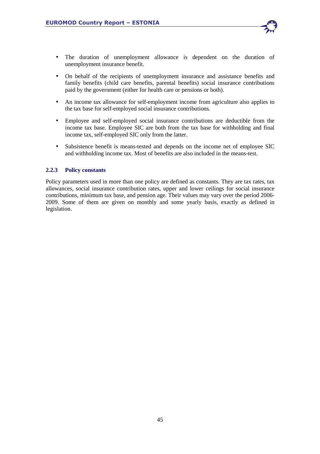- The duration of unemployment allowance is dependent on the duration of unemployment insurance benefit.
- On behalf of the recipients of unemployment insurance and assistance benefits and family benefits (child care benefits, parental benefits) social insurance contributions paid by the government (either for health care or pensions or both).
- An income tax allowance for self-employment income from agriculture also applies to the tax base for self-employed social insurance contributions.
- Employee and self-employed social insurance contributions are deductible from the income tax base. Employee SIC are both from the tax base for withholding and final income tax, self-employed SIC only from the latter.
- Subsistence benefit is means-tested and depends on the income net of employee SIC and withholding income tax. Most of benefits are also included in the means-test.

# **2.2.3 Policy constants**

Policy parameters used in more than one policy are defined as constants. They are tax rates, tax allowances, social insurance contribution rates, upper and lower ceilings for social insurance contributions, minimum tax base, and pension age. Their values may vary over the period 2006- 2009. Some of them are given on monthly and some yearly basis, exactly as defined in legislation.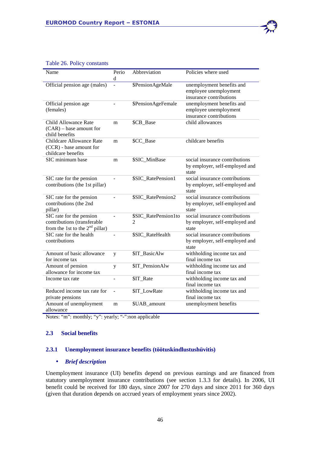### Table 26. Policy constants

| Name                                                                                         | Perio<br>d               | Abbreviation              | Policies where used                                                           |
|----------------------------------------------------------------------------------------------|--------------------------|---------------------------|-------------------------------------------------------------------------------|
| Official pension age (males)                                                                 | $\overline{\phantom{0}}$ | \$PensionAgeMale          | unemployment benefits and<br>employee unemployment<br>insurance contributions |
| Official pension age<br>(females)                                                            |                          | \$PensionAgeFemale        | unemployment benefits and<br>employee unemployment<br>insurance contributions |
| <b>Child Allowance Rate</b><br>$(CAR)$ – base amount for<br>child benefits                   | m                        | \$CB_Base                 | child allowances                                                              |
| Childcare Allowance Rate<br>(CCR) - base amount for<br>childcare benefits                    | m                        | \$CC_Base                 | childcare benefits                                                            |
| SIC minimum base                                                                             | m                        | \$SIC_MinBase             | social insurance contributions<br>by employer, self-employed and<br>state     |
| SIC rate for the pension<br>contributions (the 1st pillar)                                   |                          | \$SIC_RatePension1        | social insurance contributions<br>by employer, self-employed and<br>state     |
| SIC rate for the pension<br>contributions (the 2nd<br>pillar)                                |                          | \$SIC_RatePension2        | social insurance contributions<br>by employer, self-employed and<br>state     |
| SIC rate for the pension<br>contributions (transferable<br>from the 1st to the $2nd$ pillar) |                          | \$SIC_RatePension1to<br>2 | social insurance contributions<br>by employer, self-employed and<br>state     |
| SIC rate for the health<br>contributions                                                     |                          | \$SIC_RateHealth          | social insurance contributions<br>by employer, self-employed and<br>state     |
| Amount of basic allowance<br>for income tax                                                  | y                        | \$IT_BasicAlw             | withholding income tax and<br>final income tax                                |
| Amount of pension<br>allowance for income tax                                                | y                        | \$IT_PensionAlw           | withholding income tax and<br>final income tax                                |
| Income tax rate                                                                              | $\overline{a}$           | \$IT_Rate                 | withholding income tax and<br>final income tax                                |
| Reduced income tax rate for<br>private pensions                                              | $\overline{\phantom{0}}$ | \$IT_LowRate              | withholding income tax and<br>final income tax                                |
| Amount of unemployment<br>allowance                                                          | m                        | \$UAB_amount              | unemployment benefits                                                         |

Notes: "m": monthly; "y": yearly; "-":non applicable

### **2.3 Social benefits**

### **2.3.1 Unemployment insurance benefits (töötuskindlustushüvitis)**

#### • *Brief description*

Unemployment insurance (UI) benefits depend on previous earnings and are financed from statutory unemployment insurance contributions (see section 1.3.3 for details). In 2006, UI benefit could be received for 180 days, since 2007 for 270 days and since 2011 for 360 days (given that duration depends on accrued years of employment years since 2002).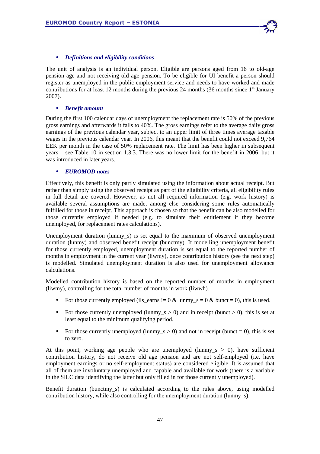

## • *Definitions and eligibility conditions*

The unit of analysis is an individual person. Eligible are persons aged from 16 to old-age pension age and not receiving old age pension. To be eligible for UI benefit a person should register as unemployed in the public employment service and needs to have worked and made contributions for at least 12 months during the previous 24 months (36 months since  $1<sup>st</sup>$  January 2007).

## • *Benefit amount*

During the first 100 calendar days of unemployment the replacement rate is 50% of the previous gross earnings and afterwards it falls to 40%. The gross earnings refer to the average daily gross earnings of the previous calendar year, subject to an upper limit of three times average taxable wages in the previous calendar year. In 2006, this meant that the benefit could not exceed 9,764 EEK per month in the case of 50% replacement rate. The limit has been higher in subsequent years – see Table 10 in section 1.3.3. There was no lower limit for the benefit in 2006, but it was introduced in later years.

# • *EUROMOD notes*

Effectively, this benefit is only partly simulated using the information about actual receipt. But rather than simply using the observed receipt as part of the eligibility criteria, all eligibility rules in full detail are covered. However, as not all required information (e.g. work history) is available several assumptions are made, among else considering some rules automatically fulfilled for those in receipt. This approach is chosen so that the benefit can be also modelled for those currently employed if needed (e.g. to simulate their entitlement if they become unemployed, for replacement rates calculations).

Unemployment duration (lunmy\_s) is set equal to the maximum of observed unemployment duration (lunmy) and observed benefit receipt (bunctmy). If modelling unemployment benefit for those currently employed, unemployment duration is set equal to the reported number of months in employment in the current year (liwmy), once contribution history (see the next step) is modelled. Simulated unemployment duration is also used for unemployment allowance calculations.

Modelled contribution history is based on the reported number of months in employment (liwmy), controlling for the total number of months in work (liwwh).

- For those currently employed (ils\_earns  $!= 0 &$  lunmy\_s = 0  $\&$  bunct = 0), this is used.
- For those currently unemployed (lunmy\_s  $> 0$ ) and in receipt (bunct  $> 0$ ), this is set at least equal to the minimum qualifying period.
- For those currently unemployed (lunmy\_s  $> 0$ ) and not in receipt (bunct = 0), this is set to zero.

At this point, working age people who are unemployed (lunmy\_s  $> 0$ ), have sufficient contribution history, do not receive old age pension and are not self-employed (i.e. have employment earnings or no self-employment status) are considered eligible. It is assumed that all of them are involuntary unemployed and capable and available for work (there is a variable in the SILC data identifying the latter but only filled in for those currently unemployed).

Benefit duration (bunctmy\_s) is calculated according to the rules above, using modelled contribution history, while also controlling for the unemployment duration (lunmy\_s).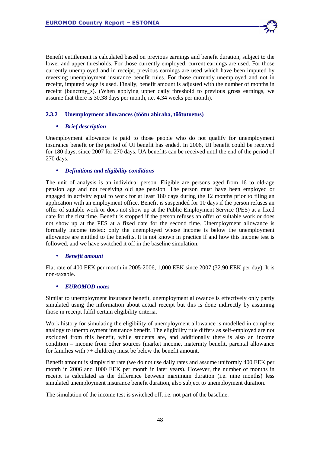Benefit entitlement is calculated based on previous earnings and benefit duration, subject to the lower and upper thresholds. For those currently employed, current earnings are used. For those currently unemployed and in receipt, previous earnings are used which have been imputed by reversing unemployment insurance benefit rules. For those currently unemployed and not in receipt, imputed wage is used. Finally, benefit amount is adjusted with the number of months in receipt (bunctmy\_s). (When applying upper daily threshold to previous gross earnings, we assume that there is 30.38 days per month, i.e. 4.34 weeks per month).

# **2.3.2 Unemployment allowances (töötu abiraha, töötutoetus)**

# • *Brief description*

Unemployment allowance is paid to those people who do not qualify for unemployment insurance benefit or the period of UI benefit has ended. In 2006, UI benefit could be received for 180 days, since 2007 for 270 days. UA benefits can be received until the end of the period of 270 days.

# • *Definitions and eligibility conditions*

The unit of analysis is an individual person. Eligible are persons aged from 16 to old-age pension age and not receiving old age pension. The person must have been employed or engaged in activity equal to work for at least 180 days during the 12 months prior to filing an application with an employment office. Benefit is suspended for 10 days if the person refuses an offer of suitable work or does not show up at the Public Employment Service (PES) at a fixed date for the first time. Benefit is stopped if the person refuses an offer of suitable work or does not show up at the PES at a fixed date for the second time. Unemployment allowance is formally income tested: only the unemployed whose income is below the unemployment allowance are entitled to the benefits. It is not known in practice if and how this income test is followed, and we have switched it off in the baseline simulation.

## • *Benefit amount*

Flat rate of 400 EEK per month in 2005-2006, 1,000 EEK since 2007 (32.90 EEK per day). It is non-taxable.

## • *EUROMOD notes*

Similar to unemployment insurance benefit, unemployment allowance is effectively only partly simulated using the information about actual receipt but this is done indirectly by assuming those in receipt fulfil certain eligibility criteria.

Work history for simulating the eligibility of unemployment allowance is modelled in complete analogy to unemployment insurance benefit. The eligibility rule differs as self-employed are not excluded from this benefit, while students are, and additionally there is also an income condition – income from other sources (market income, maternity benefit, parental allowance for families with 7+ children) must be below the benefit amount.

Benefit amount is simply flat rate (we do not use daily rates and assume uniformly 400 EEK per month in 2006 and 1000 EEK per month in later years). However, the number of months in receipt is calculated as the difference between maximum duration (i.e. nine months) less simulated unemployment insurance benefit duration, also subject to unemployment duration.

The simulation of the income test is switched off, i.e. not part of the baseline.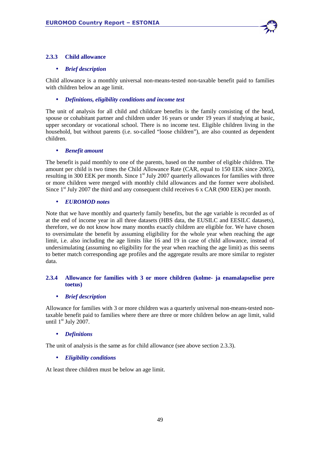

# **2.3.3 Child allowance**

## • *Brief description*

Child allowance is a monthly universal non-means-tested non-taxable benefit paid to families with children below an age limit.

# • *Definitions, eligibility conditions and income test*

The unit of analysis for all child and childcare benefits is the family consisting of the head, spouse or cohabitant partner and children under 16 years or under 19 years if studying at basic, upper secondary or vocational school. There is no income test. Eligible children living in the household, but without parents (i.e. so-called "loose children"), are also counted as dependent children.

## • *Benefit amount*

The benefit is paid monthly to one of the parents, based on the number of eligible children. The amount per child is two times the Child Allowance Rate (CAR, equal to 150 EEK since 2005), resulting in 300 EEK per month. Since 1<sup>st</sup> July 2007 quarterly allowances for families with three or more children were merged with monthly child allowances and the former were abolished. Since  $1<sup>st</sup>$  July 2007 the third and any consequent child receives 6 x CAR (900 EEK) per month.

# • *EUROMOD notes*

Note that we have monthly and quarterly family benefits, but the age variable is recorded as of at the end of income year in all three datasets (HBS data, the EUSILC and EESILC datasets), therefore, we do not know how many months exactly children are eligible for. We have chosen to oversimulate the benefit by assuming eligibility for the whole year when reaching the age limit, i.e. also including the age limits like 16 and 19 in case of child allowance, instead of undersimulating (assuming no eligibility for the year when reaching the age limit) as this seems to better match corresponding age profiles and the aggregate results are more similar to register data.

# **2.3.4 Allowance for families with 3 or more children (kolme- ja enamalapselise pere toetus)**

# • *Brief description*

Allowance for families with 3 or more children was a quarterly universal non-means-tested nontaxable benefit paid to families where there are three or more children below an age limit, valid until  $1<sup>st</sup>$  July 2007.

## • *Definitions*

The unit of analysis is the same as for child allowance (see above section 2.3.3).

## • *Eligibility conditions*

At least three children must be below an age limit.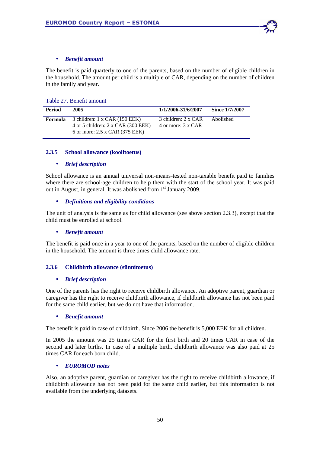

# • *Benefit amount*

The benefit is paid quarterly to one of the parents, based on the number of eligible children in the household. The amount per child is a multiple of CAR, depending on the number of children in the family and year.

### Table 27. Benefit amount

| Period  | 2005                                                                                                                    | 1/1/2006-31/6/2007                        | Since 1/7/2007 |
|---------|-------------------------------------------------------------------------------------------------------------------------|-------------------------------------------|----------------|
| Formula | 3 children: $1 \times CAR$ (150 EEK)<br>4 or 5 children: $2 \times CAR$ (300 EEK)<br>6 or more: $2.5$ x CAR $(375$ EEK) | 3 children: 2 x CAR<br>4 or more: 3 x CAR | Abolished      |

## **2.3.5 School allowance (koolitoetus)**

### • *Brief description*

School allowance is an annual universal non-means-tested non-taxable benefit paid to families where there are school-age children to help them with the start of the school year. It was paid out in August, in general. It was abolished from  $1<sup>st</sup>$  January 2009.

### • *Definitions and eligibility conditions*

The unit of analysis is the same as for child allowance (see above section 2.3.3), except that the child must be enrolled at school.

## • *Benefit amount*

The benefit is paid once in a year to one of the parents, based on the number of eligible children in the household. The amount is three times child allowance rate.

## **2.3.6 Childbirth allowance (sünnitoetus)**

## • *Brief description*

One of the parents has the right to receive childbirth allowance. An adoptive parent, guardian or caregiver has the right to receive childbirth allowance, if childbirth allowance has not been paid for the same child earlier, but we do not have that information.

## • *Benefit amount*

The benefit is paid in case of childbirth. Since 2006 the benefit is 5,000 EEK for all children.

In 2005 the amount was 25 times CAR for the first birth and 20 times CAR in case of the second and later births. In case of a multiple birth, childbirth allowance was also paid at 25 times CAR for each born child.

## • *EUROMOD notes*

Also, an adoptive parent, guardian or caregiver has the right to receive childbirth allowance, if childbirth allowance has not been paid for the same child earlier, but this information is not available from the underlying datasets.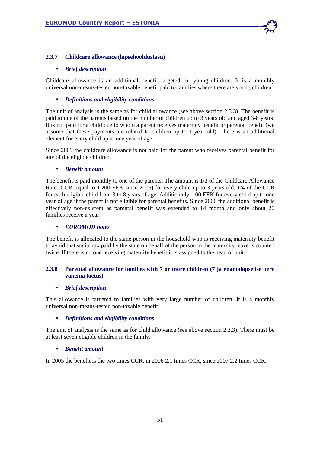

## **2.3.7 Childcare allowance (lapsehooldustasu)**

### • *Brief description*

Childcare allowance is an additional benefit targeted for young children. It is a monthly universal non-means-tested non-taxable benefit paid to families where there are young children.

### • *Definitions and eligibility conditions*

The unit of analysis is the same as for child allowance (see above section 2.3.3). The benefit is paid to one of the parents based on the number of children up to 3 years old and aged 3-8 years. It is not paid for a child due to whom a parent receives maternity benefit or parental benefit (we assume that these payments are related to children up to 1 year old). There is an additional element for every child up to one year of age.

Since 2009 the childcare allowance is not paid for the parent who receives parental benefit for any of the eligible children.

#### • *Benefit amount*

The benefit is paid monthly to one of the parents. The amount is 1/2 of the Childcare Allowance Rate (CCR, equal to 1,200 EEK since 2005) for every child up to 3 years old, 1/4 of the CCR for each eligible child from 3 to 8 years of age. Additionally, 100 EEK for every child up to one year of age if the parent is not eligible for parental benefits. Since 2006 the additional benefit is effectively non-existent as parental benefit was extended to 14 month and only about 20 families receive a year.

#### • *EUROMOD notes*

The benefit is allocated to the same person in the household who is receiving maternity benefit to avoid that social tax paid by the state on behalf of the person in the maternity leave is counted twice. If there is no one receiving maternity benefit it is assigned to the head of unit.

## **2.3.8 Parental allowance for families with 7 or more children (7 ja enamalapselise pere vanema toetus)**

#### • *Brief description*

This allowance is targeted to families with very large number of children. It is a monthly universal non-means-tested non-taxable benefit.

#### • *Definitions and eligibility conditions*

The unit of analysis is the same as for child allowance (see above section 2.3.3). There must be at least seven eligible children in the family.

#### • *Benefit amount*

In 2005 the benefit is the two times CCR, in 2006 2.1 times CCR, since 2007 2.2 times CCR.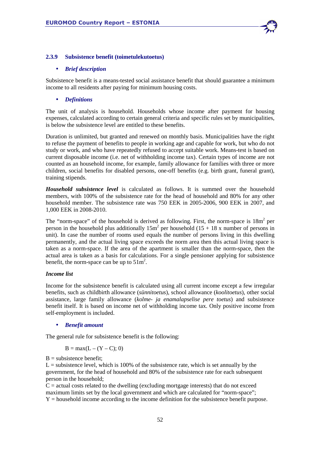

### **2.3.9 Subsistence benefit (toimetulekutoetus)**

#### • *Brief description*

Subsistence benefit is a means-tested social assistance benefit that should guarantee a minimum income to all residents after paying for minimum housing costs.

### • *Definitions*

The unit of analysis is household. Households whose income after payment for housing expenses, calculated according to certain general criteria and specific rules set by municipalities, is below the subsistence level are entitled to these benefits.

Duration is unlimited, but granted and renewed on monthly basis. Municipalities have the right to refuse the payment of benefits to people in working age and capable for work, but who do not study or work, and who have repeatedly refused to accept suitable work. Means-test is based on current disposable income (i.e. net of withholding income tax). Certain types of income are not counted as an household income, for example, family allowance for families with three or more children, social benefits for disabled persons, one-off benefits (e.g. birth grant, funeral grant), training stipends.

*Household subsistence level* is calculated as follows. It is summed over the household members, with 100% of the subsistence rate for the head of household and 80% for any other household member. The subsistence rate was 750 EEK in 2005-2006, 900 EEK in 2007, and 1,000 EEK in 2008-2010.

The "norm-space" of the household is derived as following. First, the norm-space is  $18m^2$  per person in the household plus additionally  $15m^2$  per household (15 + 18 x number of persons in unit). In case the number of rooms used equals the number of persons living in this dwelling permanently, and the actual living space exceeds the norm area then this actual living space is taken as a norm-space. If the area of the apartment is smaller than the norm-space, then the actual area is taken as a basis for calculations. For a single pensioner applying for subsistence benefit, the norm-space can be up to  $51m^2$ .

#### *Income list*

Income for the subsistence benefit is calculated using all current income except a few irregular benefits, such as childbirth allowance (*sünnitoetus*), school allowance (*koolitoetus*), other social assistance, large family allowance (*kolme- ja enamalapselise pere toetus*) and subsistence benefit itself. It is based on income net of withholding income tax. Only positive income from self-employment is included.

#### • *Benefit amount*

The general rule for subsistence benefit is the following:

$$
B = max(L - (Y - C); 0)
$$

 $B =$  subsistence benefit:

 $L =$  subsistence level, which is 100% of the subsistence rate, which is set annually by the government, for the head of household and 80% of the subsistence rate for each subsequent person in the household;

 $C =$  actual costs related to the dwelling (excluding mortgage interests) that do not exceed maximum limits set by the local government and which are calculated for "norm-space";  $Y =$  household income according to the income definition for the subsistence benefit purpose.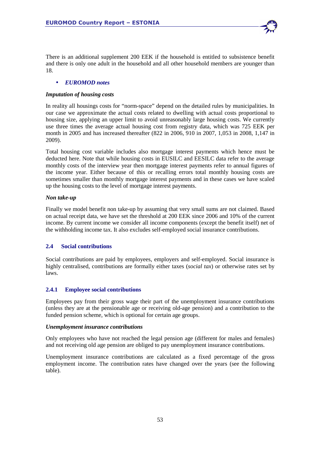

# • *EUROMOD notes*

## *Imputation of housing costs*

In reality all housings costs for "norm-space" depend on the detailed rules by municipalities. In our case we approximate the actual costs related to dwelling with actual costs proportional to housing size, applying an upper limit to avoid unreasonably large housing costs. We currently use three times the average actual housing cost from registry data, which was 725 EEK per month in 2005 and has increased thereafter (822 in 2006, 910 in 2007, 1,053 in 2008, 1,147 in 2009).

Total housing cost variable includes also mortgage interest payments which hence must be deducted here. Note that while housing costs in EUSILC and EESILC data refer to the average monthly costs of the interview year then mortgage interest payments refer to annual figures of the income year. Either because of this or recalling errors total monthly housing costs are sometimes smaller than monthly mortgage interest payments and in these cases we have scaled up the housing costs to the level of mortgage interest payments.

# *Non take-up*

Finally we model benefit non take-up by assuming that very small sums are not claimed. Based on actual receipt data, we have set the threshold at 200 EEK since 2006 and 10% of the current income. By current income we consider all income components (except the benefit itself) net of the withholding income tax. It also excludes self-employed social insurance contributions.

# **2.4 Social contributions**

Social contributions are paid by employees, employers and self-employed. Social insurance is highly centralised, contributions are formally either taxes (*social tax*) or otherwise rates set by laws.

# **2.4.1 Employee social contributions**

Employees pay from their gross wage their part of the unemployment insurance contributions (unless they are at the pensionable age or receiving old-age pension) and a contribution to the funded pension scheme, which is optional for certain age groups.

## *Unemployment insurance contributions*

Only employees who have not reached the legal pension age (different for males and females) and not receiving old age pension are obliged to pay unemployment insurance contributions.

Unemployment insurance contributions are calculated as a fixed percentage of the gross employment income. The contribution rates have changed over the years (see the following table).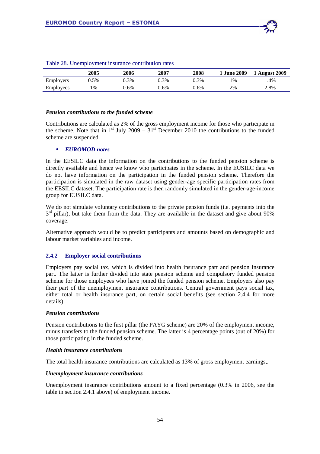

|                  | 2005 | 2006    | 2007    | 2008    | <b>1 June 2009</b> | 1 August 2009 |
|------------------|------|---------|---------|---------|--------------------|---------------|
| <b>Employers</b> | 0.5% | J.3%    | $0.3\%$ | $0.3\%$ | $1\%$              | .4%           |
| Employees        | 1%   | $0.6\%$ | 0.6%    | $0.6\%$ | 2%                 | 4.8%          |

#### Table 28. Unemployment insurance contribution rates

## *Pension contributions to the funded scheme*

Contributions are calculated as 2% of the gross employment income for those who participate in the scheme. Note that in  $1<sup>st</sup>$  July 2009 –  $31<sup>st</sup>$  December 2010 the contributions to the funded scheme are suspended.

### • *EUROMOD notes*

In the EESILC data the information on the contributions to the funded pension scheme is directly available and hence we know who participates in the scheme. In the EUSILC data we do not have information on the participation in the funded pension scheme. Therefore the participation is simulated in the raw dataset using gender-age specific participation rates from the EESILC dataset. The participation rate is then randomly simulated in the gender-age-income group for EUSILC data.

We do not simulate voluntary contributions to the private pension funds (i.e. payments into the  $3<sup>rd</sup>$  pillar), but take them from the data. They are available in the dataset and give about 90% coverage.

Alternative approach would be to predict participants and amounts based on demographic and labour market variables and income.

## **2.4.2 Employer social contributions**

Employers pay social tax, which is divided into health insurance part and pension insurance part. The latter is further divided into state pension scheme and compulsory funded pension scheme for those employees who have joined the funded pension scheme. Employers also pay their part of the unemployment insurance contributions. Central government pays social tax, either total or health insurance part, on certain social benefits (see section 2.4.4 for more details).

#### *Pension contributions*

Pension contributions to the first pillar (the PAYG scheme) are 20% of the employment income, minus transfers to the funded pension scheme. The latter is 4 percentage points (out of 20%) for those participating in the funded scheme.

#### *Health insurance contributions*

The total health insurance contributions are calculated as 13% of gross employment earnings,.

#### *Unemployment insurance contributions*

Unemployment insurance contributions amount to a fixed percentage (0.3% in 2006, see the table in section 2.4.1 above) of employment income.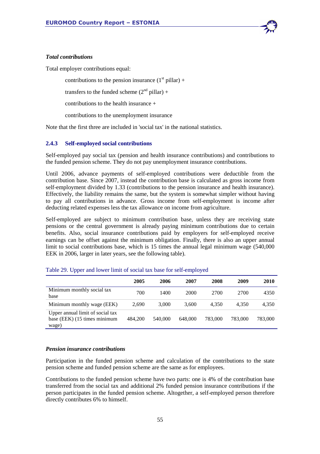

Total employer contributions equal:

contributions to the pension insurance  $(1<sup>st</sup>$  pillar) +

transfers to the funded scheme  $(2<sup>nd</sup> pillar) +$ 

contributions to the health insurance +

contributions to the unemployment insurance

Note that the first three are included in 'social tax' in the national statistics.

## **2.4.3 Self-employed social contributions**

Self-employed pay social tax (pension and health insurance contributions) and contributions to the funded pension scheme. They do not pay unemployment insurance contributions.

Until 2006, advance payments of self-employed contributions were deductible from the contribution base. Since 2007, instead the contribution base is calculated as gross income from self-employment divided by 1.33 (contributions to the pension insurance and health insurance). Effectively, the liability remains the same, but the system is somewhat simpler without having to pay all contributions in advance. Gross income from self-employment is income after deducting related expenses less the tax allowance on income from agriculture.

Self-employed are subject to minimum contribution base, unless they are receiving state pensions or the central government is already paying minimum contributions due to certain benefits. Also, social insurance contributions paid by employers for self-employed receive earnings can be offset against the minimum obligation. Finally, there is also an upper annual limit to social contributions base, which is 15 times the annual legal minimum wage (540,000 EEK in 2006, larger in later years, see the following table).

|                                                                           | 2005    | 2006    | 2007    | 2008    | 2009    | 2010    |
|---------------------------------------------------------------------------|---------|---------|---------|---------|---------|---------|
| Minimum monthly social tax<br>base                                        | 700     | 1400    | 2000    | 2700    | 2700    | 4350    |
| Minimum monthly wage (EEK)                                                | 2.690   | 3.000   | 3.600   | 4.350   | 4.350   | 4,350   |
| Upper annual limit of social tax<br>base (EEK) (15 times minimum<br>wage) | 484,200 | 540,000 | 648,000 | 783,000 | 783,000 | 783,000 |

| Table 29. Upper and lower limit of social tax base for self-employed |  |  |
|----------------------------------------------------------------------|--|--|
|----------------------------------------------------------------------|--|--|

### *Pension insurance contributions*

Participation in the funded pension scheme and calculation of the contributions to the state pension scheme and funded pension scheme are the same as for employees.

Contributions to the funded pension scheme have two parts: one is 4% of the contribution base transferred from the social tax and additional 2% funded pension insurance contributions if the person participates in the funded pension scheme. Altogether, a self-employed person therefore directly contributes 6% to himself.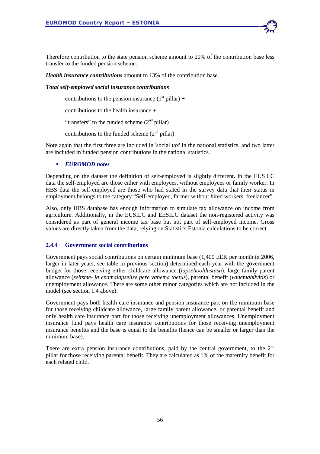Therefore contribution to the state pension scheme amount to 20% of the contribution base less transfer to the funded pension scheme:

*Health insurance contributions* amount to 13% of the contribution base.

### *Total self-employed social insurance contributions*

contributions to the pension insurance  $(1<sup>st</sup> pillar) +$ 

contributions to the health insurance +

"transfers" to the funded scheme  $(2<sup>nd</sup> pillar) +$ 

contributions to the funded scheme  $(2<sup>nd</sup>$  pillar)

Note again that the first three are included in 'social tax' in the national statistics, and two latter are included in funded pension contributions in the national statistics.

## • *EUROMOD notes*

Depending on the dataset the definition of self-employed is slightly different. In the EUSILC data the self-employed are those either with employees, without employees or family worker. In HBS data the self-employed are those who had stated in the survey data that their status in employment belongs to the category "Self-employed, farmer without hired workers, freelancer".

Also, only HBS database has enough information to simulate tax allowance on income from agriculture. Additionally, in the EUSILC and EESILC dataset the non-registered activity was considered as part of general income tax base but not part of self-employed income. Gross values are directly taken from the data, relying on Statistics Estonia calculations to be correct.

## **2.4.4 Government social contributions**

Government pays social contributions on certain minimum base (1,400 EEK per month in 2006, larger in later years, see table in previous section) determined each year with the government budget for those receiving either childcare allowance (*lapsehooldustasu*), large family parent allowance (*seitsme- ja enamalapselise pere vanema toetus*), parental benefit (*vanemahüvitis*) or unemployment allowance. There are some other minor categories which are not included in the model (see section 1.4 above).

Government pays both health care insurance and pension insurance part on the minimum base for those receiving childcare allowance, large family parent allowance, or parental benefit and only health care insurance part for those receiving unemployment allowances. Unemployment insurance fund pays health care insurance contributions for those receiving unemployment insurance benefits and the base is equal to the benefits (hence can be smaller or larger than the minimum base).

There are extra pension insurance contributions, paid by the central government, to the  $2<sup>nd</sup>$ pillar for those receiving parental benefit. They are calculated as 1% of the maternity benefit for each related child.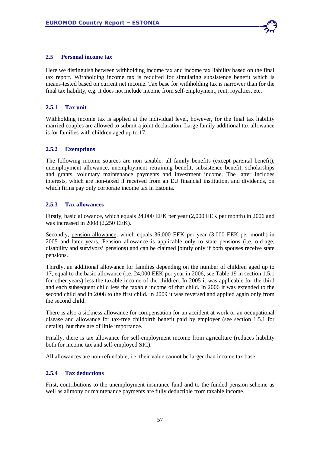

## **2.5 Personal income tax**

Here we distinguish between withholding income tax and income tax liability based on the final tax report. Withholding income tax is required for simulating subsistence benefit which is means-tested based on current net income. Tax base for withholding tax is narrower than for the final tax liability, e.g. it does not include income from self-employment, rent, royalties, etc.

# **2.5.1 Tax unit**

Withholding income tax is applied at the individual level, however, for the final tax liability married couples are allowed to submit a joint declaration. Large family additional tax allowance is for families with children aged up to 17.

# **2.5.2 Exemptions**

The following income sources are non taxable: all family benefits (except parental benefit), unemployment allowance, unemployment retraining benefit, subsistence benefit, scholarships and grants, voluntary maintenance payments and investment income. The latter includes interests, which are non-taxed if received from an EU financial institution, and dividends, on which firms pay only corporate income tax in Estonia.

# **2.5.3 Tax allowances**

Firstly, basic allowance, which equals 24,000 EEK per year (2,000 EEK per month) in 2006 and was increased in 2008 (2,250 EEK).

Secondly, pension allowance, which equals 36,000 EEK per year (3,000 EEK per month) in 2005 and later years. Pension allowance is applicable only to state pensions (i.e. old-age, disability and survivors' pensions) and can be claimed jointly only if both spouses receive state pensions.

Thirdly, an additional allowance for families depending on the number of children aged up to 17, equal to the basic allowance (i.e. 24,000 EEK per year in 2006, see Table 19 in section 1.5.1 for other years) less the taxable income of the children. In 2005 it was applicable for the third and each subsequent child less the taxable income of that child. In 2006 it was extended to the second child and in 2008 to the first child. In 2009 it was reversed and applied again only from the second child.

There is also a sickness allowance for compensation for an accident at work or an occupational disease and allowance for tax-free childbirth benefit paid by employer (see section 1.5.1 for details), but they are of little importance.

Finally, there is tax allowance for self-employment income from agriculture (reduces liability both for income tax and self-employed SIC).

All allowances are non-refundable, i.e. their value cannot be larger than income tax base.

## **2.5.4 Tax deductions**

First, contributions to the unemployment insurance fund and to the funded pension scheme as well as alimony or maintenance payments are fully deductible from taxable income.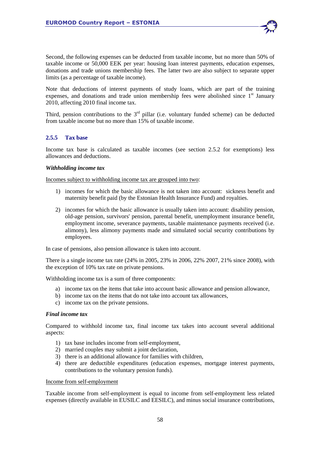Second, the following expenses can be deducted from taxable income, but no more than 50% of taxable income or 50,000 EEK per year: housing loan interest payments, education expenses, donations and trade unions membership fees. The latter two are also subject to separate upper limits (as a percentage of taxable income).

Note that deductions of interest payments of study loans, which are part of the training expenses, and donations and trade union membership fees were abolished since  $1<sup>st</sup>$  January 2010, affecting 2010 final income tax.

Third, pension contributions to the  $3<sup>rd</sup>$  pillar (i.e. voluntary funded scheme) can be deducted from taxable income but no more than 15% of taxable income.

# **2.5.5 Tax base**

Income tax base is calculated as taxable incomes (see section 2.5.2 for exemptions) less allowances and deductions.

### *Withholding income tax*

Incomes subject to withholding income tax are grouped into two:

- 1) incomes for which the basic allowance is not taken into account: sickness benefit and maternity benefit paid (by the Estonian Health Insurance Fund) and royalties.
- 2) incomes for which the basic allowance is usually taken into account: disability pension, old-age pension, survivors' pension, parental benefit, unemployment insurance benefit, employment income, severance payments, taxable maintenance payments received (i.e. alimony), less alimony payments made and simulated social security contributions by employees.

In case of pensions, also pension allowance is taken into account.

There is a single income tax rate (24% in 2005, 23% in 2006, 22% 2007, 21% since 2008), with the exception of 10% tax rate on private pensions.

Withholding income tax is a sum of three components:

- a) income tax on the items that take into account basic allowance and pension allowance,
- b) income tax on the items that do not take into account tax allowances,
- c) income tax on the private pensions.

#### *Final income tax*

Compared to withhold income tax, final income tax takes into account several additional aspects:

- 1) tax base includes income from self-employment,
- 2) married couples may submit a joint declaration,
- 3) there is an additional allowance for families with children,
- 4) there are deductible expenditures (education expenses, mortgage interest payments, contributions to the voluntary pension funds).

## Income from self-employment

Taxable income from self-employment is equal to income from self-employment less related expenses (directly available in EUSILC and EESILC), and minus social insurance contributions,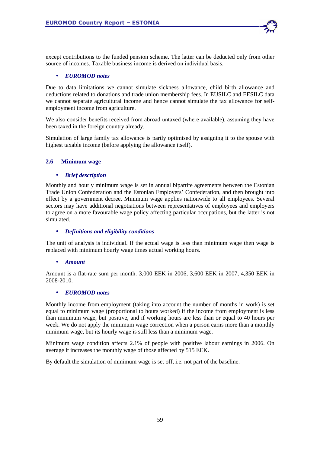except contributions to the funded pension scheme. The latter can be deducted only from other source of incomes. Taxable business income is derived on individual basis.

# • *EUROMOD notes*

Due to data limitations we cannot simulate sickness allowance, child birth allowance and deductions related to donations and trade union membership fees. In EUSILC and EESILC data we cannot separate agricultural income and hence cannot simulate the tax allowance for selfemployment income from agriculture.

We also consider benefits received from abroad untaxed (where available), assuming they have been taxed in the foreign country already.

Simulation of large family tax allowance is partly optimised by assigning it to the spouse with highest taxable income (before applying the allowance itself).

# **2.6 Minimum wage**

# • *Brief description*

Monthly and hourly minimum wage is set in annual bipartite agreements between the Estonian Trade Union Confederation and the Estonian Employers' Confederation, and then brought into effect by a government decree. Minimum wage applies nationwide to all employees. Several sectors may have additional negotiations between representatives of employees and employers to agree on a more favourable wage policy affecting particular occupations, but the latter is not simulated.

## • *Definitions and eligibility conditions*

The unit of analysis is individual. If the actual wage is less than minimum wage then wage is replaced with minimum hourly wage times actual working hours.

## • *Amount*

Amount is a flat-rate sum per month. 3,000 EEK in 2006, 3,600 EEK in 2007, 4,350 EEK in 2008-2010.

## • *EUROMOD notes*

Monthly income from employment (taking into account the number of months in work) is set equal to minimum wage (proportional to hours worked) if the income from employment is less than minimum wage, but positive, and if working hours are less than or equal to 40 hours per week. We do not apply the minimum wage correction when a person earns more than a monthly minimum wage, but its hourly wage is still less than a minimum wage.

Minimum wage condition affects 2.1% of people with positive labour earnings in 2006. On average it increases the monthly wage of those affected by 515 EEK.

By default the simulation of minimum wage is set off, i.e. not part of the baseline.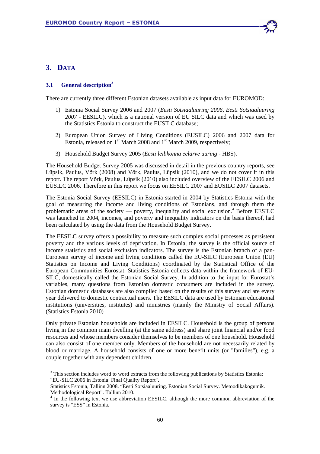

l

## **3.1 General description<sup>3</sup>**

There are currently three different Estonian datasets available as input data for EUROMOD:

- 1) Estonia Social Survey 2006 and 2007 (*Eesti Sotsiaaluuring 2006, Eesti Sotsiaaluuring 2007 -* EESILC), which is a national version of EU SILC data and which was used by the Statistics Estonia to construct the EUSILC database;
- 2) European Union Survey of Living Conditions (EUSILC) 2006 and 2007 data for Estonia, released on  $1<sup>st</sup>$  March 2008 and  $1<sup>st</sup>$  March 2009, respectively;
- 3) Household Budget Survey 2005 (*Eesti leibkonna eelarve uuring* HBS).

The Household Budget Survey 2005 was discussed in detail in the previous country reports, see Lüpsik, Paulus, Võrk (2008) and Võrk, Paulus, Lüpsik (2010), and we do not cover it in this report. The report Võrk, Paulus, Lüpsik (2010) also included overview of the EESILC 2006 and EUSILC 2006. Therefore in this report we focus on EESILC 2007 and EUSILC 2007 datasets.

The Estonia Social Survey (EESILC) in Estonia started in 2004 by Statistics Estonia with the goal of measuring the income and living conditions of Estonians, and through them the problematic areas of the society — poverty, inequality and social exclusion.<sup>4</sup> Before EESILC was launched in 2004, incomes, and poverty and inequality indicators on the basis thereof, had been calculated by using the data from the Household Budget Survey.

The EESILC survey offers a possibility to measure such complex social processes as persistent poverty and the various levels of deprivation. In Estonia, the survey is the official source of income statistics and social exclusion indicators. The survey is the Estonian branch of a pan-European survey of income and living conditions called the EU-SILC (European Union (EU) Statistics on Income and Living Conditions) coordinated by the Statistical Office of the European Communities Eurostat. Statistics Estonia collects data within the framework of EU-SILC, domestically called the Estonian Social Survey. In addition to the input for Eurostat's variables, many questions from Estonian domestic consumers are included in the survey. Estonian domestic databases are also compiled based on the results of this survey and are every year delivered to domestic contractual users. The EESILC data are used by Estonian educational institutions (universities, institutes) and ministries (mainly the Ministry of Social Affairs). (Statistics Estonia 2010)

Only private Estonian households are included in EESILC. Household is the group of persons living in the common main dwelling (at the same address) and share joint financial and/or food resources and whose members consider themselves to be members of one household. Household can also consist of one member only. Members of the household are not necessarily related by blood or marriage. A household consists of one or more benefit units (or "families"), e.g. a couple together with any dependent children.

 $3$  This section includes word to word extracts from the following publications by Statistics Estonia: "EU-SILC 2006 in Estonia: Final Quality Report".

Statistics Estonia, Tallinn 2008. "Eesti Sotsiaaluuring. Estonian Social Survey. Metoodikakogumik. Methodological Report". Tallinn 2010.

<sup>&</sup>lt;sup>4</sup> In the following text we use abbreviation EESILC, although the more common abbreviation of the survey is "ESS" in Estonia.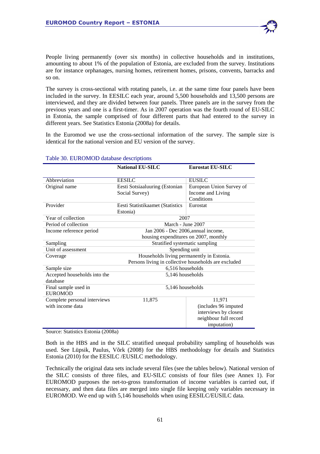

People living permanently (over six months) in collective households and in institutions, amounting to about 1% of the population of Estonia, are excluded from the survey. Institutions are for instance orphanages, nursing homes, retirement homes, prisons, convents, barracks and so on.

The survey is cross-sectional with rotating panels, i.e. at the same time four panels have been included in the survey. In EESILC each year, around 5,500 households and 13,500 persons are interviewed, and they are divided between four panels. Three panels are in the survey from the previous years and one is a first-timer. As in 2007 operation was the fourth round of EU-SILC in Estonia, the sample comprised of four different parts that had entered to the survey in different years. See Statistics Estonia (2008a) for details.

In the Euromod we use the cross-sectional information of the survey. The sample size is identical for the national version and EU version of the survey.

|                                                  | <b>National EU-SILC</b>                                  | <b>Eurostat EU-SILC</b>                                                                                 |  |  |
|--------------------------------------------------|----------------------------------------------------------|---------------------------------------------------------------------------------------------------------|--|--|
| Abbreviation                                     | <b>EESILC</b>                                            | <b>EUSILC</b>                                                                                           |  |  |
| Original name                                    | Eesti Sotsiaaluuring (Estonian<br>Social Survey)         | European Union Survey of<br>Income and Living<br>Conditions                                             |  |  |
| Provider                                         | Eesti Statistikaamet (Statistics<br>Eurostat<br>Estonia) |                                                                                                         |  |  |
| Year of collection                               | 2007                                                     |                                                                                                         |  |  |
| Period of collection                             | March - June 2007                                        |                                                                                                         |  |  |
| Income reference period                          | Jan 2006 - Dec 2006, annual income,                      |                                                                                                         |  |  |
|                                                  | housing expenditures on 2007, monthly                    |                                                                                                         |  |  |
| Sampling                                         | Stratified systematic sampling                           |                                                                                                         |  |  |
| Unit of assessment                               | Spending unit                                            |                                                                                                         |  |  |
| Coverage                                         | Households living permanently in Estonia.                |                                                                                                         |  |  |
|                                                  | Persons living in collective households are excluded     |                                                                                                         |  |  |
| Sample size                                      | 6,516 households                                         |                                                                                                         |  |  |
| Accepted households into the<br>database         | 5,146 households                                         |                                                                                                         |  |  |
| Final sample used in<br><b>EUROMOD</b>           | 5,146 households                                         |                                                                                                         |  |  |
| Complete personal interviews<br>with income data | 11,875                                                   | 11,971<br>(includes 96 imputed<br>interviews by closest<br>neighbour full record<br><i>imputation</i> ) |  |  |

#### Table 30. EUROMOD database descriptions

Source: Statistics Estonia (2008a)

Both in the HBS and in the SILC stratified unequal probability sampling of households was used. See Lüpsik, Paulus, Võrk (2008) for the HBS methodology for details and Statistics Estonia (2010) for the EESILC /EUSILC methodology.

Technically the original data sets include several files (see the tables below). National version of the SILC consists of three files, and EU-SILC consists of four files (see Annex 1). For EUROMOD purposes the net-to-gross transformation of income variables is carried out, if necessary, and then data files are merged into single file keeping only variables necessary in EUROMOD. We end up with 5,146 households when using EESILC/EUSILC data.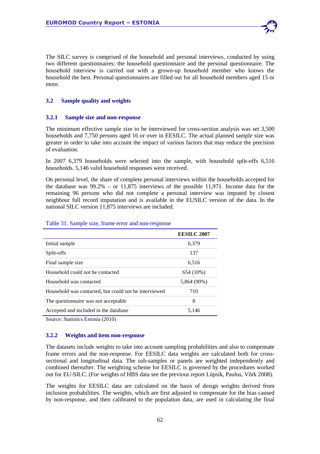The SILC survey is comprised of the household and personal interviews, conducted by using two different questionnaires: the household questionnaire and the personal questionnaire. The household interview is carried out with a grown-up household member who knows the household the best. Personal questionnaires are filled out for all household members aged 15 or more.

### **3.2 Sample quality and weights**

### **3.2.1 Sample size and non-response**

The minimum effective sample size to be interviewed for cross-section analysis was set 3,500 households and 7,750 persons aged 16 or over in EESILC. The actual planned sample size was greater in order to take into account the impact of various factors that may reduce the precision of evaluation.

In 2007 6,379 households were selected into the sample, with household split-offs 6,516 households. 5,146 valid household responses were received.

On personal level, the share of complete personal interviews within the households accepted for the database was 99.2% – or 11,875 interviews of the possible 11,971. Income data for the remaining 96 persons who did not complete a personal interview was imputed by closest neighbour full record imputation and is available in the EUSILC version of the data. In the national SILC version 11,875 interviews are included.

#### Table 31. Sample size, frame error and non-response

|                                                       | <b>EESILC 2007</b> |
|-------------------------------------------------------|--------------------|
| Initial sample                                        | 6,379              |
| Split-offs                                            | 137                |
| Final sample size                                     | 6,516              |
| Household could not be contacted                      | 654 (10%)          |
| Household was contacted                               | 5,864 (90%)        |
| Household was contacted, but could not be interviewed | 710                |
| The questionnaire was not acceptable                  | 8                  |
| Accepted and included in the database                 | 5.146              |

Source: Statistics Estonia (2010)

#### **3.2.2 Weights and item non-response**

The datasets include weights to take into account sampling probabilities and also to compensate frame errors and the non-response. For EESILC data weights are calculated both for crosssectional and longitudinal data. The sub-samples or panels are weighted independently and combined thereafter. The weighting scheme for EESILC is governed by the procedures worked out for EU-SILC. (For weights of HBS data see the previous report Lüpsik, Paulus, Võrk 2008).

The weights for EESILC data are calculated on the basis of design weights derived from inclusion probabilities. The weights, which are first adjusted to compensate for the bias caused by non-response, and then calibrated to the population data, are used in calculating the final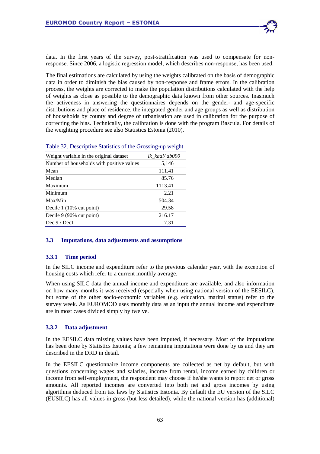

data. In the first years of the survey, post-stratification was used to compensate for nonresponse. Since 2006, a logistic regression model, which describes non-response, has been used.

The final estimations are calculated by using the weights calibrated on the basis of demographic data in order to diminish the bias caused by non-response and frame errors. In the calibration process, the weights are corrected to make the population distributions calculated with the help of weights as close as possible to the demographic data known from other sources. Inasmuch the activeness in answering the questionnaires depends on the gender- and age-specific distributions and place of residence, the integrated gender and age groups as well as distribution of households by county and degree of urbanisation are used in calibration for the purpose of correcting the bias. Technically, the calibration is done with the program Bascula. For details of the weighting procedure see also Statistics Estonia (2010).

| Weight variable in the original dataset   | lk_kaal/ db090 |
|-------------------------------------------|----------------|
|                                           |                |
| Number of households with positive values | 5,146          |
| Mean                                      | 111.41         |
| Median                                    | 85.76          |
| Maximum                                   | 1113.41        |
| Minimum                                   | 2.21           |
| Max/Min                                   | 504.34         |
| Decile 1 (10% cut point)                  | 29.58          |
| Decile 9 (90% cut point)                  | 216.17         |
| Dec $9/Dec1$                              | 7.31           |

## Table 32. Descriptive Statistics of the Grossing-up weight

#### **3.3 Imputations, data adjustments and assumptions**

### **3.3.1 Time period**

In the SILC income and expenditure refer to the previous calendar year, with the exception of housing costs which refer to a current monthly average.

When using SILC data the annual income and expenditure are available, and also information on how many months it was received (especially when using national version of the EESILC), but some of the other socio-economic variables (e.g. education, marital status) refer to the survey week. As EUROMOD uses monthly data as an input the annual income and expenditure are in most cases divided simply by twelve.

#### **3.3.2 Data adjustment**

In the EESILC data missing values have been imputed, if necessary. Most of the imputations has been done by Statistics Estonia; a few remaining imputations were done by us and they are described in the DRD in detail.

In the EESILC questionnaire income components are collected as net by default, but with questions concerning wages and salaries, income from rental, income earned by children or income from self-employment, the respondent may choose if he/she wants to report net or gross amounts. All reported incomes are converted into both net and gross incomes by using algorithms deduced from tax laws by Statistics Estonia. By default the EU version of the SILC (EUSILC) has all values in gross (but less detailed), while the national version has (additional)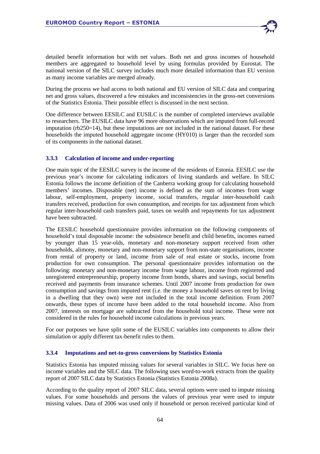

detailed benefit information but with net values. Both net and gross incomes of household members are aggregated to household level by using formulas provided by Eurostat. The national version of the SILC survey includes much more detailed information than EU version as many income variables are merged already.

During the process we had access to both national and EU version of SILC data and comparing net and gross values, discovered a few mistakes and inconsistencies in the gross-net conversions of the Statistics Estonia. Their possible effect is discussed in the next section.

One difference between EESILC and EUSILC is the number of completed interviews available to researchers. The EUSILC data have 96 more observations which are imputed from full-record imputation (rb250=14), but these imputations are not included in the national dataset. For these households the imputed household aggregate income (HY010) is larger than the recorded sum of its components in the national dataset.

# **3.3.3 Calculation of income and under-reporting**

One main topic of the EESILC survey is the income of the residents of Estonia. EESILC use the previous year's income for calculating indicators of living standards and welfare. In SILC Estonia follows the income definition of the Canberra working group for calculating household members' incomes. Disposable (net) income is defined as the sum of incomes from wage labour, self-employment, property income, social transfers, regular inter-household cash transfers received, production for own consumption, and receipts for tax adjustment from which regular inter-household cash transfers paid, taxes on wealth and repayments for tax adjustment have been subtracted.

The EESILC household questionnaire provides information on the following components of household's total disposable income: the subsistence benefit and child benefits, incomes earned by younger than 15 year-olds, monetary and non-monetary support received from other households, alimony, monetary and non-monetary support from non-state organisations, income from rental of property or land, income from sale of real estate or stocks, income from production for own consumption. The personal questionnaire provides information on the following: monetary and non-monetary income from wage labour, income from registered and unregistered entrepreneurship, property income from bonds, shares and savings, social benefits received and payments from insurance schemes. Until 2007 income from production for own consumption and savings from imputed rent (i.e. the money a household saves on rent by living in a dwelling that they own) were not included in the total income definition. From 2007 onwards, these types of income have been added to the total household income. Also from 2007, interests on mortgage are subtracted from the household total income. These were not considered in the rules for household income calculations in previous years.

For our purposes we have split some of the EUSILC variables into components to allow their simulation or apply different tax-benefit rules to them.

# **3.3.4 Imputations and net-to-gross conversions by Statistics Estonia**

Statistics Estonia has imputed missing values for several variables in SILC. We focus here on income variables and the SILC data. The following uses word-to-work extracts from the quality report of 2007 SILC data by Statistics Estonia (Statistics Estonia 2008a).

According to the quality report of 2007 SILC data, several options were used to impute missing values. For some households and persons the values of previous year were used to impute missing values. Data of 2006 was used only if household or person received particular kind of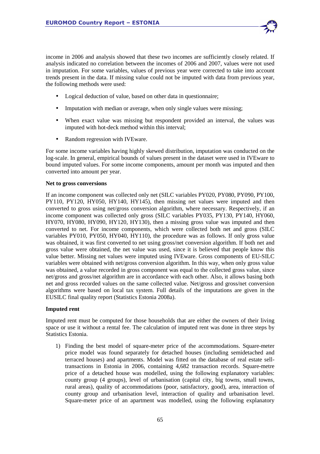income in 2006 and analysis showed that these two incomes are sufficiently closely related. If analysis indicated no correlation between the incomes of 2006 and 2007, values were not used in imputation. For some variables, values of previous year were corrected to take into account trends present in the data. If missing value could not be imputed with data from previous year, the following methods were used:

- Logical deduction of value, based on other data in questionnaire;
- Imputation with median or average, when only single values were missing;
- When exact value was missing but respondent provided an interval, the values was imputed with hot-deck method within this interval;
- Random regression with IVE ware.

For some income variables having highly skewed distribution, imputation was conducted on the log-scale. In general, empirical bounds of values present in the dataset were used in IVEware to bound imputed values. For some income components, amount per month was imputed and then converted into amount per year.

### **Net to gross conversions**

If an income component was collected only net (SILC variables PY020, PY080, PY090, PY100, PY110, PY120, HY050, HY140, HY145), then missing net values were imputed and then converted to gross using net/gross conversion algorithm, where necessary. Respectively, if an income component was collected only gross (SILC variables PY035, PY130, PY140, HY060, HY070, HY080, HY090, HY120, HY130), then a missing gross value was imputed and then converted to net. For income components, which were collected both net and gross (SILC variables PY010, PY050, HY040, HY110), the procedure was as follows. If only gross value was obtained, it was first converted to net using gross/net conversion algorithm. If both net and gross value were obtained, the net value was used, since it is believed that people know this value better. Missing net values were imputed using IVEware. Gross components of EU-SILC variables were obtained with net/gross conversion algorithm. In this way, when only gross value was obtained, a value recorded in gross component was equal to the collected gross value, since net/gross and gross/net algorithm are in accordance with each other. Also, it allows basing both net and gross recorded values on the same collected value. Net/gross and gross/net conversion algorithms were based on local tax system. Full details of the imputations are given in the EUSILC final quality report (Statistics Estonia 2008a).

## **Imputed rent**

Imputed rent must be computed for those households that are either the owners of their living space or use it without a rental fee. The calculation of imputed rent was done in three steps by Statistics Estonia.

1) Finding the best model of square-meter price of the accommodations. Square-meter price model was found separately for detached houses (including semidetached and terraced houses) and apartments. Model was fitted on the database of real estate selltransactions in Estonia in 2006, containing 4,682 transaction records. Square-metre price of a detached house was modelled, using the following explanatory variables: county group (4 groups), level of urbanisation (capital city, big towns, small towns, rural areas), quality of accommodations (poor, satisfactory, good), area, interaction of county group and urbanisation level, interaction of quality and urbanisation level. Square-meter price of an apartment was modelled, using the following explanatory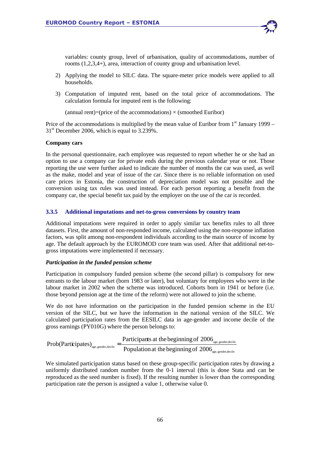variables: county group, level of urbanisation, quality of accommodations, number of rooms (1,2,3,4+), area, interaction of county group and urbanisation level.

- 2) Applying the model to SILC data. The square-meter price models were applied to all households.
- 3) Computation of imputed rent, based on the total price of accommodations. The calculation formula for imputed rent is the following:

(annual rent)=(price of the accommodations)  $\times$  (smoothed Euribor)

Price of the accommodations is multiplied by the mean value of Euribor from  $1<sup>st</sup>$  January 1999 –  $31<sup>st</sup>$  December 2006, which is equal to 3.239%.

### **Company cars**

In the personal questionnaire, each employee was requested to report whether he or she had an option to use a company car for private ends during the previous calendar year or not. Those reporting the use were further asked to indicate the number of months the car was used, as well as the make, model and year of issue of the car. Since there is no reliable information on used care prices in Estonia, the construction of depreciation model was not possible and the conversion using tax rules was used instead. For each person reporting a benefit from the company car, the special benefit tax paid by the employer on the use of the car is recorded.

### **3.3.5 Additional imputations and net-to-gross conversions by country team**

Additional imputations were required in order to apply similar tax benefits rules to all three datasets. First, the amount of non-responded income, calculated using the non-response inflation factors, was split among non-respondent individuals according to the main source of income by age. The default approach by the EUROMOD core team was used. After that additional net-togross imputations were implemented if necessary.

#### *Participation in the funded pension scheme*

Participation in compulsory funded pension scheme (the second pillar) is compulsory for new entrants to the labour market (born 1983 or later), but voluntary for employees who were in the labour market in 2002 when the scheme was introduced. Cohorts born in 1941 or before (i.e. those beyond pension age at the time of the reform) were not allowed to join the scheme.

We do not have information on the participation in the funded pension scheme in the EU version of the SILC, but we have the information in the national version of the SILC. We calculated participation rates from the EESILC data in age-gender and income decile of the gross earnings (PY010G) where the person belongs to:

 age, gender,decile age, gender,decile age, gender, decile  $\overline{\phantom{a}}$  Population at the beginning of 2006 Participants at the beginning of 2006  $Prob(Participates)_{\text{age gender decile}} =$ 

We simulated participation status based on these group-specific participation rates by drawing a uniformly distributed random number from the 0-1 interval (this is done Stata and can be reproduced as the seed number is fixed). If the resulting number is lower than the corresponding participation rate the person is assigned a value 1, otherwise value 0.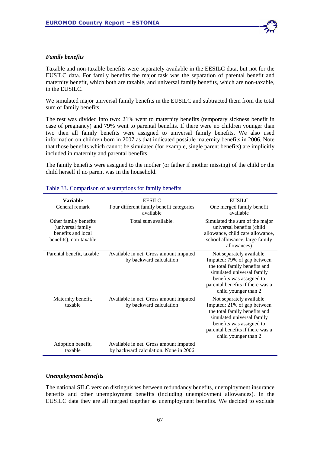

### *Family benefits*

Taxable and non-taxable benefits were separately available in the EESILC data, but not for the EUSILC data. For family benefits the major task was the separation of parental benefit and maternity benefit, which both are taxable, and universal family benefits, which are non-taxable, in the EUSILC.

We simulated major universal family benefits in the EUSILC and subtracted them from the total sum of family benefits.

The rest was divided into two: 21% went to maternity benefits (temporary sickness benefit in case of pregnancy) and 79% went to parental benefits. If there were no children younger than two then all family benefits were assigned to universal family benefits. We also used information on children born in 2007 as that indicated possible maternity benefits in 2006. Note that those benefits which cannot be simulated (for example, single parent benefits) are implicitly included in maternity and parental benefits.

The family benefits were assigned to the mother (or father if mother missing) of the child or the child herself if no parent was in the household.

| <b>Variable</b>                                                                            | <b>EESILC</b>                                                                   | <b>EUSILC</b>                                                                                                                                                                                                   |
|--------------------------------------------------------------------------------------------|---------------------------------------------------------------------------------|-----------------------------------------------------------------------------------------------------------------------------------------------------------------------------------------------------------------|
| General remark                                                                             | Four different family benefit categories<br>available                           | One merged family benefit<br>available                                                                                                                                                                          |
| Other family benefits<br>(universal family<br>benefits and local<br>benefits), non-taxable | Total sum available.                                                            | Simulated the sum of the major<br>universal benefits (child<br>allowance, child care allowance,<br>school allowance, large family<br>allowances)                                                                |
| Parental benefit, taxable                                                                  | Available in net. Gross amount imputed<br>by backward calculation               | Not separately available.<br>Imputed: 79% of gap between<br>the total family benefits and<br>simulated universal family<br>benefits was assigned to<br>parental benefits if there was a<br>child younger than 2 |
| Maternity benefit,<br>taxable                                                              | Available in net. Gross amount imputed<br>by backward calculation               | Not separately available.<br>Imputed: 21% of gap between<br>the total family benefits and<br>simulated universal family<br>benefits was assigned to<br>parental benefits if there was a<br>child younger than 2 |
| Adoption benefit,<br>taxable                                                               | Available in net. Gross amount imputed<br>by backward calculation. None in 2006 |                                                                                                                                                                                                                 |

#### Table 33. Comparison of assumptions for family benefits

#### *Unemployment benefits*

The national SILC version distinguishes between redundancy benefits, unemployment insurance benefits and other unemployment benefits (including unemployment allowances). In the EUSILC data they are all merged together as unemployment benefits. We decided to exclude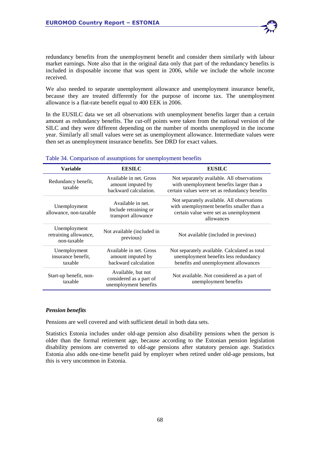

We also needed to separate unemployment allowance and unemployment insurance benefit, because they are treated differently for the purpose of income tax. The unemployment allowance is a flat-rate benefit equal to 400 EEK in 2006.

In the EUSILC data we set all observations with unemployment benefits larger than a certain amount as redundancy benefits. The cut-off points were taken from the national version of the SILC and they were different depending on the number of months unemployed in the income year. Similarly all small values were set as unemployment allowance. Intermediate values were then set as unemployment insurance benefits. See DRD for exact values.

| <b>Variable</b>                                      | <b>EESILC</b>                                                          | <b>EUSILC</b>                                                                                                                                   |
|------------------------------------------------------|------------------------------------------------------------------------|-------------------------------------------------------------------------------------------------------------------------------------------------|
| Redundancy benefit,<br>taxable                       | Available in net. Gross<br>amount imputed by<br>backward calculation.  | Not separately available. All observations<br>with unemployment benefits larger than a<br>certain values were set as redundancy benefits        |
| Unemployment<br>allowance, non-taxable               | Available in net.<br>Include retraining or<br>transport allowance      | Not separately available. All observations<br>with unemployment benefits smaller than a<br>certain value were set as unemployment<br>allowances |
| Unemployment<br>retraining allowance,<br>non-taxable | Not available (included in<br>previous)                                | Not available (included in previous)                                                                                                            |
| Unemployment<br>insurance benefit,<br>taxable        | Available in net. Gross<br>amount imputed by<br>backward calculation   | Not separately available. Calculated as total<br>unemployment benefits less redundancy<br>benefits and unemployment allowances                  |
| Start-up benefit, non-<br>taxable                    | Available, but not<br>considered as a part of<br>unemployment benefits | Not available. Not considered as a part of<br>unemployment benefits                                                                             |

## Table 34. Comparison of assumptions for unemployment benefits

## *Pension benefits*

Pensions are well covered and with sufficient detail in both data sets.

Statistics Estonia includes under old-age pension also disability pensions when the person is older than the formal retirement age, because according to the Estonian pension legislation disability pensions are converted to old-age pensions after statutory pension age. Statistics Estonia also adds one-time benefit paid by employer when retired under old-age pensions, but this is very uncommon in Estonia.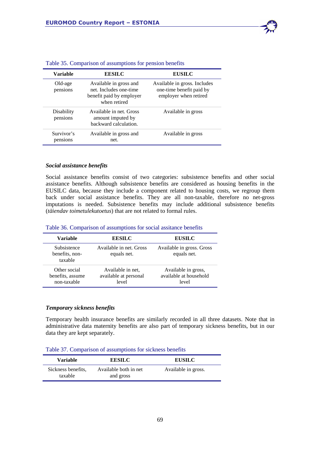| <b>Variable</b>        | <b>EESILC</b>                                                                                | <b>EUSILC</b>                                                                     |
|------------------------|----------------------------------------------------------------------------------------------|-----------------------------------------------------------------------------------|
| Old-age<br>pensions    | Available in gross and<br>net. Includes one-time<br>benefit paid by employer<br>when retired | Available in gross. Includes<br>one-time benefit paid by<br>employer when retired |
| Disability<br>pensions | Available in net. Gross<br>amount imputed by<br>backward calculation.                        | Available in gross                                                                |
| Survivor's<br>pensions | Available in gross and<br>net.                                                               | Available in gross                                                                |

Table 35. Comparison of assumptions for pension benefits

#### *Social assistance benefits*

Social assistance benefits consist of two categories: subsistence benefits and other social assistance benefits. Although subsistence benefits are considered as housing benefits in the EUSILC data, because they include a component related to housing costs, we regroup them back under social assistance benefits. They are all non-taxable, therefore no net-gross imputations is needed. Subsistence benefits may include additional subsistence benefits (*täiendav toimetulekutoetus*) that are not related to formal rules.

Table 36. Comparison of assumptions for social assitance benefits

| <b>Variable</b>                                 | <b>EESILC</b>                                       | <b>EUSILC</b>                                          |
|-------------------------------------------------|-----------------------------------------------------|--------------------------------------------------------|
| Subsistence<br>benefits, non-<br>taxable        | Available in net. Gross<br>equals net.              | Available in gross. Gross<br>equals net.               |
| Other social<br>benefits, assume<br>non-taxable | Available in net,<br>available at personal<br>level | Available in gross,<br>available at household<br>level |

## *Temporary sickness benefits*

Temporary health insurance benefits are similarly recorded in all three datasets. Note that in administrative data maternity benefits are also part of temporary sickness benefits, but in our data they are kept separately.

|  |  |  |  | Table 37. Comparison of assumptions for sickness benefits |
|--|--|--|--|-----------------------------------------------------------|
|--|--|--|--|-----------------------------------------------------------|

| <b>Variable</b>               | <b>EESILC</b>                      | <b>EUSILC</b>       |
|-------------------------------|------------------------------------|---------------------|
| Sickness benefits.<br>taxable | Available both in net<br>and gross | Available in gross. |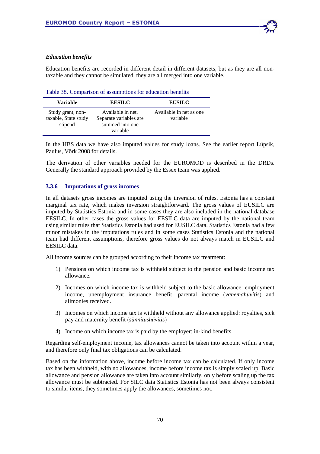

# *Education benefits*

Education benefits are recorded in different detail in different datasets, but as they are all nontaxable and they cannot be simulated, they are all merged into one variable.

Table 38. Comparison of assumptions for education benefits

| <b>Variable</b>                                      | <b>EESILC</b>                                                              | <b>EUSILC</b>                       |
|------------------------------------------------------|----------------------------------------------------------------------------|-------------------------------------|
| Study grant, non-<br>taxable, State study<br>stipend | Available in net.<br>Separate variables are<br>summed into one<br>variable | Available in net as one<br>variable |

In the HBS data we have also imputed values for study loans. See the earlier report Lüpsik, Paulus, Võrk 2008 for details.

The derivation of other variables needed for the EUROMOD is described in the DRDs. Generally the standard approach provided by the Essex team was applied.

# **3.3.6 Imputations of gross incomes**

In all datasets gross incomes are imputed using the inversion of rules. Estonia has a constant marginal tax rate, which makes inversion straightforward. The gross values of EUSILC are imputed by Statistics Estonia and in some cases they are also included in the national database EESILC. In other cases the gross values for EESILC data are imputed by the national team using similar rules that Statistics Estonia had used for EUSILC data. Statistics Estonia had a few minor mistakes in the imputations rules and in some cases Statistics Estonia and the national team had different assumptions, therefore gross values do not always match in EUSILC and EESILC data.

All income sources can be grouped according to their income tax treatment:

- 1) Pensions on which income tax is withheld subject to the pension and basic income tax allowance.
- 2) Incomes on which income tax is withheld subject to the basic allowance: employment income, unemployment insurance benefit, parental income (*vanemahüvitis*) and alimonies received.
- 3) Incomes on which income tax is withheld without any allowance applied: royalties, sick pay and maternity benefit (*sünnitushüvitis*)
- 4) Income on which income tax is paid by the employer: in-kind benefits.

Regarding self-employment income, tax allowances cannot be taken into account within a year, and therefore only final tax obligations can be calculated.

Based on the information above, income before income tax can be calculated. If only income tax has been withheld, with no allowances, income before income tax is simply scaled up. Basic allowance and pension allowance are taken into account similarly, only before scaling up the tax allowance must be subtracted. For SILC data Statistics Estonia has not been always consistent to similar items, they sometimes apply the allowances, sometimes not.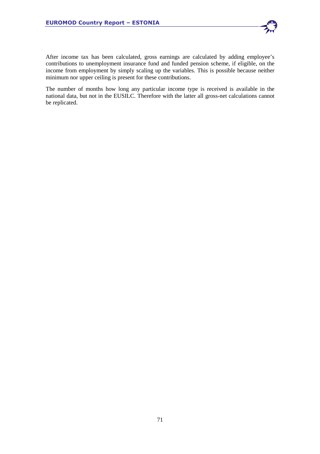

After income tax has been calculated, gross earnings are calculated by adding employee's contributions to unemployment insurance fund and funded pension scheme, if eligible, on the income from employment by simply scaling up the variables. This is possible because neither minimum nor upper ceiling is present for these contributions.

The number of months how long any particular income type is received is available in the national data, but not in the EUSILC. Therefore with the latter all gross-net calculations cannot be replicated.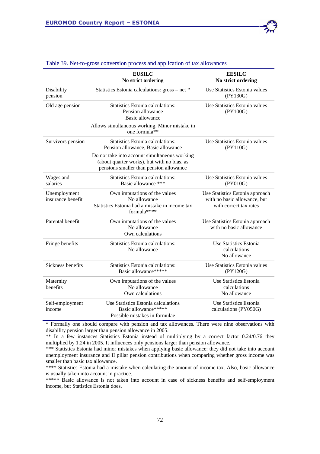|                                   | <b>EUSILC</b><br>No strict ordering                                                                                                                                                                                      | <b>EESILC</b><br>No strict ordering                                                       |
|-----------------------------------|--------------------------------------------------------------------------------------------------------------------------------------------------------------------------------------------------------------------------|-------------------------------------------------------------------------------------------|
| Disability<br>pension             | Statistics Estonia calculations: $\text{gross} = \text{net}^*$                                                                                                                                                           | Use Statistics Estonia values<br>(PY130G)                                                 |
| Old age pension                   | <b>Statistics Estonia calculations:</b><br>Pension allowance<br>Basic allowance                                                                                                                                          | Use Statistics Estonia values<br>(PY100G)                                                 |
|                                   | Allows simultaneous working. Minor mistake in<br>one formula**                                                                                                                                                           |                                                                                           |
| Survivors pension                 | <b>Statistics Estonia calculations:</b><br>Pension allowance, Basic allowance<br>Do not take into account simultaneous working<br>(about quarter works), but with no bias, as<br>pensions smaller than pension allowance | Use Statistics Estonia values<br>(PY110G)                                                 |
| Wages and<br>salaries             | <b>Statistics Estonia calculations:</b><br>Basic allowance ***                                                                                                                                                           | Use Statistics Estonia values<br>(PY010G)                                                 |
| Unemployment<br>insurance benefit | Own imputations of the values<br>No allowance<br>Statistics Estonia had a mistake in income tax<br>formula****                                                                                                           | Use Statistics Estonia approach<br>with no basic allowance, but<br>with correct tax rates |
| Parental benefit                  | Own imputations of the values<br>No allowance<br>Own calculations                                                                                                                                                        | Use Statistics Estonia approach<br>with no basic allowance                                |
| Fringe benefits                   | <b>Statistics Estonia calculations:</b><br>No allowance                                                                                                                                                                  | Use Statistics Estonia<br>calculations<br>No allowance                                    |
| Sickness benefits                 | Statistics Estonia calculations:<br>Basic allowance*****                                                                                                                                                                 | Use Statistics Estonia values<br>(PY120G)                                                 |
| Maternity<br>benefits             | Own imputations of the values<br>No allowance<br>Own calculations                                                                                                                                                        | Use Statistics Estonia<br>calculations<br>No allowance                                    |
| Self-employment<br>income         | Use Statistics Estonia calculations<br>Basic allowance*****<br>Possible mistakes in formulae                                                                                                                             | Use Statistics Estonia<br>calculations (PY050G)                                           |

#### Table 39. Net-to-gross conversion process and application of tax allowances

\* Formally one should compare with pension and tax allowances. There were nine observations with disability pension larger than pension allowance in 2005.

\*\* In a few instances Statistics Estonia instead of multiplying by a correct factor 0.24/0.76 they multiplied by 1.24 in 2005. It influences only pensions larger than pension allowance.

\*\*\* Statistics Estonia had minor mistakes when applying basic allowance: they did not take into account unemployment insurance and II pillar pension contributions when comparing whether gross income was smaller than basic tax allowance.

\*\*\*\* Statistics Estonia had a mistake when calculating the amount of income tax. Also, basic allowance is usually taken into account in practice.

\*\*\*\*\* Basic allowance is not taken into account in case of sickness benefits and self-employment income, but Statistics Estonia does.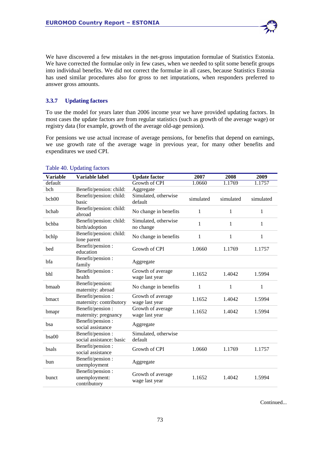

# **3.3.7 Updating factors**

To use the model for years later than 2006 income year we have provided updating factors. In most cases the update factors are from regular statistics (such as growth of the average wage) or registry data (for example, growth of the average old-age pension).

For pensions we use actual increase of average pensions, for benefits that depend on earnings, we use growth rate of the average wage in previous year, for many other benefits and expenditures we used CPI.

| <b>Variable</b> | Variable label                                    | <b>Update factor</b>                | 2007         | 2008         | 2009         |
|-----------------|---------------------------------------------------|-------------------------------------|--------------|--------------|--------------|
| default         |                                                   | Growth of CPI                       | 1.0660       | 1.1769       | 1.1757       |
| bch             | Benefit/pension: child:                           | Aggregate                           |              |              |              |
| bch00           | Benefit/pension: child:<br>basic                  | Simulated, otherwise<br>default     | simulated    | simulated    | simulated    |
| bchab           | Benefit/pension: child:<br>abroad                 | No change in benefits               | 1            | $\mathbf{1}$ | 1            |
| bchba           | Benefit/pension: child:<br>birth/adoption         | Simulated, otherwise<br>no change   | $\mathbf{1}$ | 1            | $\mathbf{1}$ |
| bchlp           | Benefit/pension: child:<br>lone parent            | No change in benefits               | $\mathbf{1}$ | 1            | $\mathbf{1}$ |
| bed             | Benefit/pension:<br>education                     | Growth of CPI                       | 1.0660       | 1.1769       | 1.1757       |
| bfa             | Benefit/pension :<br>family                       | Aggregate                           |              |              |              |
| bhl             | Benefit/pension:<br>health                        | Growth of average<br>wage last year | 1.1652       | 1.4042       | 1.5994       |
| bmaab           | Benefit/pension:<br>maternity: abroad             | No change in benefits               | $\mathbf{1}$ | 1            | 1            |
| bmact           | Benefit/pension:<br>maternity: contributory       | Growth of average<br>wage last year | 1.1652       | 1.4042       | 1.5994       |
| bmapr           | Benefit/pension:<br>maternity: pregnancy          | Growth of average<br>wage last year | 1.1652       | 1.4042       | 1.5994       |
| bsa             | Benefit/pension:<br>social assistance             | Aggregate                           |              |              |              |
| bsa00           | Benefit/pension:<br>social assistance: basic      | Simulated, otherwise<br>default     |              |              |              |
| bsals           | Benefit/pension:<br>social assistance             | Growth of CPI                       | 1.0660       | 1.1769       | 1.1757       |
| bun             | Benefit/pension:<br>unemployment                  | Aggregate                           |              |              |              |
| bunct           | Benefit/pension:<br>unemployment:<br>contributory | Growth of average<br>wage last year | 1.1652       | 1.4042       | 1.5994       |

#### Table 40. Updating factors

Continued...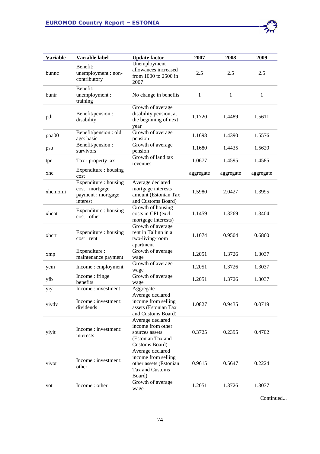| <b>Variable</b> | Variable label                                                            | <b>Update factor</b>                                                                           | 2007      | 2008         | 2009         |
|-----------------|---------------------------------------------------------------------------|------------------------------------------------------------------------------------------------|-----------|--------------|--------------|
| bunnc           | Benefit:<br>unemployment : non-<br>contributory                           | Unemployment<br>allowances increased<br>from 1000 to 2500 in<br>2007                           | 2.5       | 2.5          | 2.5          |
| buntr           | Benefit:<br>unemployment :<br>training                                    | No change in benefits                                                                          | 1         | $\mathbf{1}$ | $\mathbf{1}$ |
| pdi             | Benefit/pension :<br>disability                                           | Growth of average<br>disability pension, at<br>the beginning of next<br>year                   | 1.1720    | 1.4489       | 1.5611       |
| poa00           | Benefit/pension : old<br>age: basic                                       | Growth of average<br>pension                                                                   | 1.1698    | 1.4390       | 1.5576       |
| psu             | Benefit/pension :<br>survivors                                            | Growth of average<br>pension                                                                   | 1.1680    | 1.4435       | 1.5620       |
| tpr             | Tax: property tax                                                         | Growth of land tax<br>revenues                                                                 | 1.0677    | 1.4595       | 1.4585       |
| xhc             | Expenditure : housing<br>cost                                             |                                                                                                | aggregate | aggregate    | aggregate    |
| xhcmomi         | Expenditure : housing<br>cost: mortgage<br>payment : mortgage<br>interest | Average declared<br>mortgage interests<br>amount (Estonian Tax<br>and Customs Board)           | 1.5980    | 2.0427       | 1.3995       |
| xhcot           | Expenditure : housing<br>cost: other                                      | Growth of housing<br>costs in CPI (excl.<br>mortgage interests)                                | 1.1459    | 1.3269       | 1.3404       |
| xhcrt           | Expenditure : housing<br>cost: rent                                       | Growth of average<br>rent in Tallinn in a<br>two-living-room<br>apartment                      | 1.1074    | 0.9504       | 0.6860       |
| xmp             | Expenditure :<br>maintenance payment                                      | Growth of average<br>wage                                                                      | 1.2051    | 1.3726       | 1.3037       |
| yem             | Income: employment                                                        | Growth of average<br>wage                                                                      | 1.2051    | 1.3726       | 1.3037       |
| yfb             | Income: fringe<br>benefits                                                | Growth of average<br>wage                                                                      | 1.2051    | 1.3726       | 1.3037       |
| yiy             | Income: investment                                                        | Aggregate                                                                                      |           |              |              |
| yiydv           | Income: investment:<br>dividends                                          | Average declared<br>income from selling<br>assets (Estonian Tax<br>and Customs Board)          | 1.0827    | 0.9435       | 0.0719       |
| yiyit           | Income: investment:<br>interests                                          | Average declared<br>income from other<br>sources assets<br>(Estonian Tax and<br>Customs Board) | 0.3725    | 0.2395       | 0.4702       |
| yiyot           | Income: investment:<br>other                                              | Average declared<br>income from selling<br>other assets (Estonian<br>Tax and Customs<br>Board) | 0.9615    | 0.5647       | 0.2224       |
| yot             | Income : other                                                            | Growth of average<br>wage                                                                      | 1.2051    | 1.3726       | 1.3037       |

Continued...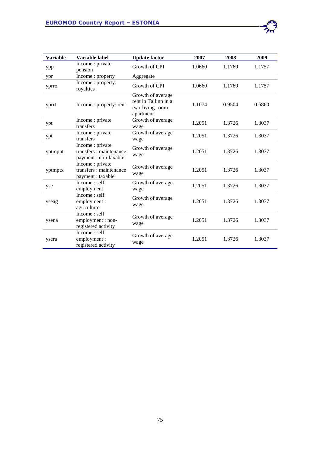| <b>Variable</b> | Variable label                                                       | <b>Update factor</b>                                                      | 2007   | 2008   | 2009   |
|-----------------|----------------------------------------------------------------------|---------------------------------------------------------------------------|--------|--------|--------|
| ypp             | Income : private<br>pension                                          | Growth of CPI                                                             | 1.0660 | 1.1769 | 1.1757 |
| ypr             | Income: property                                                     | Aggregate                                                                 |        |        |        |
| yprro           | Income: property:<br>royalties                                       | Growth of CPI                                                             | 1.0660 | 1.1769 | 1.1757 |
| yprrt           | Income: property: rent                                               | Growth of average<br>rent in Tallinn in a<br>two-living-room<br>apartment | 1.1074 | 0.9504 | 0.6860 |
| ypt             | Income : private<br>transfers                                        | Growth of average<br>wage                                                 | 1.2051 | 1.3726 | 1.3037 |
| ypt             | Income : private<br>transfers                                        | Growth of average<br>wage                                                 | 1.2051 | 1.3726 | 1.3037 |
| yptmpnt         | Income : private<br>transfers : maintenance<br>payment : non-taxable | Growth of average<br>wage                                                 | 1.2051 | 1.3726 | 1.3037 |
| yptmptx         | Income : private<br>transfers : maintenance<br>payment : taxable     | Growth of average<br>wage                                                 | 1.2051 | 1.3726 | 1.3037 |
| yse             | Income: self<br>employment                                           | Growth of average<br>wage                                                 | 1.2051 | 1.3726 | 1.3037 |
| yseag           | Income : self<br>employment :<br>agriculture                         | Growth of average<br>wage                                                 | 1.2051 | 1.3726 | 1.3037 |
| ysena           | Income: self<br>employment : non-<br>registered activity             | Growth of average<br>wage                                                 | 1.2051 | 1.3726 | 1.3037 |
| ysera           | Income: self<br>employment :<br>registered activity                  | Growth of average<br>wage                                                 | 1.2051 | 1.3726 | 1.3037 |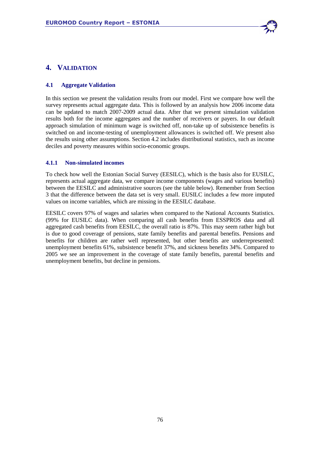

# **4.1 Aggregate Validation**

In this section we present the validation results from our model. First we compare how well the survey represents actual aggregate data. This is followed by an analysis how 2006 income data can be updated to match 2007-2009 actual data. After that we present simulation validation results both for the income aggregates and the number of receivers or payers. In our default approach simulation of minimum wage is switched off, non-take up of subsistence benefits is switched on and income-testing of unemployment allowances is switched off. We present also the results using other assumptions. Section 4.2 includes distributional statistics, such as income deciles and poverty measures within socio-economic groups.

#### **4.1.1 Non-simulated incomes**

To check how well the Estonian Social Survey (EESILC), which is the basis also for EUSILC, represents actual aggregate data, we compare income components (wages and various benefits) between the EESILC and administrative sources (see the table below). Remember from Section 3 that the difference between the data set is very small. EUSILC includes a few more imputed values on income variables, which are missing in the EESILC database.

EESILC covers 97% of wages and salaries when compared to the National Accounts Statistics. (99% for EUSILC data). When comparing all cash benefits from ESSPROS data and all aggregated cash benefits from EESILC, the overall ratio is 87%. This may seem rather high but is due to good coverage of pensions, state family benefits and parental benefits. Pensions and benefits for children are rather well represented, but other benefits are underrepresented: unemployment benefits 61%, subsistence benefit 37%, and sickness benefits 34%. Compared to 2005 we see an improvement in the coverage of state family benefits, parental benefits and unemployment benefits, but decline in pensions.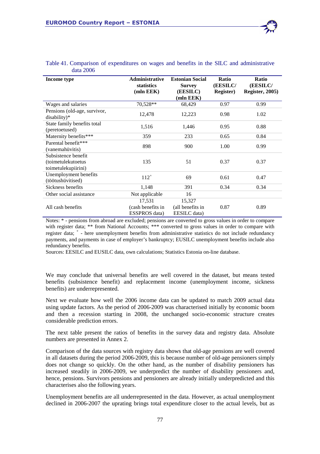

| Income type                                                      | <b>Administrative</b><br>statistics<br>(mln EEK)    | <b>Estonian Social</b><br><b>Survey</b><br>(EESILC)<br>(mln EEK) | Ratio<br>(EESILC/<br><b>Register</b> ) | Ratio<br>(EESILC/<br><b>Register, 2005)</b> |
|------------------------------------------------------------------|-----------------------------------------------------|------------------------------------------------------------------|----------------------------------------|---------------------------------------------|
| Wages and salaries                                               | 70,528**                                            | 68,429                                                           | 0.97                                   | 0.99                                        |
| Pensions (old-age, survivor,<br>$disability)*$                   | 12,478                                              | 12,223                                                           | 0.98                                   | 1.02                                        |
| State family benefits total<br>(peretoetused)                    | 1,516                                               | 1,446                                                            | 0.95                                   | 0.88                                        |
| Maternity benefits***                                            | 359                                                 | 233                                                              | 0.65                                   | 0.84                                        |
| Parental benefit***<br>(vanemahüvitis)                           | 898                                                 | 900                                                              | 1.00                                   | 0.99                                        |
| Subsistence benefit<br>(toimetulekutoetus<br>toimetulekupiirini) | 135                                                 | 51                                                               | 0.37                                   | 0.37                                        |
| Unemployment benefits<br>(töötushüvitised)                       | $112^{+}$                                           | 69                                                               | 0.61                                   | 0.47                                        |
| Sickness benefits                                                | 1,148                                               | 391                                                              | 0.34                                   | 0.34                                        |
| Other social assistance                                          | Not applicable                                      | 16                                                               |                                        |                                             |
| All cash benefits                                                | 17,531<br>(cash benefits in<br><b>ESSPROS</b> data) | 15,327<br>(all benefits in<br>EESILC data)                       | 0.87                                   | 0.89                                        |

#### Table 41. Comparison of expenditures on wages and benefits in the SILC and administrative data 2006

Notes: \* - pensions from abroad are excluded; pensions are converted to gross values in order to compare with register data; \*\* from National Accounts; \*\*\* converted to gross values in order to compare with register data; <sup>+</sup> - here unemployment benefits from administrative statistics do not include redundancy payments, and payments in case of employer's bankruptcy; EUSILC unemployment benefits include also redundancy benefits.

Sources: EESILC and EUSILC data, own calculations; Statistics Estonia on-line database.

We may conclude that universal benefits are well covered in the dataset, but means tested benefits (subsistence benefit) and replacement income (unemployment income, sickness benefits) are underrepresented.

Next we evaluate how well the 2006 income data can be updated to match 2009 actual data using update factors. As the period of 2006-2009 was characterised initially by economic boom and then a recession starting in 2008, the unchanged socio-economic structure creates considerable prediction errors.

The next table present the ratios of benefits in the survey data and registry data. Absolute numbers are presented in Annex 2.

Comparison of the data sources with registry data shows that old-age pensions are well covered in all datasets during the period 2006-2009, this is because number of old-age pensioners simply does not change so quickly. On the other hand, as the number of disability pensioners has increased steadily in 2006-2009, we underpredict the number of disability pensioners and, hence, pensions. Survivors pensions and pensioners are already initially underpredicted and this characterises also the following years.

Unemployment benefits are all underrepresented in the data. However, as actual unemployment declined in 2006-2007 the uprating brings total expenditure closer to the actual levels, but as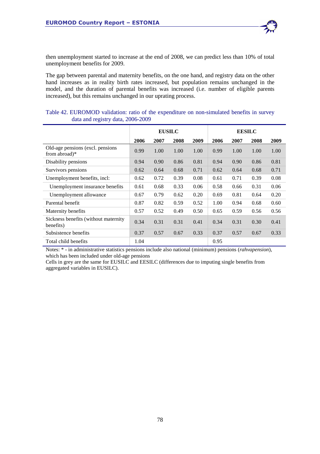

then unemployment started to increase at the end of 2008, we can predict less than 10% of total unemployment benefits for 2009.

The gap between parental and maternity benefits, on the one hand, and registry data on the other hand increases as in reality birth rates increased, but population remains unchanged in the model, and the duration of parental benefits was increased (i.e. number of eligible parents increased), but this remains unchanged in our uprating process.

# Table 42. EUROMOD validation: ratio of the expenditure on non-simulated benefits in survey data and registry data, 2006-2009

|                                                       |      | <b>EUSILC</b> |      |      | <b>EESILC</b> |      |      |      |  |
|-------------------------------------------------------|------|---------------|------|------|---------------|------|------|------|--|
|                                                       | 2006 | 2007          | 2008 | 2009 | 2006          | 2007 | 2008 | 2009 |  |
| Old-age pensions (excl. pensions)<br>from abroad) $*$ | 0.99 | 1.00          | 1.00 | 1.00 | 0.99          | 1.00 | 1.00 | 1.00 |  |
| Disability pensions                                   | 0.94 | 0.90          | 0.86 | 0.81 | 0.94          | 0.90 | 0.86 | 0.81 |  |
| Survivors pensions                                    | 0.62 | 0.64          | 0.68 | 0.71 | 0.62          | 0.64 | 0.68 | 0.71 |  |
| Unemployment benefits, incl:                          | 0.62 | 0.72          | 0.39 | 0.08 | 0.61          | 0.71 | 0.39 | 0.08 |  |
| Unemployment insurance benefits                       | 0.61 | 0.68          | 0.33 | 0.06 | 0.58          | 0.66 | 0.31 | 0.06 |  |
| Unemployment allowance                                | 0.67 | 0.79          | 0.62 | 0.20 | 0.69          | 0.81 | 0.64 | 0.20 |  |
| Parental benefit                                      | 0.87 | 0.82          | 0.59 | 0.52 | 1.00          | 0.94 | 0.68 | 0.60 |  |
| Maternity benefits                                    | 0.57 | 0.52          | 0.49 | 0.50 | 0.65          | 0.59 | 0.56 | 0.56 |  |
| Sickness benefits (without maternity<br>benefits)     | 0.34 | 0.31          | 0.31 | 0.41 | 0.34          | 0.31 | 0.30 | 0.41 |  |
| Subsistence benefits                                  | 0.37 | 0.57          | 0.67 | 0.33 | 0.37          | 0.57 | 0.67 | 0.33 |  |
| Total child benefits                                  | 1.04 |               |      |      | 0.95          |      |      |      |  |

Notes: \* - in administrative statistics pensions include also national (minimum) pensions (*rahvapension*), which has been included under old-age pensions

Cells in grey are the same for EUSILC and EESILC (differences due to imputing single benefits from aggregated variables in EUSILC).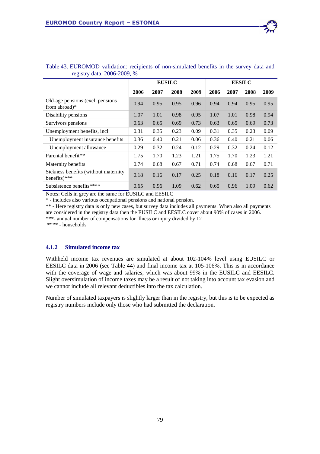|                                                       |      | <b>EUSILC</b> |      |      |      | <b>EESILC</b> |      |      |
|-------------------------------------------------------|------|---------------|------|------|------|---------------|------|------|
|                                                       | 2006 | 2007          | 2008 | 2009 | 2006 | 2007          | 2008 | 2009 |
| Old-age pensions (excl. pensions)<br>from abroad) $*$ | 0.94 | 0.95          | 0.95 | 0.96 | 0.94 | 0.94          | 0.95 | 0.95 |
| Disability pensions                                   | 1.07 | 1.01          | 0.98 | 0.95 | 1.07 | 1.01          | 0.98 | 0.94 |
| Survivors pensions                                    | 0.63 | 0.65          | 0.69 | 0.73 | 0.63 | 0.65          | 0.69 | 0.73 |
| Unemployment benefits, incl:                          | 0.31 | 0.35          | 0.23 | 0.09 | 0.31 | 0.35          | 0.23 | 0.09 |
| Unemployment insurance benefits                       | 0.36 | 0.40          | 0.21 | 0.06 | 0.36 | 0.40          | 0.21 | 0.06 |
| Unemployment allowance                                | 0.29 | 0.32          | 0.24 | 0.12 | 0.29 | 0.32          | 0.24 | 0.12 |
| Parental benefit**                                    | 1.75 | 1.70          | 1.23 | 1.21 | 1.75 | 1.70          | 1.23 | 1.21 |
| Maternity benefits                                    | 0.74 | 0.68          | 0.67 | 0.71 | 0.74 | 0.68          | 0.67 | 0.71 |
| Sickness benefits (without maternity<br>benefits)***  | 0.18 | 0.16          | 0.17 | 0.25 | 0.18 | 0.16          | 0.17 | 0.25 |
| Subsistence benefits****                              | 0.65 | 0.96          | 1.09 | 0.62 | 0.65 | 0.96          | 1.09 | 0.62 |

# Table 43. EUROMOD validation: recipients of non-simulated benefits in the survey data and registry data, 2006-2009, %

Notes: Cells in grey are the same for EUSILC and EESILC

\* - includes also various occupational pensions and national pension.

\*\* - Here registry data is only new cases, but survey data includes all payments. When also all payments are considered in the registry data then the EUSILC and EESILC cover about 90% of cases in 2006. \*\*\*- annual number of compensations for illness or injury divided by 12

\*\*\*\* - households

# **4.1.2 Simulated income tax**

Withheld income tax revenues are simulated at about 102-104% level using EUSILC or EESILC data in 2006 (see Table 44) and final income tax at 105-106%. This is in accordance with the coverage of wage and salaries, which was about 99% in the EUSILC and EESILC. Slight oversimulation of income taxes may be a result of not taking into account tax evasion and we cannot include all relevant deductibles into the tax calculation.

Number of simulated taxpayers is slightly larger than in the registry, but this is to be expected as registry numbers include only those who had submitted the declaration.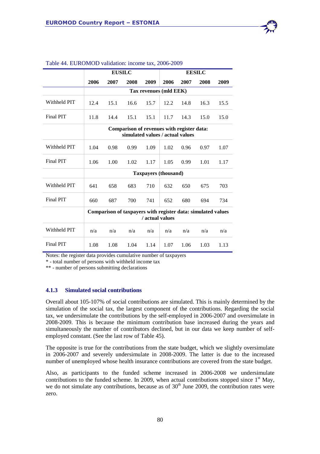|                  |      | <b>EUSILC</b>                                                |                                                                                |                             |      |      | <b>EESILC</b> |      |
|------------------|------|--------------------------------------------------------------|--------------------------------------------------------------------------------|-----------------------------|------|------|---------------|------|
|                  | 2006 | 2007                                                         | 2008                                                                           | 2009                        | 2006 | 2007 | 2008          | 2009 |
|                  |      |                                                              |                                                                                | Tax revenues (mld EEK)      |      |      |               |      |
| Withheld PIT     | 12.4 | 15.1                                                         | 16.6                                                                           | 15.7                        | 12.2 | 14.8 | 16.3          | 15.5 |
| <b>Final PIT</b> | 11.8 | 14.4                                                         | 15.1                                                                           | 15.1                        | 11.7 | 14.3 | 15.0          | 15.0 |
|                  |      |                                                              | Comparison of revenues with register data:<br>simulated values / actual values |                             |      |      |               |      |
| Withheld PIT     | 1.04 | 0.98                                                         | 0.99                                                                           | 1.09                        | 1.02 | 0.96 | 0.97          | 1.07 |
| Final PIT        | 1.06 | 1.00                                                         | 1.02                                                                           | 1.17                        | 1.05 | 0.99 | 1.01          | 1.17 |
|                  |      |                                                              |                                                                                | <b>Taxpayers (thousand)</b> |      |      |               |      |
| Withheld PIT     | 641  | 658                                                          | 683                                                                            | 710                         | 632  | 650  | 675           | 703  |
| <b>Final PIT</b> | 660  | 687                                                          | 700                                                                            | 741                         | 652  | 680  | 694           | 734  |
|                  |      | Comparison of taxpayers with register data: simulated values |                                                                                | / actual values             |      |      |               |      |
| Withheld PIT     | n/a  | n/a                                                          | n/a                                                                            | n/a                         | n/a  | n/a  | n/a           | n/a  |
| <b>Final PIT</b> | 1.08 | 1.08                                                         | 1.04                                                                           | 1.14                        | 1.07 | 1.06 | 1.03          | 1.13 |

#### Table 44. EUROMOD validation: income tax, 2006-2009

Notes: the register data provides cumulative number of taxpayers

\* - total number of persons with withheld income tax

\*\* - number of persons submitting declarations

#### **4.1.3 Simulated social contributions**

Overall about 105-107% of social contributions are simulated. This is mainly determined by the simulation of the social tax, the largest component of the contributions. Regarding the social tax, we undersimulate the contributions by the self-employed in 2006-2007 and oversimulate in 2008-2009. This is because the minimum contribution base increased during the years and simultaneously the number of contributors declined, but in our data we keep number of selfemployed constant. (See the last row of Table 45).

The opposite is true for the contributions from the state budget, which we slightly oversimulate in 2006-2007 and severely undersimulate in 2008-2009. The latter is due to the increased number of unemployed whose health insurance contributions are covered from the state budget.

Also, as participants to the funded scheme increased in 2006-2008 we undersimulate contributions to the funded scheme. In 2009, when actual contributions stopped since  $1<sup>st</sup>$  May, we do not simulate any contributions, because as of  $30<sup>th</sup>$  June 2009, the contribution rates were zero.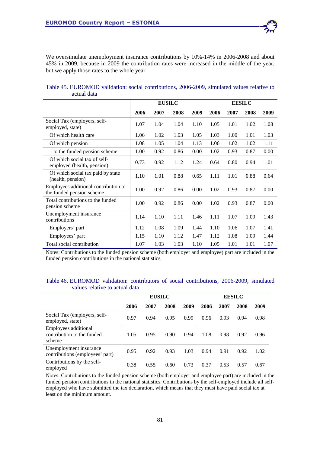

We oversimulate unemployment insurance contributions by 10%-14% in 2006-2008 and about 45% in 2009, because in 2009 the contribution rates were increased in the middle of the year, but we apply those rates to the whole year.

| Table 45. EUROMOD validation: social contributions, 2006-2009, simulated values relative to |  |  |  |  |
|---------------------------------------------------------------------------------------------|--|--|--|--|
| actual data                                                                                 |  |  |  |  |

|                                                                   |      | <b>EUSILC</b> |      |      |      |      | <b>EESILC</b> |      |
|-------------------------------------------------------------------|------|---------------|------|------|------|------|---------------|------|
|                                                                   | 2006 | 2007          | 2008 | 2009 | 2006 | 2007 | 2008          | 2009 |
| Social Tax (employers, self-<br>employed, state)                  | 1.07 | 1.04          | 1.04 | 1.10 | 1.05 | 1.01 | 1.02          | 1.08 |
| Of which health care                                              | 1.06 | 1.02          | 1.03 | 1.05 | 1.03 | 1.00 | 1.01          | 1.03 |
| Of which pension                                                  | 1.08 | 1.05          | 1.04 | 1.13 | 1.06 | 1.02 | 1.02          | 1.11 |
| to the funded pension scheme                                      | 1.00 | 0.92          | 0.86 | 0.00 | 1.02 | 0.93 | 0.87          | 0.00 |
| Of which social tax of self-<br>employed (health, pension)        | 0.73 | 0.92          | 1.12 | 1.24 | 0.64 | 0.80 | 0.94          | 1.01 |
| Of which social tax paid by state<br>(health, pension)            | 1.10 | 1.01          | 0.88 | 0.65 | 1.11 | 1.01 | 0.88          | 0.64 |
| Employees additional contribution to<br>the funded pension scheme | 1.00 | 0.92          | 0.86 | 0.00 | 1.02 | 0.93 | 0.87          | 0.00 |
| Total contributions to the funded<br>pension scheme               | 1.00 | 0.92          | 0.86 | 0.00 | 1.02 | 0.93 | 0.87          | 0.00 |
| Unemployment insurance<br>contributions                           | 1.14 | 1.10          | 1.11 | 1.46 | 1.11 | 1.07 | 1.09          | 1.43 |
| Employers' part                                                   | 1.12 | 1.08          | 1.09 | 1.44 | 1.10 | 1.06 | 1.07          | 1.41 |
| Employees' part                                                   | 1.15 | 1.10          | 1.12 | 1.47 | 1.12 | 1.08 | 1.09          | 1.44 |
| Total social contribution                                         | 1.07 | 1.03          | 1.03 | 1.10 | 1.05 | 1.01 | 1.01          | 1.07 |

Notes: Contributions to the funded pension scheme (both employer and employee) part are included in the funded pension contributions in the national statistics.

|                                                              |      | <b>EUSILC</b> |      | <b>EESILC</b> |      |      |      |      |  |  |  |  |
|--------------------------------------------------------------|------|---------------|------|---------------|------|------|------|------|--|--|--|--|
|                                                              | 2006 | 2007          | 2008 | 2009          | 2006 | 2007 | 2008 | 2009 |  |  |  |  |
| Social Tax (employers, self-<br>employed, state)             | 0.97 | 0.94          | 0.95 | 0.99          | 0.96 | 0.93 | 0.94 | 0.98 |  |  |  |  |
| Employees additional<br>contribution to the funded<br>scheme | 1.05 | 0.95          | 0.90 | 0.94          | 1.08 | 0.98 | 0.92 | 0.96 |  |  |  |  |
| Unemployment insurance<br>contributions (employees' part)    | 0.95 | 0.92          | 0.93 | 1.03          | 0.94 | 0.91 | 0.92 | 1.02 |  |  |  |  |
| Contributions by the self-<br>employed                       | 0.38 | 0.55          | 0.60 | 0.73          | 0.37 | 0.53 | 0.57 | 0.67 |  |  |  |  |

|                                |  |  | Table 46. EUROMOD validation: contributors of social contributions, 2006-2009, simulated |  |
|--------------------------------|--|--|------------------------------------------------------------------------------------------|--|
| values relative to actual data |  |  |                                                                                          |  |

Notes: Contributions to the funded pension scheme (both employer and employee part) are included in the funded pension contributions in the national statistics. Contributions by the self-employed include all selfemployed who have submitted the tax declaration, which means that they must have paid social tax at least on the minimum amount.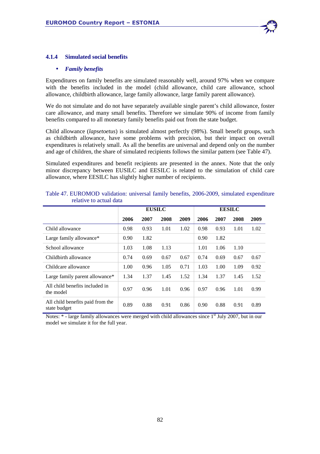

#### **4.1.4 Simulated social benefits**

#### • *Family benefits*

Expenditures on family benefits are simulated reasonably well, around 97% when we compare with the benefits included in the model (child allowance, child care allowance, school allowance, childbirth allowance, large family allowance, large family parent allowance).

We do not simulate and do not have separately available single parent's child allowance, foster care allowance, and many small benefits. Therefore we simulate 90% of income from family benefits compared to all monetary family benefits paid out from the state budget.

Child allowance (*lapsetoetus*) is simulated almost perfectly (98%). Small benefit groups, such as childbirth allowance, have some problems with precision, but their impact on overall expenditures is relatively small. As all the benefits are universal and depend only on the number and age of children, the share of simulated recipients follows the similar pattern (see Table 47).

Simulated expenditures and benefit recipients are presented in the annex. Note that the only minor discrepancy between EUSILC and EESILC is related to the simulation of child care allowance, where EESILC has slightly higher number of recipients.

|                                                  | <b>EUSILC</b> |      |      |      | <b>EESILC</b> |      |      |      |  |
|--------------------------------------------------|---------------|------|------|------|---------------|------|------|------|--|
|                                                  | 2006          | 2007 | 2008 | 2009 | 2006          | 2007 | 2008 | 2009 |  |
| Child allowance                                  | 0.98          | 0.93 | 1.01 | 1.02 | 0.98          | 0.93 | 1.01 | 1.02 |  |
| Large family allowance*                          | 0.90          | 1.82 |      |      | 0.90          | 1.82 |      |      |  |
| School allowance                                 | 1.03          | 1.08 | 1.13 |      | 1.01          | 1.06 | 1.10 |      |  |
| Childbirth allowance                             | 0.74          | 0.69 | 0.67 | 0.67 | 0.74          | 0.69 | 0.67 | 0.67 |  |
| Childcare allowance                              | 1.00          | 0.96 | 1.05 | 0.71 | 1.03          | 1.00 | 1.09 | 0.92 |  |
| Large family parent allowance*                   | 1.34          | 1.37 | 1.45 | 1.52 | 1.34          | 1.37 | 1.45 | 1.52 |  |
| All child benefits included in<br>the model      | 0.97          | 0.96 | 1.01 | 0.96 | 0.97          | 0.96 | 1.01 | 0.99 |  |
| All child benefits paid from the<br>state budget | 0.89          | 0.88 | 0.91 | 0.86 | 0.90          | 0.88 | 0.91 | 0.89 |  |

Table 47. EUROMOD validation: universal family benefits, 2006-2009, simulated expenditure relative to actual data

Notes: \* - large family allowances were merged with child allowances since 1<sup>st</sup> July 2007, but in our model we simulate it for the full year.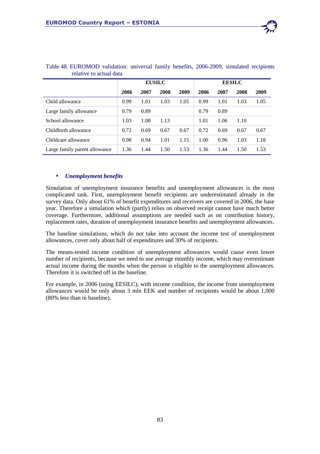|                               |      | <b>EUSILC</b> |      |      | <b>EESILC</b> |      |      |      |
|-------------------------------|------|---------------|------|------|---------------|------|------|------|
|                               | 2006 | 2007          | 2008 | 2009 | 2006          | 2007 | 2008 | 2009 |
| Child allowance               | 0.99 | 1.01          | 1.03 | 1.05 | 0.99          | 1.01 | 1.03 | 1.05 |
| Large family allowance        | 0.79 | 0.89          |      |      | 0.79          | 0.89 |      |      |
| School allowance              | 1.03 | 1.08          | 1.13 |      | 1.01          | 1.06 | 1.10 |      |
| Childbirth allowance          | 0.72 | 0.69          | 0.67 | 0.67 | 0.72          | 0.69 | 0.67 | 0.67 |
| Childcare allowance           | 0.98 | 0.94          | 1.01 | 1.15 | 1.00          | 0.96 | 1.03 | 1.18 |
| Large family parent allowance | 1.36 | 1.44          | 1.50 | 1.53 | 1.36          | 1.44 | 1.50 | 1.53 |

# Table 48. EUROMOD validation: universal family benefits, 2006-2009, simulated recipients relative to actual data

# • *Unemployment benefits*

Simulation of unemployment insurance benefits and unemployment allowances is the most complicated task. First, unemployment benefit recipients are underestimated already in the survey data. Only about 61% of benefit expenditures and receivers are covered in 2006, the base year. Therefore a simulation which (partly) relies on observed receipt cannot have much better coverage. Furthermore, additional assumptions are needed such as on contribution history, replacement rates, duration of unemployment insurance benefits and unemployment allowances.

The baseline simulations, which do not take into account the income test of unemployment allowances, cover only about half of expenditures and 30% of recipients.

The means-tested income condition of unemployment allowances would cause even lower number of recipients, because we need to use average monthly income, which may overestimate actual income during the months when the person is eligible to the unemployment allowances. Therefore it is switched off in the baseline.

For example, in 2006 (using EESILC), with income condition, the income from unemployment allowances would be only about 3 mln EEK and number of recipients would be about 1,000 (80% less than in baseline).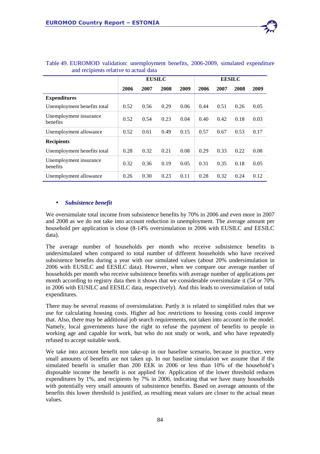|                                    |      | <b>EUSILC</b> | <b>EESILC</b> |      |      |      |      |      |
|------------------------------------|------|---------------|---------------|------|------|------|------|------|
|                                    | 2006 | 2007          | 2008          | 2009 | 2006 | 2007 | 2008 | 2009 |
| <b>Expenditures</b>                |      |               |               |      |      |      |      |      |
| Unemployment benefits total        | 0.52 | 0.56          | 0.29          | 0.06 | 0.44 | 0.51 | 0.26 | 0.05 |
| Unemployment insurance<br>benefits | 0.52 | 0.54          | 0.23          | 0.04 | 0.40 | 0.42 | 0.18 | 0.03 |
| Unemployment allowance             | 0.52 | 0.61          | 0.49          | 0.15 | 0.57 | 0.67 | 0.53 | 0.17 |
| <b>Recipients</b>                  |      |               |               |      |      |      |      |      |
| Unemployment benefits total        | 0.28 | 0.32          | 0.21          | 0.08 | 0.29 | 0.33 | 0.22 | 0.08 |
| Unemployment insurance<br>benefits | 0.32 | 0.36          | 0.19          | 0.05 | 0.31 | 0.35 | 0.18 | 0.05 |
| Unemployment allowance             | 0.26 | 0.30          | 0.23          | 0.11 | 0.28 | 0.32 | 0.24 | 0.12 |

#### Table 49. EUROMOD validation: unemployment benefits, 2006-2009, simulated expenditure and recipients relative to actual data

# • *Subsistence benefit*

We oversimulate total income from subsistence benefits by 70% in 2006 and even more in 2007 and 2008 as we do not take into account reduction in unemployment. The average amount per household per application is close (8-14% oversimulation in 2006 with EUSILC and EESILC data).

The average number of households per month who receive subsistence benefits is undersimulated when compared to total number of different households who have received subsistence benefits during a year with our simulated values (about 20% undersimulation in 2006 with EUSILC and EESILC data). However, when we compare our average number of households per month who receive subsistence benefits with average number of applications per month according to registry data then it shows that we considerable oversimulate it (54 or  $70\%$ ) in 2006 with EUSILC and EESILC data, respectively). And this leads to oversimulation of total expenditures.

There may be several reasons of oversimulation. Partly it is related to simplified rules that we use for calculating housing costs. Higher ad hoc restrictions to housing costs could improve that. Also, there may be additional job search requirements, not taken into account in the model. Namely, local governments have the right to refuse the payment of benefits to people in working age and capable for work, but who do not study or work, and who have repeatedly refused to accept suitable work.

We take into account benefit non take-up in our baseline scenario, because in practice, very small amounts of benefits are not taken up. In our baseline simulation we assume that if the simulated benefit is smaller than 200 EEK in 2006 or less than 10% of the household's disposable income the benefit is not applied for. Application of the lower threshold reduces expenditures by 1%, and recipients by 7% in 2006, indicating that we have many households with potentially very small amounts of subsistence benefits. Based on average amounts of the benefits this lower threshold is justified, as resulting mean values are closer to the actual mean values.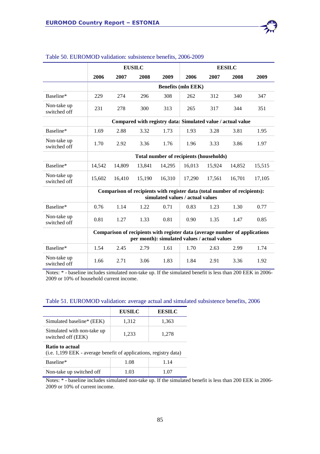|                             |                                                                                                                             |        | <b>EUSILC</b> |        | <b>EESILC</b>                    |        |                                                                           |        |  |  |  |  |
|-----------------------------|-----------------------------------------------------------------------------------------------------------------------------|--------|---------------|--------|----------------------------------|--------|---------------------------------------------------------------------------|--------|--|--|--|--|
|                             | 2006                                                                                                                        | 2007   | 2008          | 2009   | 2006                             | 2007   | 2008                                                                      | 2009   |  |  |  |  |
|                             | <b>Benefits (mln EEK)</b>                                                                                                   |        |               |        |                                  |        |                                                                           |        |  |  |  |  |
| Baseline*                   | 229                                                                                                                         | 274    | 296           | 308    | 262                              | 312    | 340                                                                       | 347    |  |  |  |  |
| Non-take up<br>switched off | 231                                                                                                                         | 278    | 300           | 313    | 265                              | 317    | 344                                                                       | 351    |  |  |  |  |
|                             |                                                                                                                             |        |               |        |                                  |        | Compared with registry data: Simulated value / actual value               |        |  |  |  |  |
| Baseline*                   | 1.69                                                                                                                        | 2.88   | 3.32          | 1.73   | 1.93                             | 3.28   | 3.81                                                                      | 1.95   |  |  |  |  |
| Non-take up<br>switched off | 1.70                                                                                                                        | 2.92   | 3.36          | 1.76   | 1.96                             | 3.33   | 3.86                                                                      | 1.97   |  |  |  |  |
|                             | Total number of recipients (households)                                                                                     |        |               |        |                                  |        |                                                                           |        |  |  |  |  |
| Baseline*                   | 14,542                                                                                                                      | 14,809 | 13,841        | 14,295 | 16,013                           | 15,924 | 14,852                                                                    | 15,515 |  |  |  |  |
| Non-take up<br>switched off | 15,602                                                                                                                      | 16,410 | 15,190        | 16,310 | 17,290                           | 17,561 | 16,701                                                                    | 17,105 |  |  |  |  |
|                             |                                                                                                                             |        |               |        | simulated values / actual values |        | Comparison of recipients with register data (total number of recipients): |        |  |  |  |  |
| Baseline*                   | 0.76                                                                                                                        | 1.14   | 1.22          | 0.71   | 0.83                             | 1.23   | 1.30                                                                      | 0.77   |  |  |  |  |
| Non-take up<br>switched off | 0.81                                                                                                                        | 1.27   | 1.33          | 0.81   | 0.90                             | 1.35   | 1.47                                                                      | 0.85   |  |  |  |  |
|                             | Comparison of recipients with register data (average number of applications<br>per month): simulated values / actual values |        |               |        |                                  |        |                                                                           |        |  |  |  |  |
| Baseline*                   | 1.54                                                                                                                        | 2.45   | 2.79          | 1.61   | 1.70                             | 2.63   | 2.99                                                                      | 1.74   |  |  |  |  |
| Non-take up<br>switched off | 1.66                                                                                                                        | 2.71   | 3.06          | 1.83   | 1.84                             | 2.91   | 3.36                                                                      | 1.92   |  |  |  |  |

#### Table 50. EUROMOD validation: subsistence benefits, 2006-2009

Notes: \* - baseline includes simulated non-take up. If the simulated benefit is less than 200 EEK in 2006- 2009 or 10% of household current income.

#### Table 51. EUROMOD validation: average actual and simulated subsistence benefits, 2006

|                                                  | <b>EUSILC</b> | <b>EESILC</b> |
|--------------------------------------------------|---------------|---------------|
| Simulated baseline* (EEK)                        | 1,312         | 1,363         |
| Simulated with non-take up<br>switched off (EEK) | 1.233         | 1.278         |

**Ratio to actual** 

(i.e. 1,199 EEK - average benefit of applications, registry data)

| Baseline*                | 1.08 | 1.14 |
|--------------------------|------|------|
| Non-take up switched off | 1.03 | 1.07 |

Notes: \* - baseline includes simulated non-take up. If the simulated benefit is less than 200 EEK in 2006- 2009 or 10% of current income.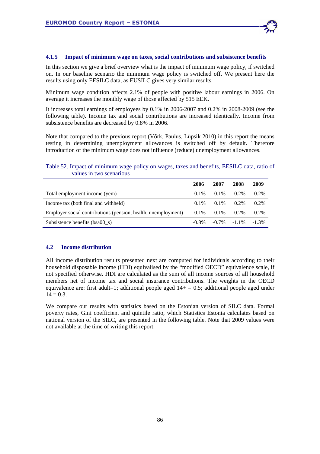

#### **4.1.5 Impact of minimum wage on taxes, social contributions and subsistence benefits**

In this section we give a brief overview what is the impact of minimum wage policy, if switched on. In our baseline scenario the minimum wage policy is switched off. We present here the results using only EESILC data, as EUSILC gives very similar results.

Minimum wage condition affects 2.1% of people with positive labour earnings in 2006. On average it increases the monthly wage of those affected by 515 EEK.

It increases total earnings of employees by 0.1% in 2006-2007 and 0.2% in 2008-2009 (see the following table). Income tax and social contributions are increased identically. Income from subsistence benefits are decreased by 0.8% in 2006.

Note that compared to the previous report (Võrk, Paulus, Lüpsik 2010) in this report the means testing in determining unemployment allowances is switched off by default. Therefore introduction of the minimum wage does not influence (reduce) unemployment allowances.

# Table 52. Impact of minimum wage policy on wages, taxes and benefits, EESILC data, ratio of values in two scenarious

|                                                               | 2006     | 2007     | 2008     | 2009     |
|---------------------------------------------------------------|----------|----------|----------|----------|
| Total employment income (yem)                                 | $0.1\%$  | $0.1\%$  | $0.2\%$  | $0.2\%$  |
| Income tax (both final and withheld)                          | $0.1\%$  | $0.1\%$  | $0.2\%$  | $0.2\%$  |
| Employer social contributions (pension, health, unemployment) | $0.1\%$  | $0.1\%$  | $0.2\%$  | $0.2\%$  |
| Subsistence benefits $(bsa00_s)$                              | $-0.8\%$ | $-0.7\%$ | $-1.1\%$ | $-1.3\%$ |

# **4.2 Income distribution**

All income distribution results presented next are computed for individuals according to their household disposable income (HDI) equivalised by the "modified OECD" equivalence scale, if not specified otherwise. HDI are calculated as the sum of all income sources of all household members net of income tax and social insurance contributions. The weights in the OECD equivalence are: first adult=1; additional people aged  $14+ = 0.5$ ; additional people aged under  $14 = 0.3$ .

We compare our results with statistics based on the Estonian version of SILC data. Formal poverty rates, Gini coefficient and quintile ratio, which Statistics Estonia calculates based on national version of the SILC, are presented in the following table. Note that 2009 values were not available at the time of writing this report.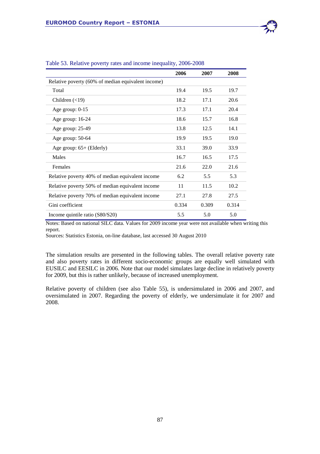|                                                    | 2006  | 2007  | 2008  |
|----------------------------------------------------|-------|-------|-------|
| Relative poverty (60% of median equivalent income) |       |       |       |
| Total                                              | 19.4  | 19.5  | 19.7  |
| Children $(\leq 19)$                               | 18.2  | 17.1  | 20.6  |
| Age group: $0-15$                                  | 17.3  | 17.1  | 20.4  |
| Age group: 16-24                                   | 18.6  | 15.7  | 16.8  |
| Age group: 25-49                                   | 13.8  | 12.5  | 14.1  |
| Age group: 50-64                                   | 19.9  | 19.5  | 19.0  |
| Age group: $65+$ (Elderly)                         | 33.1  | 39.0  | 33.9  |
| Males                                              | 16.7  | 16.5  | 17.5  |
| Females                                            | 21.6  | 22.0  | 21.6  |
| Relative poverty 40% of median equivalent income   | 6.2   | 5.5   | 5.3   |
| Relative poverty 50% of median equivalent income   | 11    | 11.5  | 10.2  |
| Relative poverty 70% of median equivalent income   | 27.1  | 27.8  | 27.5  |
| Gini coefficient                                   | 0.334 | 0.309 | 0.314 |
| Income quintile ratio (S80/S20)                    | 5.5   | 5.0   | 5.0   |

#### Table 53. Relative poverty rates and income inequality, 2006-2008

Notes: Based on national SILC data. Values for 2009 income year were not available when writing this report.

Sources: Statistics Estonia, on-line database, last accessed 30 August 2010

The simulation results are presented in the following tables. The overall relative poverty rate and also poverty rates in different socio-economic groups are equally well simulated with EUSILC and EESILC in 2006. Note that our model simulates large decline in relatively poverty for 2009, but this is rather unlikely, because of increased unemployment.

Relative poverty of children (see also Table 55), is undersimulated in 2006 and 2007, and oversimulated in 2007. Regarding the poverty of elderly, we undersimulate it for 2007 and 2008.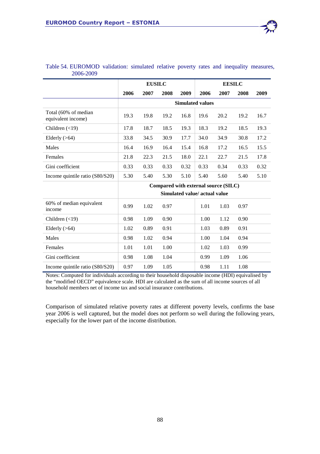|                                            |                         | <b>EUSILC</b> |      |      | <b>EESILC</b>                 |                                      |      |      |  |  |  |
|--------------------------------------------|-------------------------|---------------|------|------|-------------------------------|--------------------------------------|------|------|--|--|--|
|                                            | 2006                    | 2007          | 2008 | 2009 | 2006                          | 2007                                 | 2008 | 2009 |  |  |  |
|                                            | <b>Simulated values</b> |               |      |      |                               |                                      |      |      |  |  |  |
| Total (60% of median<br>equivalent income) | 19.3                    | 19.8          | 19.2 | 16.8 | 19.6                          | 20.2                                 | 19.2 | 16.7 |  |  |  |
| Children $(\leq 19)$                       | 17.8                    | 18.7          | 18.5 | 19.3 | 18.3                          | 19.2                                 | 18.5 | 19.3 |  |  |  |
| Elderly $(>64)$                            | 33.8                    | 34.5          | 30.9 | 17.7 | 34.0                          | 34.9                                 | 30.8 | 17.2 |  |  |  |
| Males                                      | 16.4                    | 16.9          | 16.4 | 15.4 | 16.8                          | 17.2                                 | 16.5 | 15.5 |  |  |  |
| Females                                    | 21.8                    | 22.3          | 21.5 | 18.0 | 22.1                          | 22.7                                 | 21.5 | 17.8 |  |  |  |
| Gini coefficient                           | 0.33                    | 0.33          | 0.33 | 0.32 | 0.33                          | 0.34                                 | 0.33 | 0.32 |  |  |  |
| Income quintile ratio (S80/S20)            | 5.30                    | 5.40          | 5.30 | 5.10 | 5.40                          | 5.60                                 | 5.40 | 5.10 |  |  |  |
|                                            |                         |               |      |      |                               | Compared with external source (SILC) |      |      |  |  |  |
|                                            |                         |               |      |      | Simulated value/ actual value |                                      |      |      |  |  |  |
| 60% of median equivalent<br>income         | 0.99                    | 1.02          | 0.97 |      | 1.01                          | 1.03                                 | 0.97 |      |  |  |  |
| Children $(\leq 19)$                       | 0.98                    | 1.09          | 0.90 |      | 1.00                          | 1.12                                 | 0.90 |      |  |  |  |
| Elderly $(>64)$                            | 1.02                    | 0.89          | 0.91 |      | 1.03                          | 0.89                                 | 0.91 |      |  |  |  |
| Males                                      | 0.98                    | 1.02          | 0.94 |      | 1.00                          | 1.04                                 | 0.94 |      |  |  |  |
| Females                                    | 1.01                    | 1.01          | 1.00 |      | 1.02                          | 1.03                                 | 0.99 |      |  |  |  |
| Gini coefficient                           | 0.98                    | 1.08          | 1.04 |      | 0.99                          | 1.09                                 | 1.06 |      |  |  |  |
| Income quintile ratio (S80/S20)            | 0.97                    | 1.09          | 1.05 |      | 0.98                          | 1.11                                 | 1.08 |      |  |  |  |

# Table 54. EUROMOD validation: simulated relative poverty rates and inequality measures, 2006-2009

Notes: Computed for individuals according to their household disposable income (HDI) equivalised by the "modified OECD" equivalence scale. HDI are calculated as the sum of all income sources of all household members net of income tax and social insurance contributions.

Comparison of simulated relative poverty rates at different poverty levels, confirms the base year 2006 is well captured, but the model does not perform so well during the following years, especially for the lower part of the income distribution.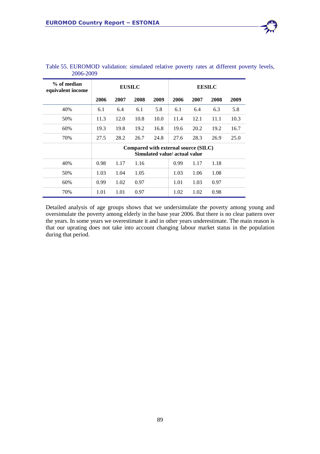| % of median<br>equivalent income |                                                                       |      | <b>EUSILC</b> |      | <b>EESILC</b> |      |      |      |  |  |  |
|----------------------------------|-----------------------------------------------------------------------|------|---------------|------|---------------|------|------|------|--|--|--|
|                                  | 2006                                                                  | 2007 | 2008          | 2009 | 2006          | 2007 | 2008 | 2009 |  |  |  |
| 40%                              | 6.1                                                                   | 6.4  | 6.1           | 5.8  | 6.1           | 6.4  | 6.3  | 5.8  |  |  |  |
| 50%                              | 11.3                                                                  | 12.0 | 10.8          | 10.0 | 11.4          | 12.1 | 11.1 | 10.3 |  |  |  |
| 60%                              | 19.3                                                                  | 19.8 | 19.2          | 16.8 | 19.6          | 20.2 | 19.2 | 16.7 |  |  |  |
| 70%                              | 27.5                                                                  | 28.2 | 26.7          | 24.8 | 27.6          | 28.3 | 26.9 | 25.0 |  |  |  |
|                                  | Compared with external source (SILC)<br>Simulated value/ actual value |      |               |      |               |      |      |      |  |  |  |
| 40%                              | 0.98                                                                  | 1.17 | 1.16          |      | 0.99          | 1.17 | 1.18 |      |  |  |  |
| 50%                              | 1.03                                                                  | 1.04 | 1.05          |      | 1.03          | 1.06 | 1.08 |      |  |  |  |
| 60%                              | 0.99                                                                  | 1.02 | 0.97          |      | 1.01          | 1.03 | 0.97 |      |  |  |  |
| 70%                              | 1.01                                                                  | 1.01 | 0.97          |      | 1.02          | 1.02 | 0.98 |      |  |  |  |

Table 55. EUROMOD validation: simulated relative poverty rates at different poverty levels, 2006-2009

Detailed analysis of age groups shows that we undersimulate the poverty among young and oversimulate the poverty among elderly in the base year 2006. But there is no clear pattern over the years. In some years we overestimate it and in other years underestimate. The main reason is that our uprating does not take into account changing labour market status in the population during that period.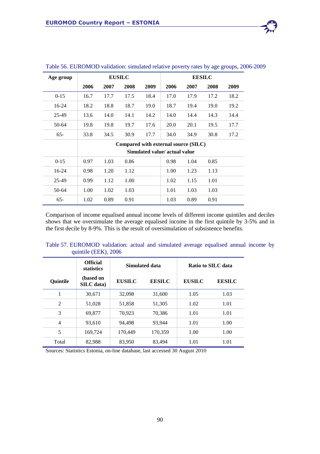| Age group |      |      | <b>EUSILC</b> |                                      | <b>EESILC</b> |      |      |      |
|-----------|------|------|---------------|--------------------------------------|---------------|------|------|------|
|           | 2006 | 2007 | 2008          | 2009                                 | 2006          | 2007 | 2008 | 2009 |
| $0 - 15$  | 16.7 | 17.7 | 17.5          | 18.4                                 | 17.0          | 17.9 | 17.2 | 18.2 |
| 16-24     | 18.2 | 18.8 | 18.7          | 19.0                                 | 18.7          | 19.4 | 19.0 | 19.2 |
| 25-49     | 13.6 | 14.0 | 14.1          | 14.2                                 | 14.0          | 14.4 | 14.3 | 14.4 |
| 50-64     | 19.8 | 19.8 | 19.7          | 17.6                                 | 20.0          | 20.1 | 19.5 | 17.7 |
| $65 -$    | 33.8 | 34.5 | 30.9          | 17.7                                 | 34.0          | 34.9 | 30.8 | 17.2 |
|           |      |      |               | Compared with external source (SILC) |               |      |      |      |
|           |      |      |               | Simulated value/ actual value        |               |      |      |      |
| $0 - 15$  | 0.97 | 1.03 | 0.86          |                                      | 0.98          | 1.04 | 0.85 |      |
| $16-24$   | 0.98 | 1.20 | 1.12          |                                      | 1.00          | 1.23 | 1.13 |      |
| 25-49     | 0.99 | 1.12 | 1.00          |                                      | 1.02          | 1.15 | 1.01 |      |
| 50-64     | 1.00 | 1.02 | 1.03          |                                      | 1.01          | 1.03 | 1.03 |      |
|           |      |      |               |                                      |               |      |      |      |

65- 1.02 0.89 0.91 1.03 0.89 0.91

Table 56. EUROMOD validation: simulated relative poverty rates by age groups, 2006-2009

Comparison of income equalised annual income levels of different income quintiles and deciles shows that we oversimulate the average equalised income in the first quintile by 3-5% and in the first decile by 8-9%. This is the result of oversimulation of subsistence benefits.

| Table 57. EUROMOD validation: actual and simulated average equalised annual income by |  |  |  |  |  |
|---------------------------------------------------------------------------------------|--|--|--|--|--|
| quintile (EEK), 2006                                                                  |  |  |  |  |  |

|                | <b>Official</b><br>statistics  |               | Simulated data |               | Ratio to SILC data |
|----------------|--------------------------------|---------------|----------------|---------------|--------------------|
| Quintile       | (based on<br><b>SILC</b> data) | <b>EUSILC</b> | <b>EESILC</b>  | <b>EUSILC</b> | <b>EESILC</b>      |
| 1              | 30.671                         | 32,098        | 31,600         | 1.05          | 1.03               |
| $\overline{2}$ | 51,028                         | 51.858        | 51,305         | 1.02          | 1.01               |
| 3              | 69,877                         | 70,923        | 70,386         | 1.01          | 1.01               |
| 4              | 93,610                         | 94.498        | 93.944         | 1.01          | 1.00               |
| 5              | 169,724                        | 170,449       | 170,359        | 1.00          | 1.00               |
| Total          | 82,988                         | 83,950        | 83,494         | 1.01          | 1.01               |

Sources: Statistics Estonia, on-line database, last accessed 30 August 2010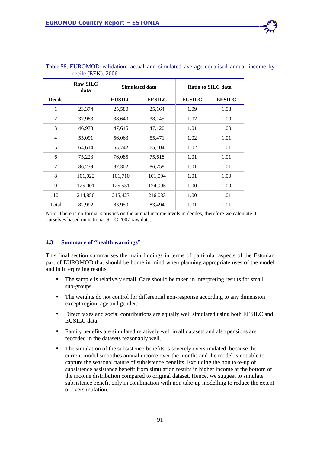|                | <b>Raw SILC</b><br>data |               | Simulated data |               | Ratio to SILC data |
|----------------|-------------------------|---------------|----------------|---------------|--------------------|
| <b>Decile</b>  |                         | <b>EUSILC</b> | <b>EESILC</b>  | <b>EUSILC</b> | <b>EESILC</b>      |
| 1              | 23,374                  | 25,580        | 25,164         | 1.09          | 1.08               |
| 2              | 37,983                  | 38,640        | 38,145         | 1.02          | 1.00               |
| 3              | 46,978                  | 47,645        | 47,120         | 1.01          | 1.00               |
| $\overline{4}$ | 55,091                  | 56,063        | 55,471         | 1.02          | 1.01               |
| 5              | 64,614                  | 65,742        | 65,104         | 1.02          | 1.01               |
| 6              | 75,223                  | 76,085        | 75,618         | 1.01          | 1.01               |
| 7              | 86,239                  | 87,302        | 86,758         | 1.01          | 1.01               |
| 8              | 101,022                 | 101,710       | 101,094        | 1.01          | 1.00               |
| 9              | 125,001                 | 125,531       | 124,995        | 1.00          | 1.00               |
| 10             | 214,850                 | 215,423       | 216,033        | 1.00          | 1.01               |
| Total          | 82,992                  | 83,950        | 83,494         | 1.01          | 1.01               |

Table 58. EUROMOD validation: actual and simulated average equalised annual income by decile (EEK), 2006

Note: There is no formal statistics on the annual income levels in deciles, therefore we calculate it ourselves based on national SILC 2007 raw data.

# **4.3 Summary of "health warnings"**

This final section summarises the main findings in terms of particular aspects of the Estonian part of EUROMOD that should be borne in mind when planning appropriate uses of the model and in interpreting results.

- The sample is relatively small. Care should be taken in interpreting results for small sub-groups.
- The weights do not control for differential non-response according to any dimension except region, age and gender.
- Direct taxes and social contributions are equally well simulated using both EESILC and EUSILC data.
- Family benefits are simulated relatively well in all datasets and also pensions are recorded in the datasets reasonably well.
- The simulation of the subsistence benefits is severely oversimulated, because the current model smoothes annual income over the months and the model is not able to capture the seasonal nature of subsistence benefits. Excluding the non take-up of subsistence assistance benefit from simulation results in higher income at the bottom of the income distribution compared to original dataset. Hence, we suggest to simulate subsistence benefit only in combination with non take-up modelling to reduce the extent of oversimulation.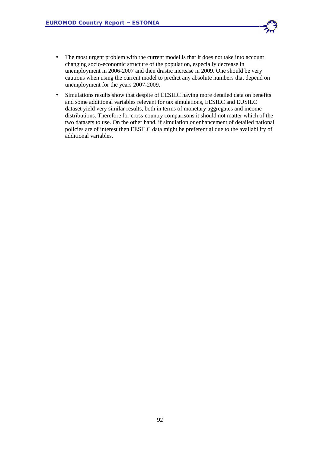- The most urgent problem with the current model is that it does not take into account changing socio-economic structure of the population, especially decrease in unemployment in 2006-2007 and then drastic increase in 2009. One should be very cautious when using the current model to predict any absolute numbers that depend on unemployment for the years 2007-2009.
- Simulations results show that despite of EESILC having more detailed data on benefits and some additional variables relevant for tax simulations, EESILC and EUSILC dataset yield very similar results, both in terms of monetary aggregates and income distributions. Therefore for cross-country comparisons it should not matter which of the two datasets to use. On the other hand, if simulation or enhancement of detailed national policies are of interest then EESILC data might be preferential due to the availability of additional variables.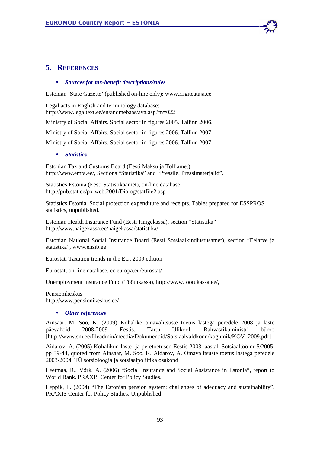# **5. REFERENCES**

#### • *Sources for tax-benefit descriptions/rules*

Estonian 'State Gazette' (published on-line only): www.riigiteataja.ee

Legal acts in English and terminology database: http://www.legaltext.ee/en/andmebaas/ava.asp?m=022

Ministry of Social Affairs. Social sector in figures 2005. Tallinn 2006.

Ministry of Social Affairs. Social sector in figures 2006. Tallinn 2007.

Ministry of Social Affairs. Social sector in figures 2006. Tallinn 2007.

• *Statistics* 

Estonian Tax and Customs Board (Eesti Maksu ja Tolliamet) http://www.emta.ee/, Sections "Statistika" and "Pressile. Pressimaterjalid".

Statistics Estonia (Eesti Statistikaamet), on-line database. http://pub.stat.ee/px-web.2001/Dialog/statfile2.asp

Statistics Estonia. Social protection expenditure and receipts. Tables prepared for ESSPROS statistics, unpublished.

Estonian Health Insurance Fund (Eesti Haigekassa), section "Statistika" http://www.haigekassa.ee/haigekassa/statistika/

Estonian National Social Insurance Board (Eesti Sotsiaalkindlustusamet), section "Eelarve ja statistika", www.ensib.ee

Eurostat. Taxation trends in the EU. 2009 edition

Eurostat, on-line database. ec.europa.eu/eurostat/

Unemployment Insurance Fund (Töötukassa), http://www.tootukassa.ee/,

Pensionikeskus http://www.pensionikeskus.ee/

#### • *Other references*

Ainsaar, M, Soo, K. (2009) Kohalike omavalitsuste toetus lastega peredele 2008 ja laste päevahoid 2008-2009 Eestis. Tartu Ülikool, Rahvastikuministri büroo [http://www.sm.ee/fileadmin/meedia/Dokumendid/Sotsiaalvaldkond/kogumik/KOV\_2009.pdf]

Aidarov, A. (2005) Kohalikud laste- ja peretoetused Eestis 2003. aastal. Sotsiaaltöö nr 5/2005, pp 39-44, quoted from Ainsaar, M. Soo, K. Aidarov, A. Omavalitsuste toetus lastega peredele 2003-2004, TÜ sotsioloogia ja sotsiaalpoliitika osakond

Leetmaa, R., Võrk, A. (2006) "Social Insurance and Social Assistance in Estonia", report to World Bank. PRAXIS Center for Policy Studies.

Leppik, L. (2004) "The Estonian pension system: challenges of adequacy and sustainability". PRAXIS Center for Policy Studies. Unpublished.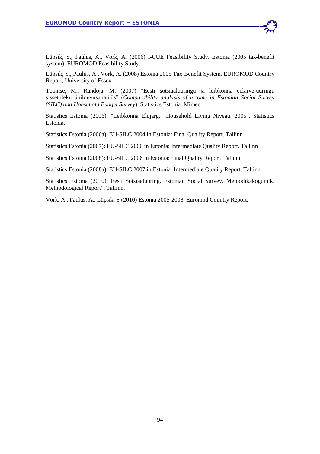

Lüpsik, S., Paulus, A., Võrk, A. (2006) I-CUE Feasibility Study. Estonia (2005 tax-benefit system). EUROMOD Feasibility Study.

Lüpsik, S., Paulus, A., Võrk, A. (2008) Estonia 2005 Tax-Benefit System. EUROMOD Country Report, University of Essex.

Toomse, M., Randoja, M. (2007) "Eesti sotsiaaluuringu ja leibkonna eelarve-uuringu sissetuleku ühilduvusanalüüs" (*Comparability analysis of income in Estonian Social Survey (SILC) and Household Budget Survey*). Statistics Estonia. Mimeo

Statistics Estonia (2006): "Leibkonna Elujärg. Household Living Niveau. 2005". Statistics Estonia.

Statistics Estonia (2006a): EU-SILC 2004 in Estonia: Final Quality Report. Tallinn

Statistics Estonia (2007): EU-SILC 2006 in Estonia: Intermediate Quality Report. Tallinn

Statistics Estonia (2008): EU-SILC 2006 in Estonia: Final Quality Report. Tallinn

Statistics Estonia (2008a): EU-SILC 2007 in Estonia: Intermediate Quality Report. Tallinn

Statistics Estonia (2010): Eesti Sotsiaaluuring. Estonian Social Survey. Metoodikakogumik. Methodological Report". Tallinn.

Võrk, A., Paulus, A., Lüpsik, S (2010) Estonia 2005-2008. Euromod Country Report.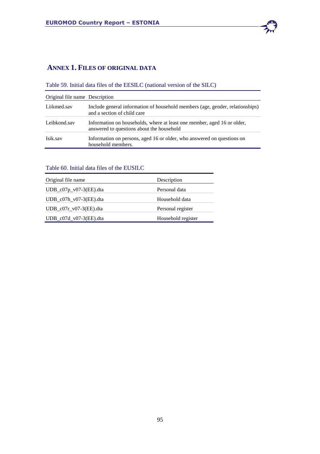# **ANNEX 1. FILES OF ORIGINAL DATA**

| Original file name Description |                                                                                                                      |
|--------------------------------|----------------------------------------------------------------------------------------------------------------------|
| Liikmed.sav                    | Include general information of household members (age, gender, relationships)<br>and a section of child care         |
| Leibkond.sav                   | Information on households, where at least one member, aged 16 or older,<br>answered to questions about the household |
| Isik.sav                       | Information on persons, aged 16 or older, who answered on questions on<br>household members.                         |

Table 59. Initial data files of the EESILC (national version of the SILC)

# Table 60. Initial data files of the EUSILC

| Original file name        | Description        |
|---------------------------|--------------------|
| $UDB_c07p_v07-3(EE)$ .dta | Personal data      |
| $UDB_c07h_v07-3(EE)$ .dta | Household data     |
| $UDB_c07r_v07-3(EE)$ .dta | Personal register  |
| $UDB_c07d_v07-3(EE)$ .dta | Household register |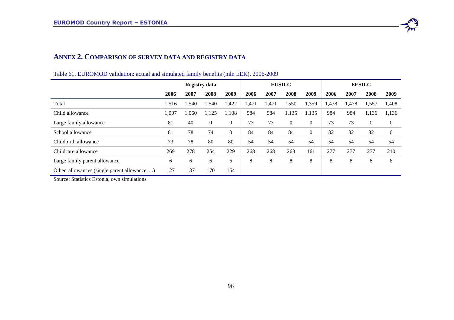# **ANNEX 2. COMPARISON OF SURVEY DATA AND REGISTRY DATA**

|                                              | <b>Registry data</b> |       |          |                  | <b>EUSILC</b> |       |                |          | <b>EESILC</b> |       |                  |                  |
|----------------------------------------------|----------------------|-------|----------|------------------|---------------|-------|----------------|----------|---------------|-------|------------------|------------------|
|                                              | 2006                 | 2007  | 2008     | 2009             | 2006          | 2007  | 2008           | 2009     | 2006          | 2007  | 2008             | 2009             |
| Total                                        | 1,516                | 1,540 | 1,540    | 1,422            | ,471          | 1,471 | 1550           | 1,359    | 1,478         | 1,478 | 1,557            | 1,408            |
| Child allowance                              | 1,007                | 0,060 | 1,125    | 1,108            | 984           | 984   | 1,135          | 1,135    | 984           | 984   | 1,136            | 1,136            |
| Large family allowance                       | 81                   | 40    | $\theta$ | $\overline{0}$   | 73            | 73    | $\overline{0}$ | $\Omega$ | 73            | 73    | $\boldsymbol{0}$ | $\boldsymbol{0}$ |
| School allowance                             | 81                   | 78    | 74       | $\boldsymbol{0}$ | 84            | 84    | 84             | $\Omega$ | 82            | 82    | 82               | $\boldsymbol{0}$ |
| Childbirth allowance                         | 73                   | 78    | 80       | 80               | 54            | 54    | 54             | 54       | 54            | 54    | 54               | 54               |
| Childcare allowance                          | 269                  | 278   | 254      | 229              | 268           | 268   | 268            | 161      | 277           | 277   | 277              | 210              |
| Large family parent allowance                | 6                    | 6     | 6        | 6                | 8             | 8     | 8              | 8        | 8             | 8     | 8                | 8                |
| Other allowances (single parent allowance, ) | 127                  | 137   | 170      | 164              |               |       |                |          |               |       |                  |                  |

#### Table 61. EUROMOD validation: actual and simulated family benefits (mln EEK), 2006-2009

Source: Statistics Estonia, own simulations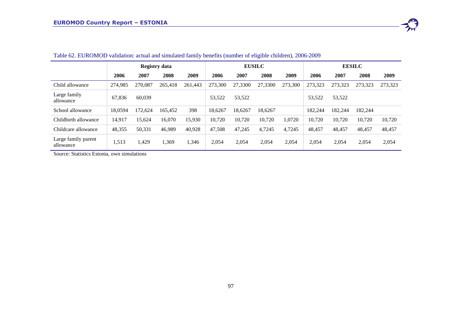|                                  | <b>Registry data</b> |         |         |         | <b>EUSILC</b> |         |         |         | <b>EESILC</b> |         |         |         |
|----------------------------------|----------------------|---------|---------|---------|---------------|---------|---------|---------|---------------|---------|---------|---------|
|                                  | 2006                 | 2007    | 2008    | 2009    | 2006          | 2007    | 2008    | 2009    | 2006          | 2007    | 2008    | 2009    |
| Child allowance                  | 274,985              | 270,087 | 265,418 | 261,443 | 273,300       | 27,3300 | 27,3300 | 273,300 | 273,323       | 273,323 | 273,323 | 273,323 |
| Large family<br>allowance        | 67,836               | 60.039  |         |         | 53,522        | 53,522  |         |         | 53,522        | 53,522  |         |         |
| School allowance                 | 18.0594              | 172,624 | 165,452 | 398     | 18.6267       | 18.6267 | 18.6267 |         | 182.244       | 182,244 | 182,244 |         |
| Childbirth allowance             | 14,917               | 15.624  | 16.070  | 15,930  | 10.720        | 10.720  | 10.720  | 1,0720  | 10.720        | 10.720  | 10.720  | 10.720  |
| Childcare allowance              | 48,355               | 50,331  | 46.989  | 40,928  | 47,508        | 47.245  | 4.7245  | 4,7245  | 48,457        | 48,457  | 48,457  | 48,457  |
| Large family parent<br>allowance | 1,513                | 1,429   | 1,369   | 1,346   | 2,054         | 2,054   | 2,054   | 2,054   | 2,054         | 2,054   | 2,054   | 2,054   |

Table 62. EUROMOD validation: actual and simulated family benefits (number of eligible children), 2006-2009

Source: Statistics Estonia, own simulations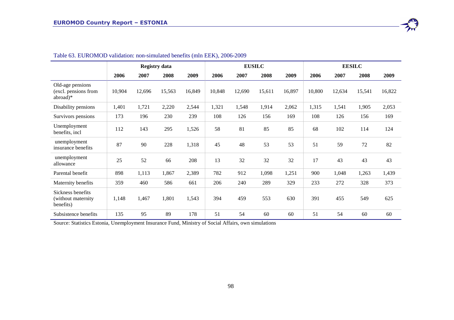|                                                      | <b>Registry data</b> |        |        |        | <b>EUSILC</b> |        |        |        | <b>EESILC</b> |        |        |        |
|------------------------------------------------------|----------------------|--------|--------|--------|---------------|--------|--------|--------|---------------|--------|--------|--------|
|                                                      | 2006                 | 2007   | 2008   | 2009   | 2006          | 2007   | 2008   | 2009   | 2006          | 2007   | 2008   | 2009   |
| Old-age pensions<br>(excl. pensions from<br>abroad)* | 10,904               | 12,696 | 15,563 | 16,849 | 10,848        | 12,690 | 15,611 | 16,897 | 10,800        | 12,634 | 15,541 | 16,822 |
| Disability pensions                                  | 1,401                | 1,721  | 2,220  | 2,544  | 1,321         | 1,548  | 1,914  | 2,062  | 1,315         | 1,541  | 1,905  | 2,053  |
| Survivors pensions                                   | 173                  | 196    | 230    | 239    | 108           | 126    | 156    | 169    | 108           | 126    | 156    | 169    |
| Unemployment<br>benefits, incl                       | 112                  | 143    | 295    | 1,526  | 58            | 81     | 85     | 85     | 68            | 102    | 114    | 124    |
| unemployment<br>insurance benefits                   | 87                   | 90     | 228    | 1,318  | 45            | 48     | 53     | 53     | 51            | 59     | 72     | 82     |
| unemployment<br>allowance                            | 25                   | 52     | 66     | 208    | 13            | 32     | 32     | 32     | 17            | 43     | 43     | 43     |
| Parental benefit                                     | 898                  | 1,113  | 1,867  | 2,389  | 782           | 912    | 1,098  | 1,251  | 900           | 1,048  | 1,263  | 1,439  |
| Maternity benefits                                   | 359                  | 460    | 586    | 661    | 206           | 240    | 289    | 329    | 233           | 272    | 328    | 373    |
| Sickness benefits<br>(without maternity<br>benefits) | 1,148                | 1,467  | 1,801  | 1,543  | 394           | 459    | 553    | 630    | 391           | 455    | 549    | 625    |
| Subsistence benefits                                 | 135                  | 95     | 89     | 178    | 51            | 54     | 60     | 60     | 51            | 54     | 60     | 60     |

#### Table 63. EUROMOD validation: non-simulated benefits (mln EEK), 2006-2009

Source: Statistics Estonia, Unemployment Insurance Fund, Ministry of Social Affairs, own simulations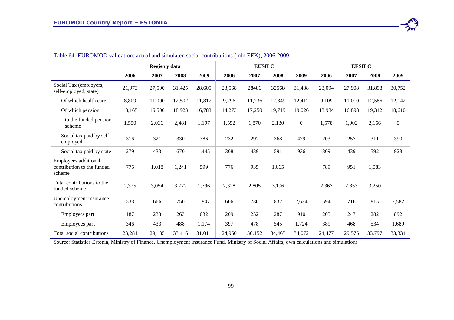

|                                                              | <b>Registry data</b> |        |        |        | <b>EUSILC</b> |        |        |                | <b>EESILC</b> |        |        |                  |
|--------------------------------------------------------------|----------------------|--------|--------|--------|---------------|--------|--------|----------------|---------------|--------|--------|------------------|
|                                                              | 2006                 | 2007   | 2008   | 2009   | 2006          | 2007   | 2008   | 2009           | 2006          | 2007   | 2008   | 2009             |
| Social Tax (employers,<br>self-employed, state)              | 21,973               | 27,500 | 31,425 | 28,605 | 23,568        | 28486  | 32568  | 31,438         | 23,094        | 27,908 | 31,898 | 30,752           |
| Of which health care                                         | 8,809                | 11,000 | 12,502 | 11,817 | 9,296         | 11,236 | 12,849 | 12,412         | 9,109         | 11,010 | 12,586 | 12,142           |
| Of which pension                                             | 13,165               | 16,500 | 18,923 | 16,788 | 14,273        | 17,250 | 19,719 | 19,026         | 13,984        | 16,898 | 19,312 | 18,610           |
| to the funded pension<br>scheme                              | 1,550                | 2,036  | 2,481  | 1,197  | 1,552         | 1,870  | 2,130  | $\overline{0}$ | 1,578         | 1,902  | 2,166  | $\boldsymbol{0}$ |
| Social tax paid by self-<br>employed                         | 316                  | 321    | 330    | 386    | 232           | 297    | 368    | 479            | 203           | 257    | 311    | 390              |
| Social tax paid by state                                     | 279                  | 433    | 670    | 1,445  | 308           | 439    | 591    | 936            | 309           | 439    | 592    | 923              |
| Employees additional<br>contribution to the funded<br>scheme | 775                  | 1,018  | 1,241  | 599    | 776           | 935    | 1,065  |                | 789           | 951    | 1,083  |                  |
| Total contributions to the<br>funded scheme                  | 2,325                | 3,054  | 3,722  | 1,796  | 2,328         | 2,805  | 3,196  |                | 2,367         | 2,853  | 3,250  |                  |
| Unemployment insurance<br>contributions                      | 533                  | 666    | 750    | 1,807  | 606           | 730    | 832    | 2,634          | 594           | 716    | 815    | 2,582            |
| Employers part                                               | 187                  | 233    | 263    | 632    | 209           | 252    | 287    | 910            | 205           | 247    | 282    | 892              |
| Employees part                                               | 346                  | 433    | 488    | 1,174  | 397           | 478    | 545    | 1,724          | 389           | 468    | 534    | 1,689            |
| Total social contributions                                   | 23,281               | 29.185 | 33,416 | 31,011 | 24,950        | 30.152 | 34,465 | 34,072         | 24,477        | 29,575 | 33,797 | 33,334           |

#### Table 64. EUROMOD validation: actual and simulated social contributions (mln EEK), 2006-2009

Source: Statistics Estonia, Ministry of Finance, Unemployment Insurance Fund, Ministry of Social Affairs, own calculations and simulations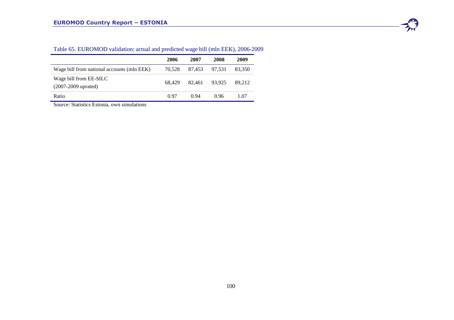

#### Table 65. EUROMOD validation: actual and predicted wage bill (mln EEK), 2006-2009

|                                                   | 2006   | 2007   | 2008   | 2009   |
|---------------------------------------------------|--------|--------|--------|--------|
| Wage bill from national accounts (mln EEK)        | 70.528 | 87.453 | 97.531 | 83.350 |
| Wage bill from EE-SILC<br>$(2007 - 2009$ uprated) | 68.429 | 82.461 | 93.925 | 89.212 |
| Ratio                                             | 0.97   | 0.94   | 0.96   | 1.07   |

Source: Statistics Estonia, own simulations